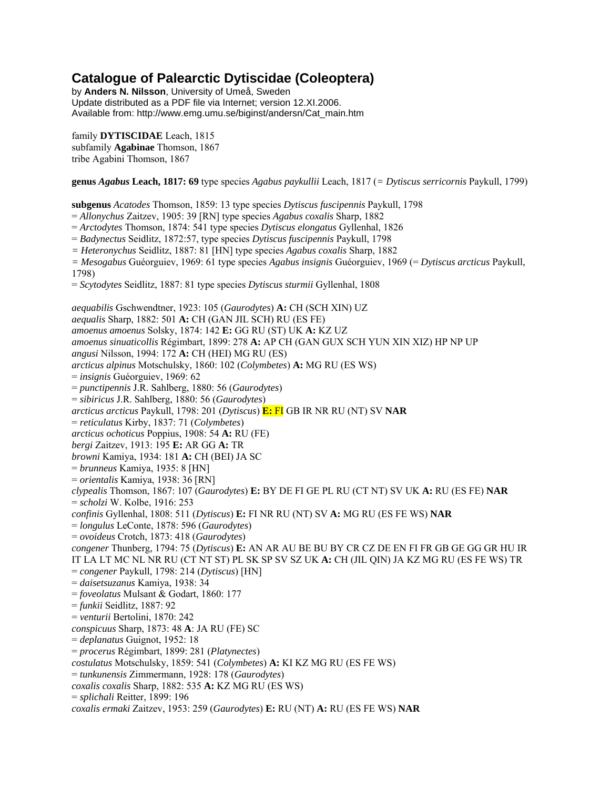# **Catalogue of Palearctic Dytiscidae (Coleoptera)**

by **Anders N. Nilsson**, University of Umeå, Sweden Update distributed as a PDF file via Internet; version 12.XI.2006. Available from: http://www.emg.umu.se/biginst/andersn/Cat\_main.htm

family **DYTISCIDAE** Leach, 1815 subfamily **Agabinae** Thomson, 1867 tribe Agabini Thomson, 1867

**genus** *Agabus* **Leach, 1817: 69** type species *Agabus paykullii* Leach, 1817 (*= Dytiscus serricornis* Paykull, 1799)

**subgenus** *Acatodes* Thomson, 1859: 13 type species *Dytiscus fuscipennis* Paykull, 1798

= *Allonychus* Zaitzev, 1905: 39 [RN] type species *Agabus coxalis* Sharp, 1882

= *Arctodytes* Thomson, 1874: 541 type species *Dytiscus elongatus* Gyllenhal, 1826

= *Badynectus* Seidlitz, 1872:57, type species *Dytiscus fuscipennis* Paykull, 1798

*= Heteronychus* Seidlitz, 1887: 81 [HN] type species *Agabus coxalis* Sharp, 1882

*= Mesogabus* Guéorguiev, 1969: 61 type species *Agabus insignis* Guéorguiev, 1969 (= *Dytiscus arcticus* Paykull, 1798)

= *Scytodytes* Seidlitz, 1887: 81 type species *Dytiscus sturmii* Gyllenhal, 1808

*aequabilis* Gschwendtner, 1923: 105 (*Gaurodytes*) **A:** CH (SCH XIN) UZ *aequalis* Sharp, 1882: 501 **A:** CH (GAN JIL SCH) RU (ES FE) *amoenus amoenus* Solsky, 1874: 142 **E:** GG RU (ST) UK **A:** KZ UZ *amoenus sinuaticollis* Régimbart, 1899: 278 **A:** AP CH (GAN GUX SCH YUN XIN XIZ) HP NP UP *angusi* Nilsson, 1994: 172 **A:** CH (HEI) MG RU (ES) *arcticus alpinus* Motschulsky, 1860: 102 (*Colymbetes*) **A:** MG RU (ES WS) = *insignis* Guéorguiev, 1969: 62 = *punctipennis* J.R. Sahlberg, 1880: 56 (*Gaurodytes*) = *sibiricus* J.R. Sahlberg, 1880: 56 (*Gaurodytes*) *arcticus arcticus* Paykull, 1798: 201 (*Dytiscus*) **E:** FI GB IR NR RU (NT) SV **NAR** = *reticulatus* Kirby, 1837: 71 (*Colymbetes*) *arcticus ochoticus* Poppius, 1908: 54 **A:** RU (FE) *bergi* Zaitzev, 1913: 195 **E:** AR GG **A:** TR *browni* Kamiya, 1934: 181 **A:** CH (BEI) JA SC = *brunneus* Kamiya, 1935: 8 [HN] = *orientalis* Kamiya, 1938: 36 [RN] *clypealis* Thomson, 1867: 107 (*Gaurodytes*) **E:** BY DE FI GE PL RU (CT NT) SV UK **A:** RU (ES FE) **NAR** = *scholzi* W. Kolbe, 1916: 253 *confinis* Gyllenhal, 1808: 511 (*Dytiscus*) **E:** FI NR RU (NT) SV **A:** MG RU (ES FE WS) **NAR** = *longulus* LeConte, 1878: 596 (*Gaurodytes*) = *ovoideus* Crotch, 1873: 418 (*Gaurodytes*) *congener* Thunberg, 1794: 75 (*Dytiscus*) **E:** AN AR AU BE BU BY CR CZ DE EN FI FR GB GE GG GR HU IR IT LA LT MC NL NR RU (CT NT ST) PL SK SP SV SZ UK **A:** CH (JIL QIN) JA KZ MG RU (ES FE WS) TR = *congener* Paykull, 1798: 214 (*Dytiscus*) [HN] = *daisetsuzanus* Kamiya, 1938: 34 = *foveolatus* Mulsant & Godart, 1860: 177 = *funkii* Seidlitz, 1887: 92 = *venturii* Bertolini, 1870: 242 *conspicuus* Sharp, 1873: 48 **A**: JA RU (FE) SC = *deplanatus* Guignot, 1952: 18 = *procerus* Régimbart, 1899: 281 (*Platynectes*) *costulatus* Motschulsky, 1859: 541 (*Colymbetes*) **A:** KI KZ MG RU (ES FE WS) = *tunkunensis* Zimmermann, 1928: 178 (*Gaurodytes*) *coxalis coxalis* Sharp, 1882: 535 **A:** KZ MG RU (ES WS) = *splichali* Reitter, 1899: 196 *coxalis ermaki* Zaitzev, 1953: 259 (*Gaurodytes*) **E:** RU (NT) **A:** RU (ES FE WS) **NAR**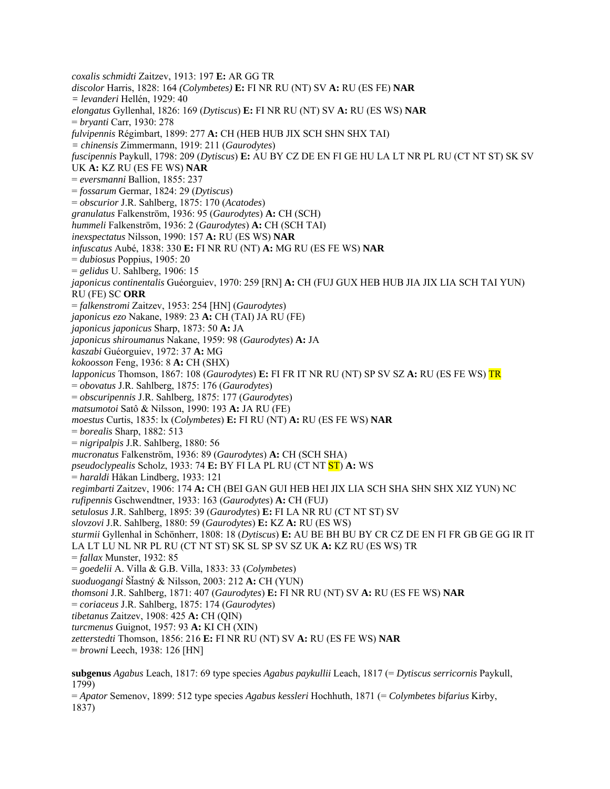*coxalis schmidti* Zaitzev, 1913: 197 **E:** AR GG TR *discolor* Harris, 1828: 164 *(Colymbetes)* **E:** FI NR RU (NT) SV **A:** RU (ES FE) **NAR** *= levanderi* Hellén, 1929: 40 *elongatus* Gyllenhal, 1826: 169 (*Dytiscus*) **E:** FI NR RU (NT) SV **A:** RU (ES WS) **NAR** = *bryanti* Carr, 1930: 278 *fulvipennis* Régimbart, 1899: 277 **A:** CH (HEB HUB JIX SCH SHN SHX TAI) *= chinensis* Zimmermann, 1919: 211 (*Gaurodytes*) *fuscipennis* Paykull, 1798: 209 (*Dytiscus*) **E:** AU BY CZ DE EN FI GE HU LA LT NR PL RU (CT NT ST) SK SV UK **A:** KZ RU (ES FE WS) **NAR** = *eversmanni* Ballion, 1855: 237 = *fossarum* Germar, 1824: 29 (*Dytiscus*) = *obscurior* J.R. Sahlberg, 1875: 170 (*Acatodes*) *granulatus* Falkenström, 1936: 95 (*Gaurodytes*) **A:** CH (SCH) *hummeli* Falkenström, 1936: 2 (*Gaurodytes*) **A:** CH (SCH TAI) *inexspectatus* Nilsson, 1990: 157 **A:** RU (ES WS) **NAR** *infuscatus* Aubé, 1838: 330 **E:** FI NR RU (NT) **A:** MG RU (ES FE WS) **NAR** = *dubiosus* Poppius, 1905: 20 = *gelidus* U. Sahlberg, 1906: 15 *japonicus continentalis* Guéorguiev, 1970: 259 [RN] **A:** CH (FUJ GUX HEB HUB JIA JIX LIA SCH TAI YUN) RU (FE) SC **ORR** = *falkenstromi* Zaitzev, 1953: 254 [HN] (*Gaurodytes*) *japonicus ezo* Nakane, 1989: 23 **A:** CH (TAI) JA RU (FE) *japonicus japonicus* Sharp, 1873: 50 **A:** JA *japonicus shiroumanus* Nakane, 1959: 98 (*Gaurodytes*) **A:** JA *kaszabi* Guéorguiev, 1972: 37 **A:** MG *kokoosson* Feng, 1936: 8 **A:** CH (SHX) *lapponicus* Thomson, 1867: 108 (*Gaurodytes*) **E:** FI FR IT NR RU (NT) SP SV SZ **A:** RU (ES FE WS) TR = *obovatus* J.R. Sahlberg, 1875: 176 (*Gaurodytes*) = *obscuripennis* J.R. Sahlberg, 1875: 177 (*Gaurodytes*) *matsumotoi* Satô & Nilsson, 1990: 193 **A:** JA RU (FE) *moestus* Curtis, 1835: lx (*Colymbetes*) **E:** FI RU (NT) **A:** RU (ES FE WS) **NAR** = *borealis* Sharp, 1882: 513 = *nigripalpis* J.R. Sahlberg, 1880: 56 *mucronatus* Falkenström, 1936: 89 (*Gaurodytes*) **A:** CH (SCH SHA) *pseudoclypealis* Scholz, 1933: 74 **E:** BY FI LA PL RU (CT NT ST) **A:** WS = *haraldi* Håkan Lindberg, 1933: 121 *regimbarti* Zaitzev, 1906: 174 **A:** CH (BEI GAN GUI HEB HEI JIX LIA SCH SHA SHN SHX XIZ YUN) NC *rufipennis* Gschwendtner, 1933: 163 (*Gaurodytes*) **A:** CH (FUJ) *setulosus* J.R. Sahlberg, 1895: 39 (*Gaurodytes*) **E:** FI LA NR RU (CT NT ST) SV *slovzovi* J.R. Sahlberg, 1880: 59 (*Gaurodytes*) **E:** KZ **A:** RU (ES WS) *sturmii* Gyllenhal in Schönherr, 1808: 18 (*Dytiscus*) **E:** AU BE BH BU BY CR CZ DE EN FI FR GB GE GG IR IT LA LT LU NL NR PL RU (CT NT ST) SK SL SP SV SZ UK **A:** KZ RU (ES WS) TR = *fallax* Munster, 1932: 85 = *goedelii* A. Villa & G.B. Villa, 1833: 33 (*Colymbetes*) *suoduogangi* ŠÄastný & Nilsson, 2003: 212 **A:** CH (YUN) *thomsoni* J.R. Sahlberg, 1871: 407 (*Gaurodytes*) **E:** FI NR RU (NT) SV **A:** RU (ES FE WS) **NAR**  = *coriaceus* J.R. Sahlberg, 1875: 174 (*Gaurodytes*) *tibetanus* Zaitzev, 1908: 425 **A:** CH (QIN) *turcmenus* Guignot, 1957: 93 **A:** KI CH (XIN) *zetterstedti* Thomson, 1856: 216 **E:** FI NR RU (NT) SV **A:** RU (ES FE WS) **NAR** = *browni* Leech, 1938: 126 [HN] **subgenus** *Agabus* Leach, 1817: 69 type species *Agabus paykullii* Leach, 1817 (= *Dytiscus serricornis* Paykull, 1799)

= *Apator* Semenov, 1899: 512 type species *Agabus kessleri* Hochhuth, 1871 (= *Colymbetes bifarius* Kirby, 1837)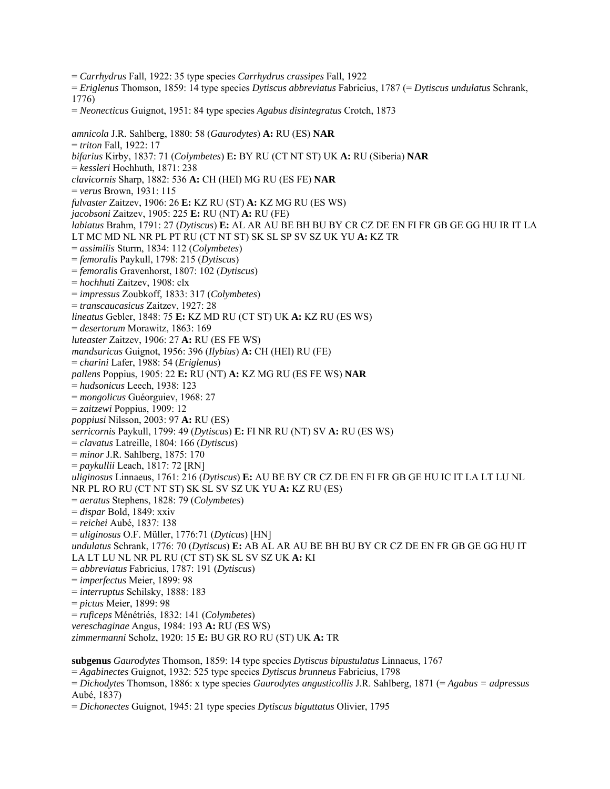= *Carrhydrus* Fall, 1922: 35 type species *Carrhydrus crassipes* Fall, 1922

= *Eriglenus* Thomson, 1859: 14 type species *Dytiscus abbreviatus* Fabricius, 1787 (= *Dytiscus undulatus* Schrank, 1776)

= *Neonecticus* Guignot, 1951: 84 type species *Agabus disintegratus* Crotch, 1873

*amnicola* J.R. Sahlberg, 1880: 58 (*Gaurodytes*) **A:** RU (ES) **NAR**  = *triton* Fall, 1922: 17 *bifarius* Kirby, 1837: 71 (*Colymbetes*) **E:** BY RU (CT NT ST) UK **A:** RU (Siberia) **NAR**  = *kessleri* Hochhuth, 1871: 238 *clavicornis* Sharp, 1882: 536 **A:** CH (HEI) MG RU (ES FE) **NAR**  = *verus* Brown, 1931: 115 *fulvaster* Zaitzev, 1906: 26 **E:** KZ RU (ST) **A:** KZ MG RU (ES WS) *jacobsoni* Zaitzev, 1905: 225 **E:** RU (NT) **A:** RU (FE) *labiatus* Brahm, 1791: 27 (*Dytiscus*) **E:** AL AR AU BE BH BU BY CR CZ DE EN FI FR GB GE GG HU IR IT LA LT MC MD NL NR PL PT RU (CT NT ST) SK SL SP SV SZ UK YU **A:** KZ TR = *assimilis* Sturm, 1834: 112 (*Colymbetes*) = *femoralis* Paykull, 1798: 215 (*Dytiscus*) = *femoralis* Gravenhorst, 1807: 102 (*Dytiscus*) = *hochhuti* Zaitzev, 1908: clx = *impressus* Zoubkoff, 1833: 317 (*Colymbetes*) = *transcaucasicus* Zaitzev, 1927: 28 *lineatus* Gebler, 1848: 75 **E:** KZ MD RU (CT ST) UK **A:** KZ RU (ES WS) = *desertorum* Morawitz, 1863: 169 *luteaster* Zaitzev, 1906: 27 **A:** RU (ES FE WS) *mandsuricus* Guignot, 1956: 396 (*Ilybius*) **A:** CH (HEI) RU (FE) = *charini* Lafer, 1988: 54 (*Eriglenus*) *pallens* Poppius, 1905: 22 **E:** RU (NT) **A:** KZ MG RU (ES FE WS) **NAR**  = *hudsonicus* Leech, 1938: 123 = *mongolicus* Guéorguiev, 1968: 27 = *zaitzewi* Poppius, 1909: 12 *poppiusi* Nilsson, 2003: 97 **A:** RU (ES) *serricornis* Paykull, 1799: 49 (*Dytiscus*) **E:** FI NR RU (NT) SV **A:** RU (ES WS) = *clavatus* Latreille, 1804: 166 (*Dytiscus*) = *minor* J.R. Sahlberg, 1875: 170 = *paykullii* Leach, 1817: 72 [RN] *uliginosus* Linnaeus, 1761: 216 (*Dytiscus*) **E:** AU BE BY CR CZ DE EN FI FR GB GE HU IC IT LA LT LU NL NR PL RO RU (CT NT ST) SK SL SV SZ UK YU **A:** KZ RU (ES) = *aeratus* Stephens, 1828: 79 (*Colymbetes*) = *dispar* Bold, 1849: xxiv = *reichei* Aubé, 1837: 138 = *uliginosus* O.F. Müller, 1776:71 (*Dyticus*) [HN] *undulatus* Schrank, 1776: 70 (*Dytiscus*) **E:** AB AL AR AU BE BH BU BY CR CZ DE EN FR GB GE GG HU IT LA LT LU NL NR PL RU (CT ST) SK SL SV SZ UK **A:** KI = *abbreviatus* Fabricius, 1787: 191 (*Dytiscus*) = *imperfectus* Meier, 1899: 98 = *interruptus* Schilsky, 1888: 183 = *pictus* Meier, 1899: 98 = *ruficeps* Ménétriés, 1832: 141 (*Colymbetes*) *vereschaginae* Angus, 1984: 193 **A:** RU (ES WS) *zimmermanni* Scholz, 1920: 15 **E:** BU GR RO RU (ST) UK **A:** TR **subgenus** *Gaurodytes* Thomson, 1859: 14 type species *Dytiscus bipustulatus* Linnaeus, 1767 = *Agabinectes* Guignot, 1932: 525 type species *Dytiscus brunneus* Fabricius, 1798

= *Dichodytes* Thomson, 1886: x type species *Gaurodytes angusticollis* J.R. Sahlberg, 1871 (= *Agabus = adpressus* Aubé, 1837)

= *Dichonectes* Guignot, 1945: 21 type species *Dytiscus biguttatus* Olivier, 1795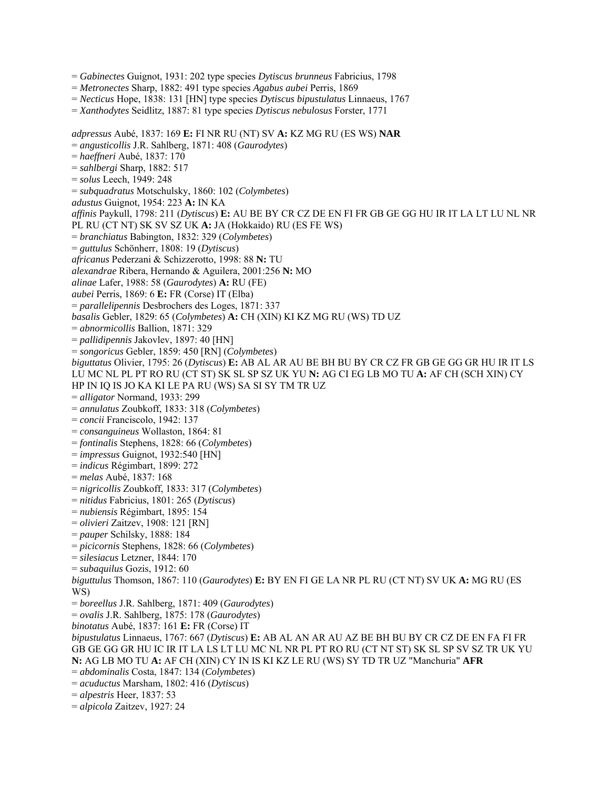= *Gabinectes* Guignot, 1931: 202 type species *Dytiscus brunneus* Fabricius, 1798

- = *Metronectes* Sharp, 1882: 491 type species *Agabus aubei* Perris, 1869
- = *Necticus* Hope, 1838: 131 [HN] type species *Dytiscus bipustulatus* Linnaeus, 1767
- = *Xanthodytes* Seidlitz, 1887: 81 type species *Dytiscus nebulosus* Forster, 1771

*adpressus* Aubé, 1837: 169 **E:** FI NR RU (NT) SV **A:** KZ MG RU (ES WS) **NAR**  = *angusticollis* J.R. Sahlberg, 1871: 408 (*Gaurodytes*) = *haeffneri* Aubé, 1837: 170 = *sahlbergi* Sharp, 1882: 517 = *solus* Leech, 1949: 248 = *subquadratus* Motschulsky, 1860: 102 (*Colymbetes*) *adustus* Guignot, 1954: 223 **A:** IN KA *affinis* Paykull, 1798: 211 (*Dytiscus*) **E:** AU BE BY CR CZ DE EN FI FR GB GE GG HU IR IT LA LT LU NL NR PL RU (CT NT) SK SV SZ UK **A:** JA (Hokkaido) RU (ES FE WS) = *branchiatus* Babington, 1832: 329 (*Colymbetes*) = *guttulus* Schönherr, 1808: 19 (*Dytiscus*) *africanus* Pederzani & Schizzerotto, 1998: 88 **N:** TU *alexandrae* Ribera, Hernando & Aguilera, 2001:256 **N:** MO *alinae* Lafer, 1988: 58 (*Gaurodytes*) **A:** RU (FE) *aubei* Perris, 1869: 6 **E:** FR (Corse) IT (Elba) = *parallelipennis* Desbrochers des Loges, 1871: 337 *basalis* Gebler, 1829: 65 (*Colymbetes*) **A:** CH (XIN) KI KZ MG RU (WS) TD UZ = *abnormicollis* Ballion, 1871: 329 = *pallidipennis* Jakovlev, 1897: 40 [HN] = *songoricus* Gebler, 1859: 450 [RN] (*Colymbetes*) *biguttatus* Olivier, 1795: 26 (*Dytiscus*) **E:** AB AL AR AU BE BH BU BY CR CZ FR GB GE GG GR HU IR IT LS LU MC NL PL PT RO RU (CT ST) SK SL SP SZ UK YU **N:** AG CI EG LB MO TU **A:** AF CH (SCH XIN) CY HP IN IQ IS JO KA KI LE PA RU (WS) SA SI SY TM TR UZ = *alligator* Normand, 1933: 299 = *annulatus* Zoubkoff, 1833: 318 (*Colymbetes*) = *concii* Franciscolo, 1942: 137 = *consanguineus* Wollaston, 1864: 81 = *fontinalis* Stephens, 1828: 66 (*Colymbetes*) = *impressus* Guignot, 1932:540 [HN] = *indicus* Régimbart, 1899: 272 = *melas* Aubé, 1837: 168 = *nigricollis* Zoubkoff, 1833: 317 (*Colymbetes*) = *nitidus* Fabricius, 1801: 265 (*Dytiscus*) = *nubiensis* Régimbart, 1895: 154 = *olivieri* Zaitzev, 1908: 121 [RN] = *pauper* Schilsky, 1888: 184 = *picicornis* Stephens, 1828: 66 (*Colymbetes*) = *silesiacus* Letzner, 1844: 170 = *subaquilus* Gozis, 1912: 60 *biguttulus* Thomson, 1867: 110 (*Gaurodytes*) **E:** BY EN FI GE LA NR PL RU (CT NT) SV UK **A:** MG RU (ES WS) = *boreellus* J.R. Sahlberg, 1871: 409 (*Gaurodytes*) = *ovalis* J.R. Sahlberg, 1875: 178 (*Gaurodytes*) *binotatus* Aubé, 1837: 161 **E:** FR (Corse) IT *bipustulatus* Linnaeus, 1767: 667 (*Dytiscus*) **E:** AB AL AN AR AU AZ BE BH BU BY CR CZ DE EN FA FI FR GB GE GG GR HU IC IR IT LA LS LT LU MC NL NR PL PT RO RU (CT NT ST) SK SL SP SV SZ TR UK YU **N:** AG LB MO TU **A:** AF CH (XIN) CY IN IS KI KZ LE RU (WS) SY TD TR UZ "Manchuria" **AFR**  = *abdominalis* Costa, 1847: 134 (*Colymbetes*) = *acuductus* Marsham, 1802: 416 (*Dytiscus*) = *alpestris* Heer, 1837: 53

= *alpicola* Zaitzev, 1927: 24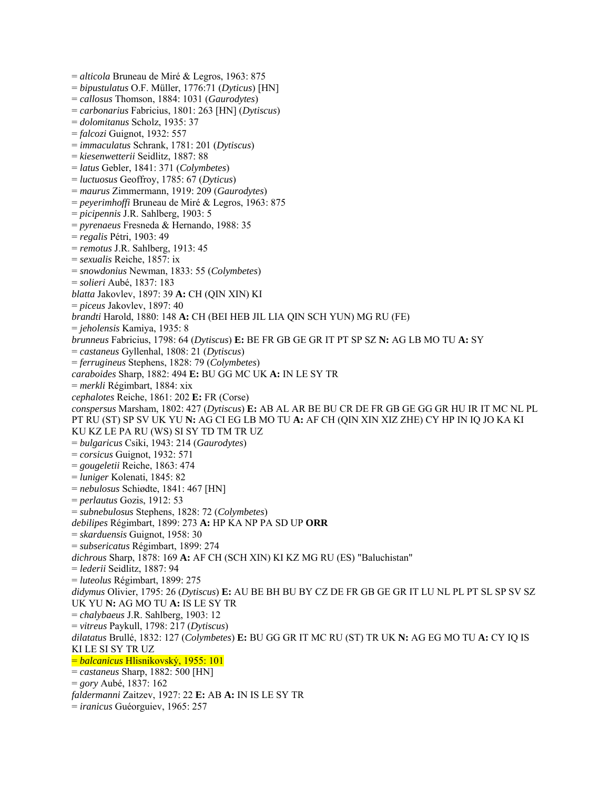= *alticola* Bruneau de Miré & Legros, 1963: 875 = *bipustulatus* O.F. Müller, 1776:71 (*Dyticus*) [HN] = *callosus* Thomson, 1884: 1031 (*Gaurodytes*) = *carbonarius* Fabricius, 1801: 263 [HN] (*Dytiscus*) = *dolomitanus* Scholz, 1935: 37 = *falcozi* Guignot, 1932: 557 = *immaculatus* Schrank, 1781: 201 (*Dytiscus*) = *kiesenwetterii* Seidlitz, 1887: 88 = *latus* Gebler, 1841: 371 (*Colymbetes*) = *luctuosus* Geoffroy, 1785: 67 (*Dyticus*) = *maurus* Zimmermann, 1919: 209 (*Gaurodytes*) = *peyerimhoffi* Bruneau de Miré & Legros, 1963: 875 = *picipennis* J.R. Sahlberg, 1903: 5 = *pyrenaeus* Fresneda & Hernando, 1988: 35 = *regalis* Pétri, 1903: 49 = *remotus* J.R. Sahlberg, 1913: 45 = *sexualis* Reiche, 1857: ix = *snowdonius* Newman, 1833: 55 (*Colymbetes*) = *solieri* Aubé, 1837: 183 *blatta* Jakovlev, 1897: 39 **A:** CH (QIN XIN) KI = *piceus* Jakovlev, 1897: 40 *brandti* Harold, 1880: 148 **A:** CH (BEI HEB JIL LIA QIN SCH YUN) MG RU (FE) = *jeholensis* Kamiya, 1935: 8 *brunneus* Fabricius, 1798: 64 (*Dytiscus*) **E:** BE FR GB GE GR IT PT SP SZ **N:** AG LB MO TU **A:** SY = *castaneus* Gyllenhal, 1808: 21 (*Dytiscus*) = *ferrugineus* Stephens, 1828: 79 (*Colymbetes*) *caraboides* Sharp, 1882: 494 **E:** BU GG MC UK **A:** IN LE SY TR = *merkli* Régimbart, 1884: xix *cephalotes* Reiche, 1861: 202 **E:** FR (Corse) *conspersus* Marsham, 1802: 427 (*Dytiscus*) **E:** AB AL AR BE BU CR DE FR GB GE GG GR HU IR IT MC NL PL PT RU (ST) SP SV UK YU **N:** AG CI EG LB MO TU **A:** AF CH (QIN XIN XIZ ZHE) CY HP IN IQ JO KA KI KU KZ LE PA RU (WS) SI SY TD TM TR UZ = *bulgaricus* Csiki, 1943: 214 (*Gaurodytes*) = *corsicus* Guignot, 1932: 571 = *gougeletii* Reiche, 1863: 474 = *luniger* Kolenati, 1845: 82 = *nebulosus* Schiødte, 1841: 467 [HN] = *perlautus* Gozis, 1912: 53 = *subnebulosus* Stephens, 1828: 72 (*Colymbetes*) *debilipes* Régimbart, 1899: 273 **A:** HP KA NP PA SD UP **ORR**  = *skarduensis* Guignot, 1958: 30 = *subsericatus* Régimbart, 1899: 274 *dichrous* Sharp, 1878: 169 **A:** AF CH (SCH XIN) KI KZ MG RU (ES) "Baluchistan" = *lederii* Seidlitz, 1887: 94 = *luteolus* Régimbart, 1899: 275 *didymus* Olivier, 1795: 26 (*Dytiscus*) **E:** AU BE BH BU BY CZ DE FR GB GE GR IT LU NL PL PT SL SP SV SZ UK YU **N:** AG MO TU **A:** IS LE SY TR = *chalybaeus* J.R. Sahlberg, 1903: 12 = *vitreus* Paykull, 1798: 217 (*Dytiscus*) *dilatatus* Brullé, 1832: 127 (*Colymbetes*) **E:** BU GG GR IT MC RU (ST) TR UK **N:** AG EG MO TU **A:** CY IQ IS KI LE SI SY TR UZ = *balcanicus* Hlisnikovský, 1955: 101 = *castaneus* Sharp, 1882: 500 [HN] = *gory* Aubé, 1837: 162 *faldermanni* Zaitzev, 1927: 22 **E:** AB **A:** IN IS LE SY TR = *iranicus* Guéorguiev, 1965: 257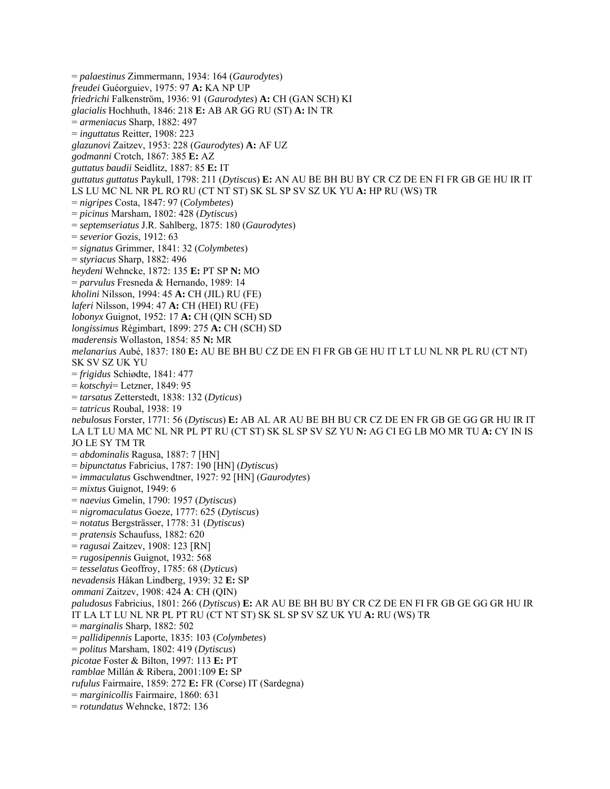= *palaestinus* Zimmermann, 1934: 164 (*Gaurodytes*) *freudei* Guéorguiev, 1975: 97 **A:** KA NP UP *friedrichi* Falkenström, 1936: 91 (*Gaurodytes*) **A:** CH (GAN SCH) KI *glacialis* Hochhuth, 1846: 218 **E:** AB AR GG RU (ST) **A:** IN TR = *armeniacus* Sharp, 1882: 497 = *inguttatus* Reitter, 1908: 223 *glazunovi* Zaitzev, 1953: 228 (*Gaurodytes*) **A:** AF UZ *godmanni* Crotch, 1867: 385 **E:** AZ *guttatus baudii* Seidlitz, 1887: 85 **E:** IT *guttatus guttatus* Paykull, 1798: 211 (*Dytiscus*) **E:** AN AU BE BH BU BY CR CZ DE EN FI FR GB GE HU IR IT LS LU MC NL NR PL RO RU (CT NT ST) SK SL SP SV SZ UK YU **A:** HP RU (WS) TR = *nigripes* Costa, 1847: 97 (*Colymbetes*) = *picinus* Marsham, 1802: 428 (*Dytiscus*) = *septemseriatus* J.R. Sahlberg, 1875: 180 (*Gaurodytes*) = *severior* Gozis, 1912: 63 = *signatus* Grimmer, 1841: 32 (*Colymbetes*) = *styriacus* Sharp, 1882: 496 *heydeni* Wehncke, 1872: 135 **E:** PT SP **N:** MO = *parvulus* Fresneda & Hernando, 1989: 14 *kholini* Nilsson, 1994: 45 **A:** CH (JIL) RU (FE) *laferi* Nilsson, 1994: 47 **A:** CH (HEI) RU (FE) *lobonyx* Guignot, 1952: 17 **A:** CH (QIN SCH) SD *longissimus* Régimbart, 1899: 275 **A:** CH (SCH) SD *maderensis* Wollaston, 1854: 85 **N:** MR *melanarius* Aubé, 1837: 180 **E:** AU BE BH BU CZ DE EN FI FR GB GE HU IT LT LU NL NR PL RU (CT NT) SK SV SZ UK YU = *frigidus* Schiødte, 1841: 477 = *kotschyi*= Letzner, 1849: 95 = *tarsatus* Zetterstedt, 1838: 132 (*Dyticus*) = *tatricus* Roubal, 1938: 19 *nebulosus* Forster, 1771: 56 (*Dytiscus*) **E:** AB AL AR AU BE BH BU CR CZ DE EN FR GB GE GG GR HU IR IT LA LT LU MA MC NL NR PL PT RU (CT ST) SK SL SP SV SZ YU **N:** AG CI EG LB MO MR TU **A:** CY IN IS JO LE SY TM TR = *abdominalis* Ragusa, 1887: 7 [HN] = *bipunctatus* Fabricius, 1787: 190 [HN] (*Dytiscus*) = *immaculatus* Gschwendtner, 1927: 92 [HN] (*Gaurodytes*) = *mixtus* Guignot, 1949: 6 = *naevius* Gmelin, 1790: 1957 (*Dytiscus*) = *nigromaculatus* Goeze, 1777: 625 (*Dytiscus*) = *notatus* Bergsträsser, 1778: 31 (*Dytiscus*) = *pratensis* Schaufuss, 1882: 620 = *ragusai* Zaitzev, 1908: 123 [RN] = *rugosipennis* Guignot, 1932: 568 = *tesselatus* Geoffroy, 1785: 68 (*Dyticus*) *nevadensis* Håkan Lindberg, 1939: 32 **E:** SP *ommani* Zaitzev, 1908: 424 **A**: CH (QIN) *paludosus* Fabricius, 1801: 266 (*Dytiscus*) **E:** AR AU BE BH BU BY CR CZ DE EN FI FR GB GE GG GR HU IR IT LA LT LU NL NR PL PT RU (CT NT ST) SK SL SP SV SZ UK YU **A:** RU (WS) TR = *marginalis* Sharp, 1882: 502 = *pallidipennis* Laporte, 1835: 103 (*Colymbetes*) = *politus* Marsham, 1802: 419 (*Dytiscus*) *picotae* Foster & Bilton, 1997: 113 **E:** PT *ramblae* Millán & Ribera, 2001:109 **E:** SP *rufulus* Fairmaire, 1859: 272 **E:** FR (Corse) IT (Sardegna) = *marginicollis* Fairmaire, 1860: 631 = *rotundatus* Wehncke, 1872: 136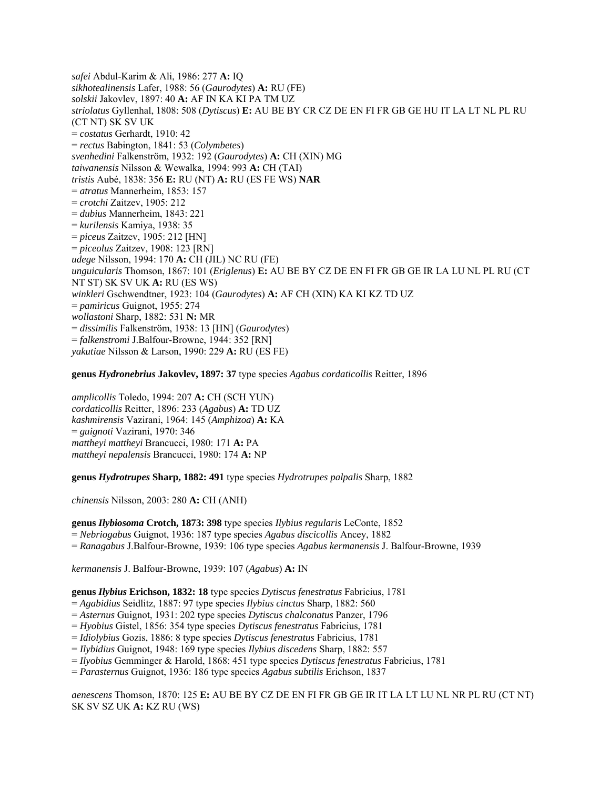*safei* Abdul-Karim & Ali, 1986: 277 **A:** IQ *sikhotealinensis* Lafer, 1988: 56 (*Gaurodytes*) **A:** RU (FE) *solskii* Jakovlev, 1897: 40 **A:** AF IN KA KI PA TM UZ *striolatus* Gyllenhal, 1808: 508 (*Dytiscus*) **E:** AU BE BY CR CZ DE EN FI FR GB GE HU IT LA LT NL PL RU (CT NT) SK SV UK = *costatus* Gerhardt, 1910: 42 = *rectus* Babington, 1841: 53 (*Colymbetes*) *svenhedini* Falkenström, 1932: 192 (*Gaurodytes*) **A:** CH (XIN) MG *taiwanensis* Nilsson & Wewalka, 1994: 993 **A:** CH (TAI) *tristis* Aubé, 1838: 356 **E:** RU (NT) **A:** RU (ES FE WS) **NAR**  = *atratus* Mannerheim, 1853: 157 = *crotchi* Zaitzev, 1905: 212 = *dubius* Mannerheim, 1843: 221 = *kurilensis* Kamiya, 1938: 35 = *piceu*s Zaitzev, 1905: 212 [HN] = *piceolus* Zaitzev, 1908: 123 [RN] *udege* Nilsson, 1994: 170 **A:** CH (JIL) NC RU (FE) *unguicularis* Thomson, 1867: 101 (*Eriglenus*) **E:** AU BE BY CZ DE EN FI FR GB GE IR LA LU NL PL RU (CT NT ST) SK SV UK **A:** RU (ES WS) *winkleri* Gschwendtner, 1923: 104 (*Gaurodytes*) **A:** AF CH (XIN) KA KI KZ TD UZ = *pamiricus* Guignot, 1955: 274 *wollastoni* Sharp, 1882: 531 **N:** MR = *dissimilis* Falkenström, 1938: 13 [HN] (*Gaurodytes*) = *falkenstromi* J.Balfour-Browne, 1944: 352 [RN] *yakutiae* Nilsson & Larson, 1990: 229 **A:** RU (ES FE)

**genus** *Hydronebrius* **Jakovlev, 1897: 37** type species *Agabus cordaticollis* Reitter, 1896

*amplicollis* Toledo, 1994: 207 **A:** CH (SCH YUN) *cordaticollis* Reitter, 1896: 233 (*Agabus*) **A:** TD UZ *kashmirensis* Vazirani, 1964: 145 (*Amphizoa*) **A:** KA = *guignoti* Vazirani, 1970: 346 *mattheyi mattheyi* Brancucci, 1980: 171 **A:** PA *mattheyi nepalensis* Brancucci, 1980: 174 **A:** NP

**genus** *Hydrotrupes* **Sharp, 1882: 491** type species *Hydrotrupes palpalis* Sharp, 1882

*chinensis* Nilsson, 2003: 280 **A:** CH (ANH)

**genus** *Ilybiosoma* **Crotch, 1873: 398** type species *Ilybius regularis* LeConte, 1852 = *Nebriogabus* Guignot, 1936: 187 type species *Agabus discicollis* Ancey, 1882 = *Ranagabus* J.Balfour-Browne, 1939: 106 type species *Agabus kermanensis* J. Balfour-Browne, 1939

*kermanensis* J. Balfour-Browne, 1939: 107 (*Agabus*) **A:** IN

**genus** *Ilybius* **Erichson, 1832: 18** type species *Dytiscus fenestratus* Fabricius, 1781

= *Agabidius* Seidlitz, 1887: 97 type species *Ilybius cinctus* Sharp, 1882: 560

= *Asternus* Guignot, 1931: 202 type species *Dytiscus chalconatus* Panzer, 1796

= *Hyobius* Gistel, 1856: 354 type species *Dytiscus fenestratus* Fabricius, 1781

= *Idiolybius* Gozis, 1886: 8 type species *Dytiscus fenestratus* Fabricius, 1781

= *Ilybidius* Guignot, 1948: 169 type species *Ilybius discedens* Sharp, 1882: 557

= *Ilyobius* Gemminger & Harold, 1868: 451 type species *Dytiscus fenestratus* Fabricius, 1781

= *Parasternus* Guignot, 1936: 186 type species *Agabus subtilis* Erichson, 1837

*aenescens* Thomson, 1870: 125 **E:** AU BE BY CZ DE EN FI FR GB GE IR IT LA LT LU NL NR PL RU (CT NT) SK SV SZ UK **A:** KZ RU (WS)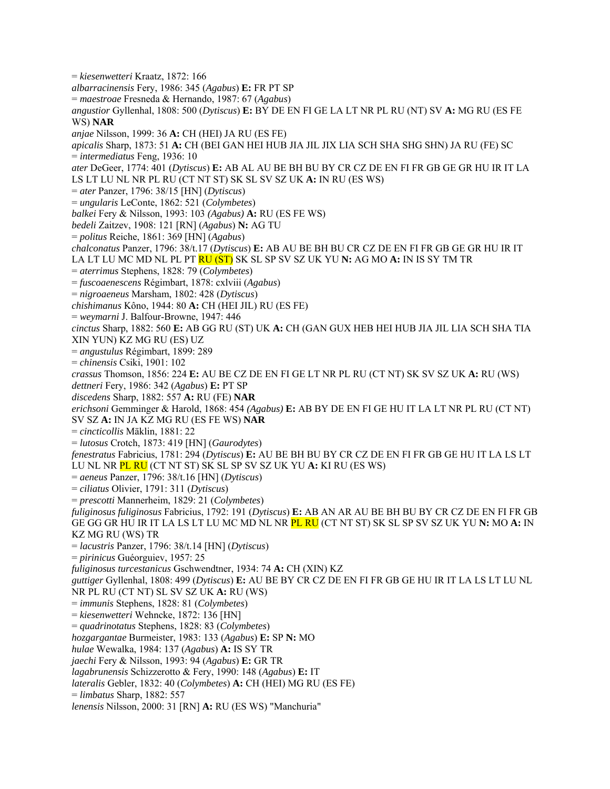= *kiesenwetteri* Kraatz, 1872: 166 *albarracinensis* Fery, 1986: 345 (*Agabus*) **E:** FR PT SP = *maestroae* Fresneda & Hernando, 1987: 67 (*Agabus*) *angustior* Gyllenhal, 1808: 500 (*Dytiscus*) **E:** BY DE EN FI GE LA LT NR PL RU (NT) SV **A:** MG RU (ES FE WS) **NAR**  *anjae* Nilsson, 1999: 36 **A:** CH (HEI) JA RU (ES FE) *apicalis* Sharp, 1873: 51 **A:** CH (BEI GAN HEI HUB JIA JIL JIX LIA SCH SHA SHG SHN) JA RU (FE) SC = *intermediatus* Feng, 1936: 10 *ater* DeGeer, 1774: 401 (*Dytiscus*) **E:** AB AL AU BE BH BU BY CR CZ DE EN FI FR GB GE GR HU IR IT LA LS LT LU NL NR PL RU (CT NT ST) SK SL SV SZ UK **A:** IN RU (ES WS) = *ater* Panzer, 1796: 38/15 [HN] (*Dytiscus*) = *ungularis* LeConte, 1862: 521 (*Colymbetes*) *balkei* Fery & Nilsson, 1993: 103 *(Agabus)* **A:** RU (ES FE WS) *bedeli* Zaitzev, 1908: 121 [RN] (*Agabus*) **N:** AG TU = *politus* Reiche, 1861: 369 [HN] (*Agabus*) *chalconatus* Panzer, 1796: 38/t.17 (*Dytiscus*) **E:** AB AU BE BH BU CR CZ DE EN FI FR GB GE GR HU IR IT LA LT LU MC MD NL PL PT RU (ST) SK SL SP SV SZ UK YU **N:** AG MO **A:** IN IS SY TM TR = *aterrimus* Stephens, 1828: 79 (*Colymbetes*) = *fuscoaenescens* Régimbart, 1878: cxlviii (*Agabus*) = *nigroaeneus* Marsham, 1802: 428 (*Dytiscus*) *chishimanus* Kôno, 1944: 80 **A:** CH (HEI JIL) RU (ES FE) = *weymarni* J. Balfour-Browne, 1947: 446 *cinctus* Sharp, 1882: 560 **E:** AB GG RU (ST) UK **A:** CH (GAN GUX HEB HEI HUB JIA JIL LIA SCH SHA TIA XIN YUN) KZ MG RU (ES) UZ = *angustulus* Régimbart, 1899: 289 = *chinensis* Csiki, 1901: 102 *crassus* Thomson, 1856: 224 **E:** AU BE CZ DE EN FI GE LT NR PL RU (CT NT) SK SV SZ UK **A:** RU (WS) *dettneri* Fery, 1986: 342 (*Agabus*) **E:** PT SP *discedens* Sharp, 1882: 557 **A:** RU (FE) **NAR**  *erichsoni* Gemminger & Harold, 1868: 454 *(Agabus)* **E:** AB BY DE EN FI GE HU IT LA LT NR PL RU (CT NT) SV SZ **A:** IN JA KZ MG RU (ES FE WS) **NAR**  = *cincticollis* Mäklin, 1881: 22 = *lutosus* Crotch, 1873: 419 [HN] (*Gaurodytes*) *fenestratus* Fabricius, 1781: 294 (*Dytiscus*) **E:** AU BE BH BU BY CR CZ DE EN FI FR GB GE HU IT LA LS LT LU NL NR PL RU (CT NT ST) SK SL SP SV SZ UK YU **A:** KI RU (ES WS) = *aeneus* Panzer, 1796: 38/t.16 [HN] (*Dytiscus*) = *ciliatus* Olivier, 1791: 311 (*Dytiscus*) = *prescotti* Mannerheim, 1829: 21 (*Colymbetes*) *fuliginosus fuliginosus* Fabricius, 1792: 191 (*Dytiscus*) **E:** AB AN AR AU BE BH BU BY CR CZ DE EN FI FR GB GE GG GR HU IR IT LA LS LT LU MC MD NL NR PL RU (CT NT ST) SK SL SP SV SZ UK YU **N:** MO **A:** IN KZ MG RU (WS) TR = *lacustris* Panzer, 1796: 38/t.14 [HN] (*Dytiscus*) = *pirinicus* Guéorguiev, 1957: 25 *fuliginosus turcestanicus* Gschwendtner, 1934: 74 **A:** CH (XIN) KZ *guttiger* Gyllenhal, 1808: 499 (*Dytiscus*) **E:** AU BE BY CR CZ DE EN FI FR GB GE HU IR IT LA LS LT LU NL NR PL RU (CT NT) SL SV SZ UK **A:** RU (WS) = *immunis* Stephens, 1828: 81 (*Colymbetes*) = *kiesenwetteri* Wehncke, 1872: 136 [HN] = *quadrinotatus* Stephens, 1828: 83 (*Colymbetes*) *hozgargantae* Burmeister, 1983: 133 (*Agabus*) **E:** SP **N:** MO *hulae* Wewalka, 1984: 137 (*Agabus*) **A:** IS SY TR *jaechi* Fery & Nilsson, 1993: 94 (*Agabus*) **E:** GR TR *lagabrunensis* Schizzerotto & Fery, 1990: 148 (*Agabus*) **E:** IT *lateralis* Gebler, 1832: 40 (*Colymbetes*) **A:** CH (HEI) MG RU (ES FE) = *limbatus* Sharp, 1882: 557 *lenensis* Nilsson, 2000: 31 [RN] **A:** RU (ES WS) "Manchuria"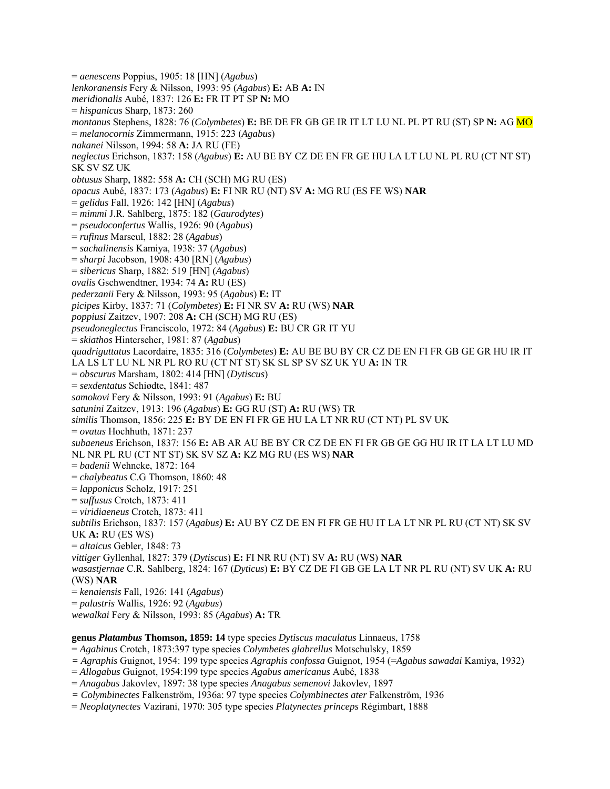= *aenescens* Poppius, 1905: 18 [HN] (*Agabus*) *lenkoranensis* Fery & Nilsson, 1993: 95 (*Agabus*) **E:** AB **A:** IN *meridionalis* Aubé, 1837: 126 **E:** FR IT PT SP **N:** MO = *hispanicus* Sharp, 1873: 260 *montanus* Stephens, 1828: 76 (*Colymbetes*) **E:** BE DE FR GB GE IR IT LT LU NL PL PT RU (ST) SP **N:** AG MO = *melanocornis* Zimmermann, 1915: 223 (*Agabus*) *nakanei* Nilsson, 1994: 58 **A:** JA RU (FE) *neglectus* Erichson, 1837: 158 (*Agabus*) **E:** AU BE BY CZ DE EN FR GE HU LA LT LU NL PL RU (CT NT ST) SK SV SZ UK *obtusus* Sharp, 1882: 558 **A:** CH (SCH) MG RU (ES) *opacus* Aubé, 1837: 173 (*Agabus*) **E:** FI NR RU (NT) SV **A:** MG RU (ES FE WS) **NAR** = *gelidus* Fall, 1926: 142 [HN] (*Agabus*) = *mimmi* J.R. Sahlberg, 1875: 182 (*Gaurodytes*) = *pseudoconfertus* Wallis, 1926: 90 (*Agabus*) = *rufinus* Marseul, 1882: 28 (*Agabus*) = *sachalinensis* Kamiya, 1938: 37 (*Agabus*) = *sharpi* Jacobson, 1908: 430 [RN] (*Agabus*) = *sibericus* Sharp, 1882: 519 [HN] (*Agabus*) *ovalis* Gschwendtner, 1934: 74 **A:** RU (ES) *pederzanii* Fery & Nilsson, 1993: 95 (*Agabus*) **E:** IT *picipes* Kirby, 1837: 71 (*Colymbetes*) **E:** FI NR SV **A:** RU (WS) **NAR**  *poppiusi* Zaitzev, 1907: 208 **A:** CH (SCH) MG RU (ES) *pseudoneglectus* Franciscolo, 1972: 84 (*Agabus*) **E:** BU CR GR IT YU = *skiathos* Hinterseher, 1981: 87 (*Agabus*) *quadriguttatus* Lacordaire, 1835: 316 (*Colymbetes*) **E:** AU BE BU BY CR CZ DE EN FI FR GB GE GR HU IR IT LA LS LT LU NL NR PL RO RU (CT NT ST) SK SL SP SV SZ UK YU **A:** IN TR = *obscurus* Marsham, 1802: 414 [HN] (*Dytiscus*) = *sexdentatus* Schiødte, 1841: 487 *samokovi* Fery & Nilsson, 1993: 91 (*Agabus*) **E:** BU *satunini* Zaitzev, 1913: 196 (*Agabus*) **E:** GG RU (ST) **A:** RU (WS) TR *similis* Thomson, 1856: 225 **E:** BY DE EN FI FR GE HU LA LT NR RU (CT NT) PL SV UK = *ovatus* Hochhuth, 1871: 237 *subaeneus* Erichson, 1837: 156 **E:** AB AR AU BE BY CR CZ DE EN FI FR GB GE GG HU IR IT LA LT LU MD NL NR PL RU (CT NT ST) SK SV SZ **A:** KZ MG RU (ES WS) **NAR**  = *badenii* Wehncke, 1872: 164 = *chalybeatus* C.G Thomson, 1860: 48 = *lapponicus* Scholz, 1917: 251 = *suffusus* Crotch, 1873: 411 = *viridiaeneus* Crotch, 1873: 411 *subtilis* Erichson, 1837: 157 (*Agabus)* **E:** AU BY CZ DE EN FI FR GE HU IT LA LT NR PL RU (CT NT) SK SV UK **A:** RU (ES WS) = *altaicus* Gebler, 1848: 73 *vittiger* Gyllenhal, 1827: 379 (*Dytiscus*) **E:** FI NR RU (NT) SV **A:** RU (WS) **NAR**  *wasastjernae* C.R. Sahlberg, 1824: 167 (*Dyticus*) **E:** BY CZ DE FI GB GE LA LT NR PL RU (NT) SV UK **A:** RU (WS) **NAR**  = *kenaiensis* Fall, 1926: 141 (*Agabus*) = *palustris* Wallis, 1926: 92 (*Agabus*) *wewalkai* Fery & Nilsson, 1993: 85 (*Agabus*) **A:** TR

## **genus** *Platambus* **Thomson, 1859: 14** type species *Dytiscus maculatus* Linnaeus, 1758

= *Agabinus* Crotch, 1873:397 type species *Colymbetes glabrellus* Motschulsky, 1859

*= Agraphis* Guignot, 1954: 199 type species *Agraphis confossa* Guignot, 1954 (=*Agabus sawadai* Kamiya, 1932)

= *Allogabus* Guignot, 1954:199 type species *Agabus americanus* Aubé, 1838

= *Anagabus* Jakovlev, 1897: 38 type species *Anagabus semenovi* Jakovlev, 1897

*= Colymbinectes* Falkenström, 1936a: 97 type species *Colymbinectes ater* Falkenström, 1936

= *Neoplatynectes* Vazirani, 1970: 305 type species *Platynectes princeps* Régimbart, 1888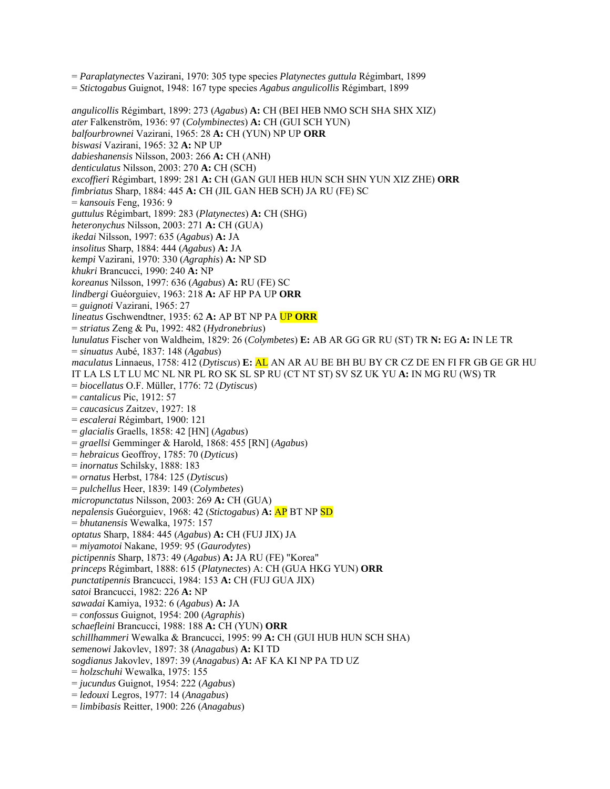= *Paraplatynectes* Vazirani, 1970: 305 type species *Platynectes guttula* Régimbart, 1899

= *Stictogabus* Guignot, 1948: 167 type species *Agabus angulicollis* Régimbart, 1899

*angulicollis* Régimbart, 1899: 273 (*Agabus*) **A:** CH (BEI HEB NMO SCH SHA SHX XIZ) *ater* Falkenström, 1936: 97 (*Colymbinectes*) **A:** CH (GUI SCH YUN) *balfourbrownei* Vazirani, 1965: 28 **A:** CH (YUN) NP UP **ORR**  *biswasi* Vazirani, 1965: 32 **A:** NP UP *dabieshanensis* Nilsson, 2003: 266 **A:** CH (ANH) *denticulatus* Nilsson, 2003: 270 **A:** CH (SCH) *excoffieri* Régimbart, 1899: 281 **A:** CH (GAN GUI HEB HUN SCH SHN YUN XIZ ZHE) **ORR**  *fimbriatus* Sharp, 1884: 445 **A:** CH (JIL GAN HEB SCH) JA RU (FE) SC = *kansouis* Feng, 1936: 9 *guttulus* Régimbart, 1899: 283 (*Platynectes*) **A:** CH (SHG) *heteronychus* Nilsson, 2003: 271 **A:** CH (GUA) *ikedai* Nilsson, 1997: 635 (*Agabus*) **A:** JA *insolitus* Sharp, 1884: 444 (*Agabus*) **A:** JA *kempi* Vazirani, 1970: 330 (*Agraphis*) **A:** NP SD *khukri* Brancucci, 1990: 240 **A:** NP *koreanus* Nilsson, 1997: 636 (*Agabus*) **A:** RU (FE) SC *lindbergi* Guéorguiev, 1963: 218 **A:** AF HP PA UP **ORR**  = *guignoti* Vazirani, 1965: 27 *lineatus* Gschwendtner, 1935: 62 **A:** AP BT NP PA UP **ORR** = *striatus* Zeng & Pu, 1992: 482 (*Hydronebrius*) *lunulatus* Fischer von Waldheim, 1829: 26 (*Colymbetes*) **E:** AB AR GG GR RU (ST) TR **N:** EG **A:** IN LE TR = *sinuatus* Aubé, 1837: 148 (*Agabus*) *maculatus* Linnaeus, 1758: 412 (*Dytiscus*) **E:** AL AN AR AU BE BH BU BY CR CZ DE EN FI FR GB GE GR HU IT LA LS LT LU MC NL NR PL RO SK SL SP RU (CT NT ST) SV SZ UK YU **A:** IN MG RU (WS) TR = *biocellatus* O.F. Müller, 1776: 72 (*Dytiscus*) = *cantalicus* Pic, 1912: 57 = *caucasicus* Zaitzev, 1927: 18 = *escalerai* Régimbart, 1900: 121 = *glacialis* Graells, 1858: 42 [HN] (*Agabus*) = *graellsi* Gemminger & Harold, 1868: 455 [RN] (*Agabus*) = *hebraicus* Geoffroy, 1785: 70 (*Dyticus*) = *inornatus* Schilsky, 1888: 183 = *ornatus* Herbst, 1784: 125 (*Dytiscus*) = *pulchellus* Heer, 1839: 149 (*Colymbetes*) *micropunctatus* Nilsson, 2003: 269 **A:** CH (GUA) *nepalensis* Guéorguiev, 1968: 42 (*Stictogabus*) **A:** AP BT NP SD = *bhutanensis* Wewalka, 1975: 157 *optatus* Sharp, 1884: 445 (*Agabus*) **A:** CH (FUJ JIX) JA = *miyamotoi* Nakane, 1959: 95 (*Gaurodytes*) *pictipennis* Sharp, 1873: 49 (*Agabus*) **A:** JA RU (FE) "Korea" *princeps* Régimbart, 1888: 615 (*Platynectes*) A: CH (GUA HKG YUN) **ORR**  *punctatipennis* Brancucci, 1984: 153 **A:** CH (FUJ GUA JIX) *satoi* Brancucci, 1982: 226 **A:** NP *sawadai* Kamiya, 1932: 6 (*Agabus*) **A:** JA = *confossus* Guignot, 1954: 200 (*Agraphis*) *schaefleini* Brancucci, 1988: 188 **A:** CH (YUN) **ORR**  *schillhammeri* Wewalka & Brancucci, 1995: 99 **A:** CH (GUI HUB HUN SCH SHA) *semenowi* Jakovlev, 1897: 38 (*Anagabus*) **A:** KI TD *sogdianus* Jakovlev, 1897: 39 (*Anagabus*) **A:** AF KA KI NP PA TD UZ = *holzschuhi* Wewalka, 1975: 155 = *jucundus* Guignot, 1954: 222 (*Agabus*) = *ledouxi* Legros, 1977: 14 (*Anagabus*) = *limbibasis* Reitter, 1900: 226 (*Anagabus*)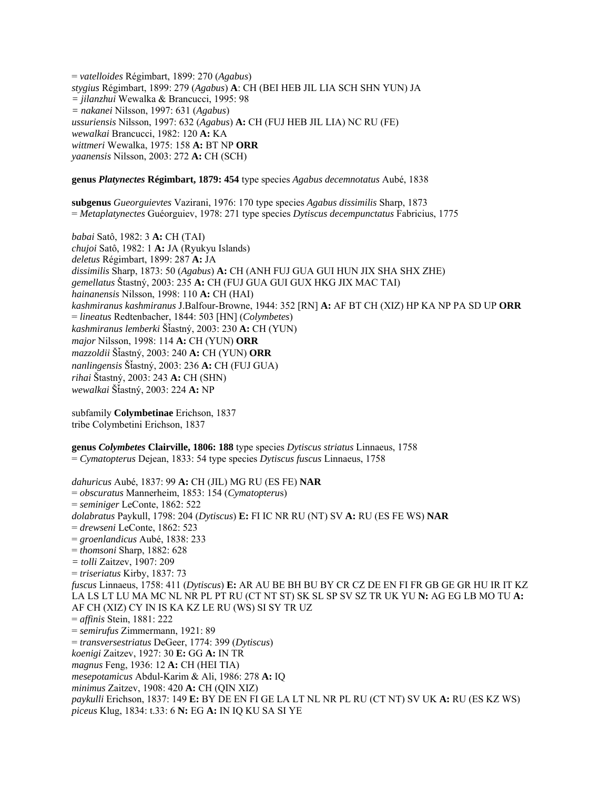= *vatelloides* Régimbart, 1899: 270 (*Agabus*) *stygius* Régimbart, 1899: 279 (*Agabus*) **A**: CH (BEI HEB JIL LIA SCH SHN YUN) JA *= jilanzhui* Wewalka & Brancucci, 1995: 98 *= nakanei* Nilsson, 1997: 631 (*Agabus*) *ussuriensis* Nilsson, 1997: 632 (*Agabus*) **A:** CH (FUJ HEB JIL LIA) NC RU (FE) *wewalkai* Brancucci, 1982: 120 **A:** KA *wittmeri* Wewalka, 1975: 158 **A:** BT NP **ORR**  *yaanensis* Nilsson, 2003: 272 **A:** CH (SCH)

### **genus** *Platynectes* **Régimbart, 1879: 454** type species *Agabus decemnotatus* Aubé, 1838

**subgenus** *Gueorguievtes* Vazirani, 1976: 170 type species *Agabus dissimilis* Sharp, 1873 = *Metaplatynectes* Guéorguiev, 1978: 271 type species *Dytiscus decempunctatus* Fabricius, 1775

*babai* Satô, 1982: 3 **A:** CH (TAI) *chujoi* Satô, 1982: 1 **A:** JA (Ryukyu Islands) *deletus* Régimbart, 1899: 287 **A:** JA *dissimilis* Sharp, 1873: 50 (*Agabus*) **A:** CH (ANH FUJ GUA GUI HUN JIX SHA SHX ZHE) *gemellatus* Štastný, 2003: 235 **A:** CH (FUJ GUA GUI GUX HKG JIX MAC TAI) *hainanensis* Nilsson, 1998: 110 **A:** CH (HAI) *kashmiranus kashmiranus* J.Balfour-Browne, 1944: 352 [RN] **A:** AF BT CH (XIZ) HP KA NP PA SD UP **ORR** = *lineatus* Redtenbacher, 1844: 503 [HN] (*Colymbetes*) *kashmiranus lemberki* ŠÄastný, 2003: 230 **A:** CH (YUN) *major* Nilsson, 1998: 114 **A:** CH (YUN) **ORR**  *mazzoldii* ŠÄastný, 2003: 240 **A:** CH (YUN) **ORR** *nanlingensis* ŠÄastný, 2003: 236 **A:** CH (FUJ GUA) *rihai* Štastný, 2003: 243 **A:** CH (SHN) *wewalkai* ŠÄastný, 2003: 224 **A:** NP

subfamily **Colymbetinae** Erichson, 1837 tribe Colymbetini Erichson, 1837

**genus** *Colymbetes* **Clairville, 1806: 188** type species *Dytiscus striatus* Linnaeus, 1758 = *Cymatopterus* Dejean, 1833: 54 type species *Dytiscus fuscus* Linnaeus, 1758

*dahuricus* Aubé, 1837: 99 **A:** CH (JIL) MG RU (ES FE) **NAR** = *obscuratus* Mannerheim, 1853: 154 (*Cymatopteru*s) = *seminiger* LeConte, 1862: 522 *dolabratus* Paykull, 1798: 204 (*Dytiscus*) **E:** FI IC NR RU (NT) SV **A:** RU (ES FE WS) **NAR**  = *drewseni* LeConte, 1862: 523 = *groenlandicus* Aubé, 1838: 233 = *thomsoni* Sharp, 1882: 628 *= tolli* Zaitzev, 1907: 209 = *triseriatus* Kirby, 1837: 73 *fuscus* Linnaeus, 1758: 411 (*Dytiscus*) **E:** AR AU BE BH BU BY CR CZ DE EN FI FR GB GE GR HU IR IT KZ LA LS LT LU MA MC NL NR PL PT RU (CT NT ST) SK SL SP SV SZ TR UK YU **N:** AG EG LB MO TU **A:**  AF CH (XIZ) CY IN IS KA KZ LE RU (WS) SI SY TR UZ = *affinis* Stein, 1881: 222 = *semirufus* Zimmermann, 1921: 89 = *transversestriatus* DeGeer, 1774: 399 (*Dytiscus*) *koenigi* Zaitzev, 1927: 30 **E:** GG **A:** IN TR *magnus* Feng, 1936: 12 **A:** CH (HEI TIA) *mesepotamicus* Abdul-Karim & Ali, 1986: 278 **A:** IQ *minimus* Zaitzev, 1908: 420 **A:** CH (QIN XIZ) *paykulli* Erichson, 1837: 149 **E:** BY DE EN FI GE LA LT NL NR PL RU (CT NT) SV UK **A:** RU (ES KZ WS) *piceus* Klug, 1834: t.33: 6 **N:** EG **A:** IN IQ KU SA SI YE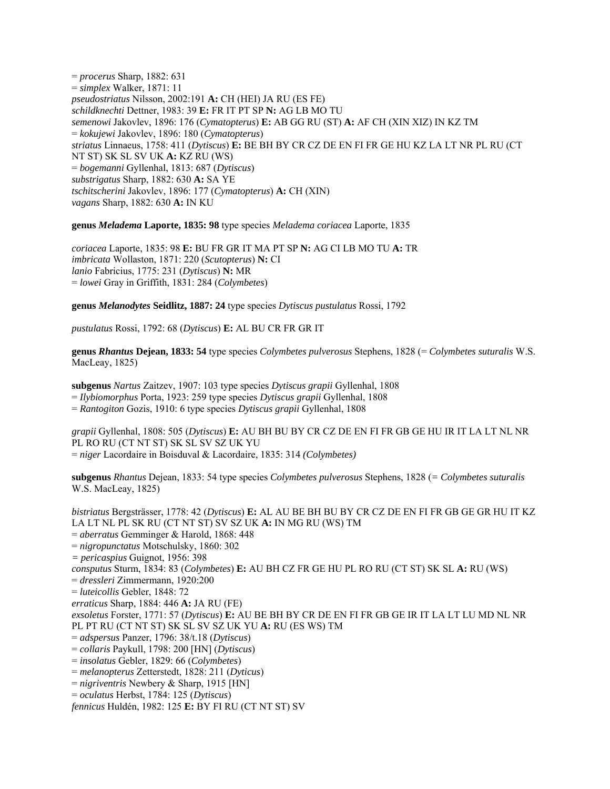= *procerus* Sharp, 1882: 631 = *simplex* Walker, 1871: 11 *pseudostriatus* Nilsson, 2002:191 **A:** CH (HEI) JA RU (ES FE) *schildknechti* Dettner, 1983: 39 **E:** FR IT PT SP **N:** AG LB MO TU *semenowi* Jakovlev, 1896: 176 (*Cymatopterus*) **E:** AB GG RU (ST) **A:** AF CH (XIN XIZ) IN KZ TM = *kokujewi* Jakovlev, 1896: 180 (*Cymatopterus*) *striatus* Linnaeus, 1758: 411 (*Dytiscus*) **E:** BE BH BY CR CZ DE EN FI FR GE HU KZ LA LT NR PL RU (CT NT ST) SK SL SV UK **A:** KZ RU (WS) = *bogemanni* Gyllenhal, 1813: 687 (*Dytiscus*) *substrigatus* Sharp, 1882: 630 **A:** SA YE *tschitscherini* Jakovlev, 1896: 177 (*Cymatopterus*) **A:** CH (XIN) *vagans* Sharp, 1882: 630 **A:** IN KU

**genus** *Meladema* **Laporte, 1835: 98** type species *Meladema coriacea* Laporte, 1835

*coriacea* Laporte, 1835: 98 **E:** BU FR GR IT MA PT SP **N:** AG CI LB MO TU **A:** TR *imbricata* Wollaston, 1871: 220 (*Scutopterus*) **N:** CI *lanio* Fabricius, 1775: 231 (*Dytiscus*) **N:** MR = *lowei* Gray in Griffith, 1831: 284 (*Colymbetes*)

**genus** *Melanodytes* **Seidlitz, 1887: 24** type species *Dytiscus pustulatus* Rossi, 1792

*pustulatus* Rossi, 1792: 68 (*Dytiscus*) **E:** AL BU CR FR GR IT

**genus** *Rhantus* **Dejean, 1833: 54** type species *Colymbetes pulverosus* Stephens, 1828 (= *Colymbetes suturalis* W.S. MacLeay, 1825)

**subgenus** *Nartus* Zaitzev, 1907: 103 type species *Dytiscus grapii* Gyllenhal, 1808 = *Ilybiomorphus* Porta, 1923: 259 type species *Dytiscus grapii* Gyllenhal, 1808 = *Rantogiton* Gozis, 1910: 6 type species *Dytiscus grapii* Gyllenhal, 1808

*grapii* Gyllenhal, 1808: 505 (*Dytiscus*) **E:** AU BH BU BY CR CZ DE EN FI FR GB GE HU IR IT LA LT NL NR PL RO RU (CT NT ST) SK SL SV SZ UK YU = *niger* Lacordaire in Boisduval & Lacordaire, 1835: 314 *(Colymbetes)* 

**subgenus** *Rhantus* Dejean, 1833: 54 type species *Colymbetes pulverosus* Stephens, 1828 (*= Colymbetes suturalis* W.S. MacLeay, 1825)

*bistriatus* Bergsträsser, 1778: 42 (*Dytiscus*) **E:** AL AU BE BH BU BY CR CZ DE EN FI FR GB GE GR HU IT KZ LA LT NL PL SK RU (CT NT ST) SV SZ UK **A:** IN MG RU (WS) TM = *aberratus* Gemminger & Harold, 1868: 448 = *nigropunctatus* Motschulsky, 1860: 302 *= pericaspius* Guignot, 1956: 398 *consputus* Sturm, 1834: 83 (*Colymbetes*) **E:** AU BH CZ FR GE HU PL RO RU (CT ST) SK SL **A:** RU (WS) = *dressleri* Zimmermann, 1920:200 = *luteicollis* Gebler, 1848: 72 *erraticus* Sharp, 1884: 446 **A:** JA RU (FE) *exsoletus* Forster, 1771: 57 (*Dytiscus*) **E:** AU BE BH BY CR DE EN FI FR GB GE IR IT LA LT LU MD NL NR PL PT RU (CT NT ST) SK SL SV SZ UK YU **A:** RU (ES WS) TM = *adspersus* Panzer, 1796: 38/t.18 (*Dytiscus*) = *collaris* Paykull, 1798: 200 [HN] (*Dytiscus*) = *insolatus* Gebler, 1829: 66 (*Colymbetes*) = *melanopterus* Zetterstedt, 1828: 211 (*Dyticus*) = *nigriventris* Newbery & Sharp, 1915 [HN] = *oculatus* Herbst, 1784: 125 (*Dytiscus*) *fennicus* Huldén, 1982: 125 **E:** BY FI RU (CT NT ST) SV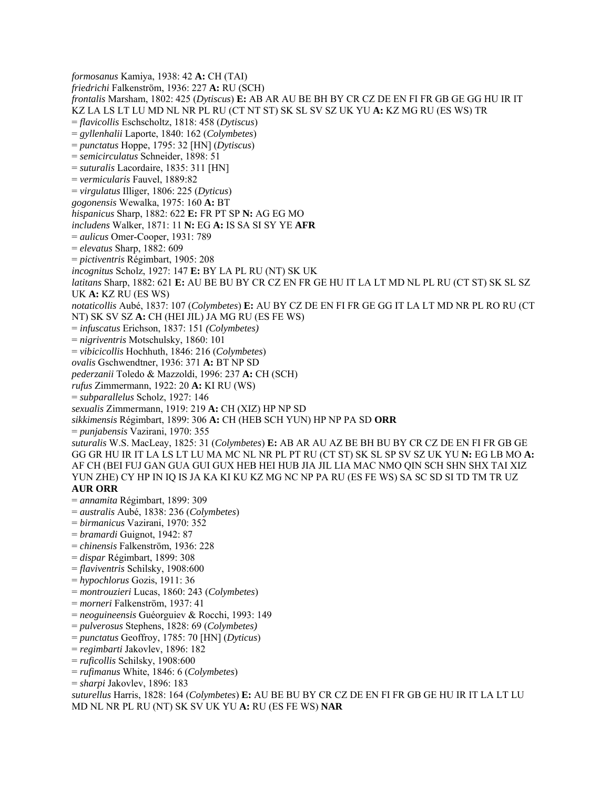*formosanus* Kamiya, 1938: 42 **A:** CH (TAI) *friedrichi* Falkenström, 1936: 227 **A:** RU (SCH) *frontalis* Marsham, 1802: 425 (*Dytiscus*) **E:** AB AR AU BE BH BY CR CZ DE EN FI FR GB GE GG HU IR IT KZ LA LS LT LU MD NL NR PL RU (CT NT ST) SK SL SV SZ UK YU **A:** KZ MG RU (ES WS) TR = *flavicollis* Eschscholtz, 1818: 458 (*Dytiscus*) = *gyllenhalii* Laporte, 1840: 162 (*Colymbetes*) = *punctatus* Hoppe, 1795: 32 [HN] (*Dytiscus*) = *semicirculatus* Schneider, 1898: 51 = *suturalis* Lacordaire, 1835: 311 [HN] = *vermicularis* Fauvel, 1889:82 = *virgulatus* Illiger, 1806: 225 (*Dyticus*) *gogonensis* Wewalka, 1975: 160 **A:** BT *hispanicus* Sharp, 1882: 622 **E:** FR PT SP **N:** AG EG MO *includens* Walker, 1871: 11 **N:** EG **A:** IS SA SI SY YE **AFR**  = *aulicus* Omer-Cooper, 1931: 789 = *elevatus* Sharp, 1882: 609 = *pictiventris* Régimbart, 1905: 208 *incognitus* Scholz, 1927: 147 **E:** BY LA PL RU (NT) SK UK *latitans* Sharp, 1882: 621 **E:** AU BE BU BY CR CZ EN FR GE HU IT LA LT MD NL PL RU (CT ST) SK SL SZ UK **A:** KZ RU (ES WS) *notaticollis* Aubé, 1837: 107 (*Colymbetes*) **E:** AU BY CZ DE EN FI FR GE GG IT LA LT MD NR PL RO RU (CT NT) SK SV SZ **A:** CH (HEI JIL) JA MG RU (ES FE WS) = *infuscatus* Erichson, 1837: 151 *(Colymbetes)*  = *nigriventris* Motschulsky, 1860: 101 = *vibicicollis* Hochhuth, 1846: 216 (*Colymbetes*) *ovalis* Gschwendtner, 1936: 371 **A:** BT NP SD *pederzanii* Toledo & Mazzoldi, 1996: 237 **A:** CH (SCH) *rufus* Zimmermann, 1922: 20 **A:** KI RU (WS) = *subparallelus* Scholz, 1927: 146 *sexualis* Zimmermann, 1919: 219 **A:** CH (XIZ) HP NP SD *sikkimensis* Régimbart, 1899: 306 **A:** CH (HEB SCH YUN) HP NP PA SD **ORR**  = *punjabensis* Vazirani, 1970: 355 *suturalis* W.S. MacLeay, 1825: 31 (*Colymbetes*) **E:** AB AR AU AZ BE BH BU BY CR CZ DE EN FI FR GB GE GG GR HU IR IT LA LS LT LU MA MC NL NR PL PT RU (CT ST) SK SL SP SV SZ UK YU **N:** EG LB MO **A:** AF CH (BEI FUJ GAN GUA GUI GUX HEB HEI HUB JIA JIL LIA MAC NMO QIN SCH SHN SHX TAI XIZ YUN ZHE) CY HP IN IQ IS JA KA KI KU KZ MG NC NP PA RU (ES FE WS) SA SC SD SI TD TM TR UZ **AUR ORR**  = *annamita* Régimbart, 1899: 309 = *australis* Aubé, 1838: 236 (*Colymbetes*) = *birmanicus* Vazirani, 1970: 352 = *bramardi* Guignot, 1942: 87 = *chinensis* Falkenström, 1936: 228 = *dispar* Régimbart, 1899: 308 = *flaviventris* Schilsky, 1908:600 = *hypochlorus* Gozis, 1911: 36 = *montrouzieri* Lucas, 1860: 243 (*Colymbetes*) = *morneri* Falkenström, 1937: 41 = *neoguineensis* Guéorguiev & Rocchi, 1993: 149 = *pulverosus* Stephens, 1828: 69 (*Colymbetes)* = *punctatus* Geoffroy, 1785: 70 [HN] (*Dyticus*) = *regimbarti* Jakovlev, 1896: 182 = *ruficollis* Schilsky, 1908:600 = *rufimanus* White, 1846: 6 (*Colymbetes*) = *sharpi* Jakovlev, 1896: 183 *suturellus* Harris, 1828: 164 (*Colymbetes*) **E:** AU BE BU BY CR CZ DE EN FI FR GB GE HU IR IT LA LT LU MD NL NR PL RU (NT) SK SV UK YU **A:** RU (ES FE WS) **NAR**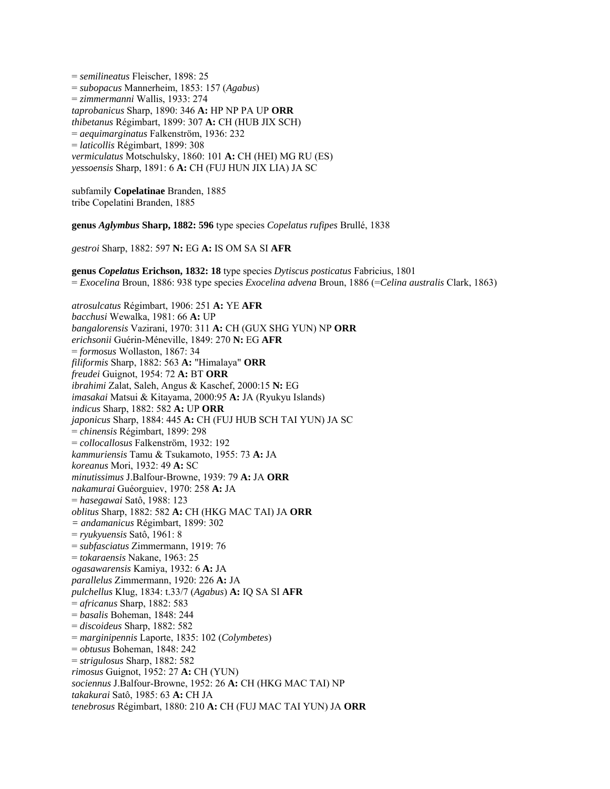= *semilineatus* Fleischer, 1898: 25 = *subopacus* Mannerheim, 1853: 157 (*Agabus*) = *zimmermanni* Wallis, 1933: 274 *taprobanicus* Sharp, 1890: 346 **A:** HP NP PA UP **ORR**  *thibetanus* Régimbart, 1899: 307 **A:** CH (HUB JIX SCH) = *aequimarginatus* Falkenström, 1936: 232 = *laticollis* Régimbart, 1899: 308 *vermiculatus* Motschulsky, 1860: 101 **A:** CH (HEI) MG RU (ES) *yessoensis* Sharp, 1891: 6 **A:** CH (FUJ HUN JIX LIA) JA SC

subfamily **Copelatinae** Branden, 1885 tribe Copelatini Branden, 1885

**genus** *Aglymbus* **Sharp, 1882: 596** type species *Copelatus rufipes* Brullé, 1838

*gestroi* Sharp, 1882: 597 **N:** EG **A:** IS OM SA SI **AFR** 

**genus** *Copelatus* **Erichson, 1832: 18** type species *Dytiscus posticatus* Fabricius, 1801 = *Exocelina* Broun, 1886: 938 type species *Exocelina advena* Broun, 1886 (=*Celina australis* Clark, 1863)

*atrosulcatus* Régimbart, 1906: 251 **A:** YE **AFR**  *bacchusi* Wewalka, 1981: 66 **A:** UP *bangalorensis* Vazirani, 1970: 311 **A:** CH (GUX SHG YUN) NP **ORR**  *erichsonii* Guérin-Méneville, 1849: 270 **N:** EG **AFR**  = *formosus* Wollaston, 1867: 34 *filiformis* Sharp, 1882: 563 **A:** "Himalaya" **ORR**  *freudei* Guignot, 1954: 72 **A:** BT **ORR**  *ibrahimi* Zalat, Saleh, Angus & Kaschef, 2000:15 **N:** EG *imasakai* Matsui & Kitayama, 2000:95 **A:** JA (Ryukyu Islands) *indicus* Sharp, 1882: 582 **A:** UP **ORR**  *japonicus* Sharp, 1884: 445 **A:** CH (FUJ HUB SCH TAI YUN) JA SC = *chinensis* Régimbart, 1899: 298 = *collocallosus* Falkenström, 1932: 192 *kammuriensis* Tamu & Tsukamoto, 1955: 73 **A:** JA *koreanus* Mori, 1932: 49 **A:** SC *minutissimus* J.Balfour-Browne, 1939: 79 **A:** JA **ORR**  *nakamurai* Guéorguiev, 1970: 258 **A:** JA = *hasegawai* Satô, 1988: 123 *oblitus* Sharp, 1882: 582 **A:** CH (HKG MAC TAI) JA **ORR** *= andamanicus* Régimbart, 1899: 302 = *ryukyuensis* Satô, 1961: 8 = *subfasciatus* Zimmermann, 1919: 76 = *tokaraensis* Nakane, 1963: 25 *ogasawarensis* Kamiya, 1932: 6 **A:** JA *parallelus* Zimmermann, 1920: 226 **A:** JA *pulchellus* Klug, 1834: t.33/7 (*Agabus*) **A:** IQ SA SI **AFR**  = *africanus* Sharp, 1882: 583 = *basalis* Boheman, 1848: 244 = *discoideus* Sharp, 1882: 582 = *marginipennis* Laporte, 1835: 102 (*Colymbetes*) = *obtusus* Boheman, 1848: 242 = *strigulosus* Sharp, 1882: 582 *rimosus* Guignot, 1952: 27 **A:** CH (YUN) *sociennus* J.Balfour-Browne, 1952: 26 **A:** CH (HKG MAC TAI) NP *takakurai* Satô, 1985: 63 **A:** CH JA *tenebrosus* Régimbart, 1880: 210 **A:** CH (FUJ MAC TAI YUN) JA **ORR**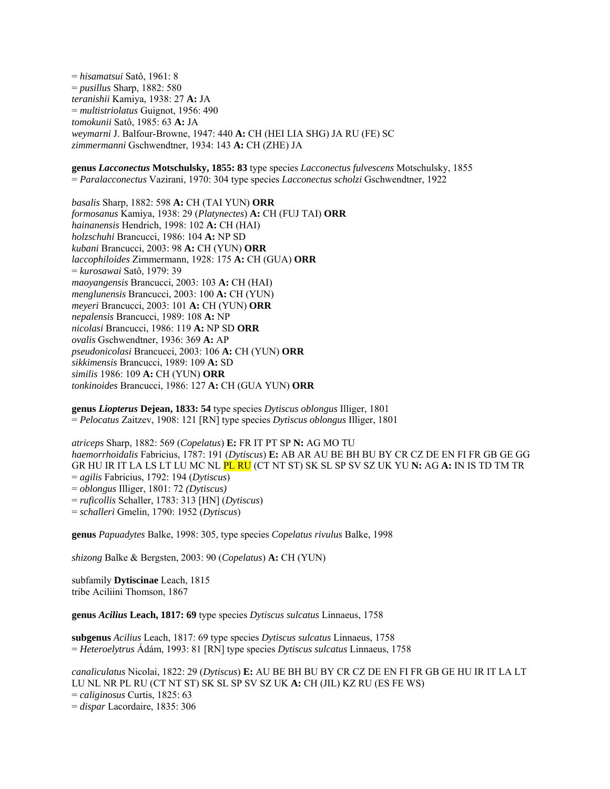= *hisamatsui* Satô, 1961: 8 = *pusillus* Sharp, 1882: 580 *teranishii* Kamiya, 1938: 27 **A:** JA = *multistriolatus* Guignot, 1956: 490 *tomokunii* Satô, 1985: 63 **A:** JA *weymarni* J. Balfour-Browne, 1947: 440 **A:** CH (HEI LIA SHG) JA RU (FE) SC *zimmermanni* Gschwendtner, 1934: 143 **A:** CH (ZHE) JA

**genus** *Lacconectus* **Motschulsky, 1855: 83** type species *Lacconectus fulvescens* Motschulsky, 1855 = *Paralacconectus* Vazirani, 1970: 304 type species *Lacconectus scholzi* Gschwendtner, 1922

*basalis* Sharp, 1882: 598 **A:** CH (TAI YUN) **ORR**  *formosanus* Kamiya, 1938: 29 (*Platynectes*) **A:** CH (FUJ TAI) **ORR** *hainanensis* Hendrich, 1998: 102 **A:** CH (HAI) *holzschuhi* Brancucci, 1986: 104 **A:** NP SD *kubani* Brancucci, 2003: 98 **A:** CH (YUN) **ORR** *laccophiloides* Zimmermann, 1928: 175 **A:** CH (GUA) **ORR**  = *kurosawai* Satô, 1979: 39 *maoyangensis* Brancucci, 2003: 103 **A:** CH (HAI) *menglunensis* Brancucci, 2003: 100 **A:** CH (YUN) *meyeri* Brancucci, 2003: 101 **A:** CH (YUN) **ORR** *nepalensis* Brancucci, 1989: 108 **A:** NP *nicolasi* Brancucci, 1986: 119 **A:** NP SD **ORR**  *ovalis* Gschwendtner, 1936: 369 **A:** AP *pseudonicolasi* Brancucci, 2003: 106 **A:** CH (YUN) **ORR** *sikkimensis* Brancucci, 1989: 109 **A:** SD *similis* 1986: 109 **A:** CH (YUN) **ORR** *tonkinoides* Brancucci, 1986: 127 **A:** CH (GUA YUN) **ORR**

**genus** *Liopterus* **Dejean, 1833: 54** type species *Dytiscus oblongus* Illiger, 1801 = *Pelocatus* Zaitzev, 1908: 121 [RN] type species *Dytiscus oblongus* Illiger, 1801

*atriceps* Sharp, 1882: 569 (*Copelatus*) **E:** FR IT PT SP **N:** AG MO TU *haemorrhoidalis* Fabricius, 1787: 191 (*Dytiscus*) **E:** AB AR AU BE BH BU BY CR CZ DE EN FI FR GB GE GG GR HU IR IT LA LS LT LU MC NL PL RU (CT NT ST) SK SL SP SV SZ UK YU **N:** AG **A:** IN IS TD TM TR = *agilis* Fabricius, 1792: 194 (*Dytiscus*) = *oblongus* Illiger, 1801: 72 *(Dytiscus)*  = *ruficollis* Schaller, 1783: 313 [HN] (*Dytiscus*) = *schalleri* Gmelin, 1790: 1952 (*Dytiscus*)

**genus** *Papuadytes* Balke, 1998: 305, type species *Copelatus rivulus* Balke, 1998

*shizong* Balke & Bergsten, 2003: 90 (*Copelatus*) **A:** CH (YUN)

subfamily **Dytiscinae** Leach, 1815 tribe Aciliini Thomson, 1867

**genus** *Acilius* **Leach, 1817: 69** type species *Dytiscus sulcatus* Linnaeus, 1758

**subgenus** *Acilius* Leach, 1817: 69 type species *Dytiscus sulcatus* Linnaeus, 1758 = *Heteroelytrus* Ádám, 1993: 81 [RN] type species *Dytiscus sulcatus* Linnaeus, 1758

*canaliculatus* Nicolai, 1822: 29 (*Dytiscus*) **E:** AU BE BH BU BY CR CZ DE EN FI FR GB GE HU IR IT LA LT LU NL NR PL RU (CT NT ST) SK SL SP SV SZ UK **A:** CH (JIL) KZ RU (ES FE WS) = *caliginosus* Curtis, 1825: 63 = *dispar* Lacordaire, 1835: 306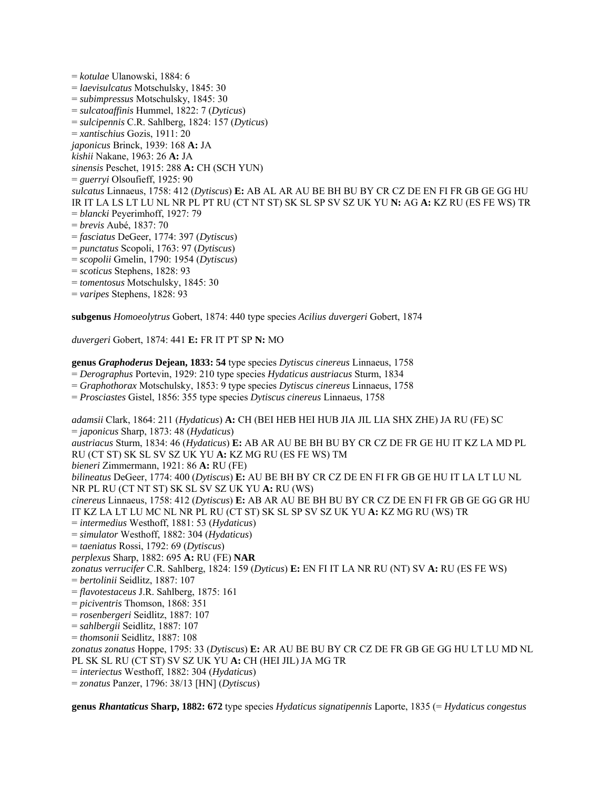= *kotulae* Ulanowski, 1884: 6 = *laevisulcatus* Motschulsky, 1845: 30 = *subimpressus* Motschulsky, 1845: 30 = *sulcatoaffinis* Hummel, 1822: 7 (*Dyticus*) = *sulcipennis* C.R. Sahlberg, 1824: 157 (*Dyticus*) = *xantischius* Gozis, 1911: 20 *japonicus* Brinck, 1939: 168 **A:** JA *kishii* Nakane, 1963: 26 **A:** JA *sinensis* Peschet, 1915: 288 **A:** CH (SCH YUN) = *guerryi* Olsoufieff, 1925: 90 *sulcatus* Linnaeus, 1758: 412 (*Dytiscus*) **E:** AB AL AR AU BE BH BU BY CR CZ DE EN FI FR GB GE GG HU IR IT LA LS LT LU NL NR PL PT RU (CT NT ST) SK SL SP SV SZ UK YU **N:** AG **A:** KZ RU (ES FE WS) TR = *blancki* Peyerimhoff, 1927: 79 = *brevis* Aubé, 1837: 70 = *fasciatus* DeGeer, 1774: 397 (*Dytiscus*) = *punctatus* Scopoli, 1763: 97 (*Dytiscus*) = *scopolii* Gmelin, 1790: 1954 (*Dytiscus*) = *scoticus* Stephens, 1828: 93 = *tomentosus* Motschulsky, 1845: 30

= *varipes* Stephens, 1828: 93

**subgenus** *Homoeolytrus* Gobert, 1874: 440 type species *Acilius duvergeri* Gobert, 1874

*duvergeri* Gobert, 1874: 441 **E:** FR IT PT SP **N:** MO

**genus** *Graphoderus* **Dejean, 1833: 54** type species *Dytiscus cinereus* Linnaeus, 1758

= *Derographus* Portevin, 1929: 210 type species *Hydaticus austriacus* Sturm, 1834

= *Graphothorax* Motschulsky, 1853: 9 type species *Dytiscus cinereus* Linnaeus, 1758

= *Prosciastes* Gistel, 1856: 355 type species *Dytiscus cinereus* Linnaeus, 1758

*adamsii* Clark, 1864: 211 (*Hydaticus*) **A:** CH (BEI HEB HEI HUB JIA JIL LIA SHX ZHE) JA RU (FE) SC = *japonicus* Sharp, 1873: 48 (*Hydaticus*)

*austriacus* Sturm, 1834: 46 (*Hydaticus*) **E:** AB AR AU BE BH BU BY CR CZ DE FR GE HU IT KZ LA MD PL RU (CT ST) SK SL SV SZ UK YU **A:** KZ MG RU (ES FE WS) TM

*bieneri* Zimmermann, 1921: 86 **A:** RU (FE)

*bilineatus* DeGeer, 1774: 400 (*Dytiscus*) **E:** AU BE BH BY CR CZ DE EN FI FR GB GE HU IT LA LT LU NL NR PL RU (CT NT ST) SK SL SV SZ UK YU **A:** RU (WS)

*cinereus* Linnaeus, 1758: 412 (*Dytiscus*) **E:** AB AR AU BE BH BU BY CR CZ DE EN FI FR GB GE GG GR HU IT KZ LA LT LU MC NL NR PL RU (CT ST) SK SL SP SV SZ UK YU **A:** KZ MG RU (WS) TR

= *intermedius* Westhoff, 1881: 53 (*Hydaticus*)

= *simulator* Westhoff, 1882: 304 (*Hydaticus*)

= *taeniatus* Rossi, 1792: 69 (*Dytiscus*)

*perplexus* Sharp, 1882: 695 **A:** RU (FE) **NAR**

*zonatus verrucifer* C.R. Sahlberg, 1824: 159 (*Dyticus*) **E:** EN FI IT LA NR RU (NT) SV **A:** RU (ES FE WS)

= *bertolinii* Seidlitz, 1887: 107

= *flavotestaceus* J.R. Sahlberg, 1875: 161

= *piciventris* Thomson, 1868: 351

= *rosenbergeri* Seidlitz, 1887: 107

= *sahlbergii* Seidlitz, 1887: 107

= *thomsonii* Seidlitz, 1887: 108

*zonatus zonatus* Hoppe, 1795: 33 (*Dytiscus*) **E:** AR AU BE BU BY CR CZ DE FR GB GE GG HU LT LU MD NL PL SK SL RU (CT ST) SV SZ UK YU **A:** CH (HEI JIL) JA MG TR

= *interiectus* Westhoff, 1882: 304 (*Hydaticus*)

= *zonatus* Panzer, 1796: 38/13 [HN] (*Dytiscus*)

**genus** *Rhantaticus* **Sharp, 1882: 672** type species *Hydaticus signatipennis* Laporte, 1835 (= *Hydaticus congestus*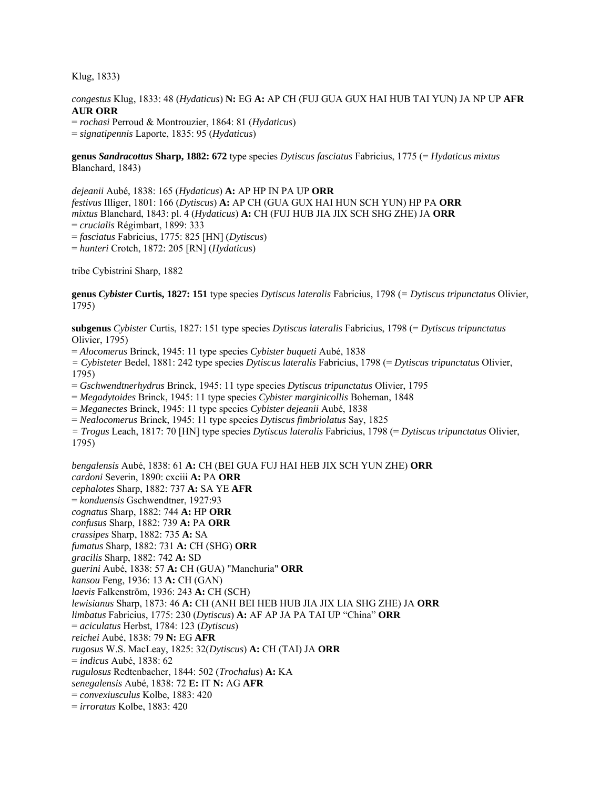Klug, 1833)

*congestus* Klug, 1833: 48 (*Hydaticus*) **N:** EG **A:** AP CH (FUJ GUA GUX HAI HUB TAI YUN) JA NP UP **AFR AUR ORR**

= *rochasi* Perroud & Montrouzier, 1864: 81 (*Hydaticus*) = *signatipennis* Laporte, 1835: 95 (*Hydaticus*)

**genus** *Sandracottus* **Sharp, 1882: 672** type species *Dytiscus fasciatus* Fabricius, 1775 (= *Hydaticus mixtus* Blanchard, 1843)

*dejeanii* Aubé, 1838: 165 (*Hydaticus*) **A:** AP HP IN PA UP **ORR**  *festivus* Illiger, 1801: 166 (*Dytiscus*) **A:** AP CH (GUA GUX HAI HUN SCH YUN) HP PA **ORR**  *mixtus* Blanchard, 1843: pl. 4 (*Hydaticus*) **A:** CH (FUJ HUB JIA JIX SCH SHG ZHE) JA **ORR**  = *crucialis* Régimbart, 1899: 333 = *fasciatus* Fabricius, 1775: 825 [HN] (*Dytiscus*) = *hunteri* Crotch, 1872: 205 [RN] (*Hydaticus*)

tribe Cybistrini Sharp, 1882

**genus** *Cybister* **Curtis, 1827: 151** type species *Dytiscus lateralis* Fabricius, 1798 (*= Dytiscus tripunctatus* Olivier, 1795)

**subgenus** *Cybister* Curtis, 1827: 151 type species *Dytiscus lateralis* Fabricius, 1798 (= *Dytiscus tripunctatus* Olivier, 1795)

= *Alocomerus* Brinck, 1945: 11 type species *Cybister buqueti* Aubé, 1838

*= Cybisteter* Bedel, 1881: 242 type species *Dytiscus lateralis* Fabricius, 1798 (= *Dytiscus tripunctatus* Olivier, 1795)

= *Gschwendtnerhydrus* Brinck, 1945: 11 type species *Dytiscus tripunctatus* Olivier, 1795

= *Megadytoides* Brinck, 1945: 11 type species *Cybister marginicollis* Boheman, 1848

= *Meganectes* Brinck, 1945: 11 type species *Cybister dejeanii* Aubé, 1838

= *Nealocomerus* Brinck, 1945: 11 type species *Dytiscus fimbriolatus* Say, 1825

*= Trogus* Leach, 1817: 70 [HN] type species *Dytiscus lateralis* Fabricius, 1798 (= *Dytiscus tripunctatus* Olivier, 1795)

*bengalensis* Aubé, 1838: 61 **A:** CH (BEI GUA FUJ HAI HEB JIX SCH YUN ZHE) **ORR**  *cardoni* Severin, 1890: cxciii **A:** PA **ORR**  *cephalotes* Sharp, 1882: 737 **A:** SA YE **AFR**  = *konduensis* Gschwendtner, 1927:93 *cognatus* Sharp, 1882: 744 **A:** HP **ORR**  *confusus* Sharp, 1882: 739 **A:** PA **ORR**  *crassipes* Sharp, 1882: 735 **A:** SA *fumatus* Sharp, 1882: 731 **A:** CH (SHG) **ORR**  *gracilis* Sharp, 1882: 742 **A:** SD *guerini* Aubé, 1838: 57 **A:** CH (GUA) "Manchuria" **ORR**  *kansou* Feng, 1936: 13 **A:** CH (GAN) *laevis* Falkenström, 1936: 243 **A:** CH (SCH) *lewisianus* Sharp, 1873: 46 **A:** CH (ANH BEI HEB HUB JIA JIX LIA SHG ZHE) JA **ORR**  *limbatus* Fabricius, 1775: 230 (*Dytiscus*) **A:** AF AP JA PA TAI UP "China" **ORR**  = *aciculatus* Herbst, 1784: 123 (*Dytiscus*) *reichei* Aubé, 1838: 79 **N:** EG **AFR**  *rugosus* W.S. MacLeay, 1825: 32(*Dytiscus*) **A:** CH (TAI) JA **ORR**  = *indicus* Aubé, 1838: 62 *rugulosus* Redtenbacher, 1844: 502 (*Trochalus*) **A:** KA *senegalensis* Aubé, 1838: 72 **E:** IT **N:** AG **AFR**  = *convexiusculus* Kolbe, 1883: 420 = *irroratus* Kolbe, 1883: 420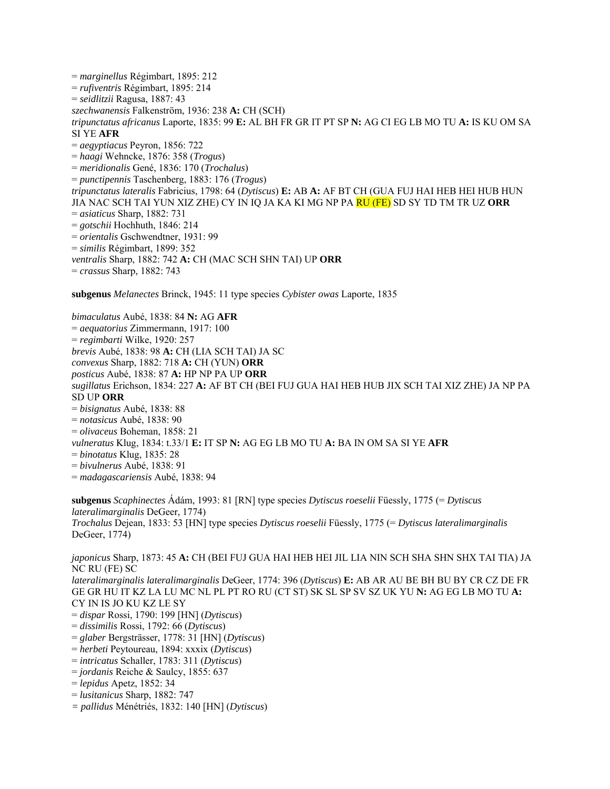= *marginellus* Régimbart, 1895: 212 = *rufiventris* Régimbart, 1895: 214 = *seidlitzii* Ragusa, 1887: 43 *szechwanensis* Falkenström, 1936: 238 **A:** CH (SCH) *tripunctatus africanus* Laporte, 1835: 99 **E:** AL BH FR GR IT PT SP **N:** AG CI EG LB MO TU **A:** IS KU OM SA SI YE **AFR**  = *aegyptiacus* Peyron, 1856: 722 = *haagi* Wehncke, 1876: 358 (*Trogus*) = *meridionalis* Gené, 1836: 170 (*Trochalus*) = *punctipennis* Taschenberg, 1883: 176 (*Trogus*) *tripunctatus lateralis* Fabricius, 1798: 64 (*Dytiscus*) **E:** AB **A:** AF BT CH (GUA FUJ HAI HEB HEI HUB HUN JIA NAC SCH TAI YUN XIZ ZHE) CY IN IQ JA KA KI MG NP PA RU (FE) SD SY TD TM TR UZ **ORR**  = *asiaticus* Sharp, 1882: 731 = *gotschii* Hochhuth, 1846: 214 = *orientalis* Gschwendtner, 1931: 99 = *similis* Régimbart, 1899: 352 *ventralis* Sharp, 1882: 742 **A:** CH (MAC SCH SHN TAI) UP **ORR**  = *crassus* Sharp, 1882: 743

**subgenus** *Melanectes* Brinck, 1945: 11 type species *Cybister owas* Laporte, 1835

*bimaculatus* Aubé, 1838: 84 **N:** AG **AFR**  = *aequatorius* Zimmermann, 1917: 100 = *regimbarti* Wilke, 1920: 257 *brevis* Aubé, 1838: 98 **A:** CH (LIA SCH TAI) JA SC *convexus* Sharp, 1882: 718 **A:** CH (YUN) **ORR**  *posticus* Aubé, 1838: 87 **A:** HP NP PA UP **ORR**  *sugillatus* Erichson, 1834: 227 **A:** AF BT CH (BEI FUJ GUA HAI HEB HUB JIX SCH TAI XIZ ZHE) JA NP PA SD UP **ORR**  = *bisignatus* Aubé, 1838: 88 = *notasicus* Aubé, 1838: 90 = *olivaceus* Boheman, 1858: 21 *vulneratus* Klug, 1834: t.33/1 **E:** IT SP **N:** AG EG LB MO TU **A:** BA IN OM SA SI YE **AFR**  = *binotatus* Klug, 1835: 28 = *bivulnerus* Aubé, 1838: 91 = *madagascariensis* Aubé, 1838: 94

**subgenus** *Scaphinectes* Ádám, 1993: 81 [RN] type species *Dytiscus roeselii* Füessly, 1775 (= *Dytiscus lateralimarginalis* DeGeer, 1774) *Trochalus* Dejean, 1833: 53 [HN] type species *Dytiscus roeselii* Füessly, 1775 (= *Dytiscus lateralimarginalis* DeGeer, 1774)

*japonicus* Sharp, 1873: 45 **A:** CH (BEI FUJ GUA HAI HEB HEI JIL LIA NIN SCH SHA SHN SHX TAI TIA) JA NC RU (FE) SC *lateralimarginalis lateralimarginalis* DeGeer, 1774: 396 (*Dytiscus*) **E:** AB AR AU BE BH BU BY CR CZ DE FR GE GR HU IT KZ LA LU MC NL PL PT RO RU (CT ST) SK SL SP SV SZ UK YU **N:** AG EG LB MO TU **A:**  CY IN IS JO KU KZ LE SY = *dispar* Rossi, 1790: 199 [HN] (*Dytiscus*) = *dissimilis* Rossi, 1792: 66 (*Dytiscus*)

- = *glaber* Bergsträsser, 1778: 31 [HN] (*Dytiscus*)
- = *herbeti* Peytoureau, 1894: xxxix (*Dytiscus*)
- = *intricatus* Schaller, 1783: 311 (*Dytiscus*)
- = *jordanis* Reiche & Saulcy, 1855: 637
- = *lepidus* Apetz, 1852: 34
- = *lusitanicus* Sharp, 1882: 747
- *= pallidus* Ménétriés, 1832: 140 [HN] (*Dytiscus*)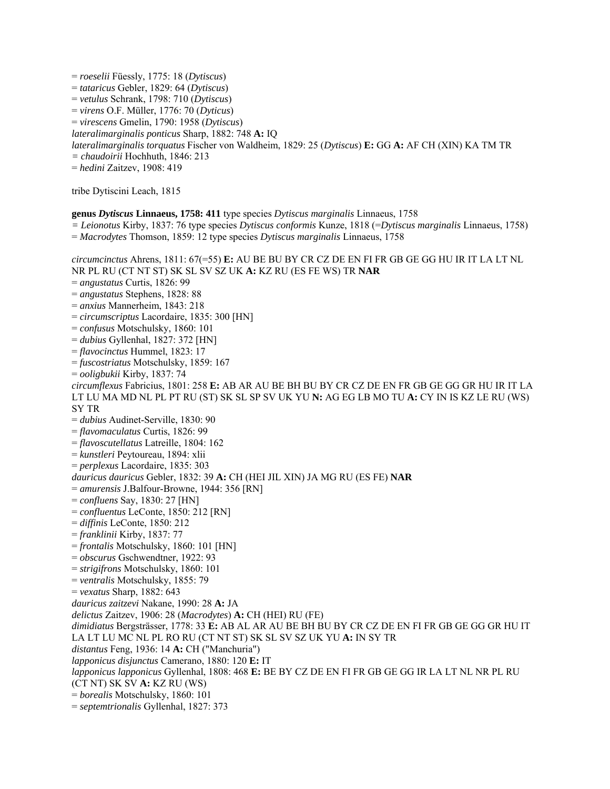= *roeselii* Füessly, 1775: 18 (*Dytiscus*) = *tataricus* Gebler, 1829: 64 (*Dytiscus*) = *vetulus* Schrank, 1798: 710 (*Dytiscus*) = *virens* O.F. Müller, 1776: 70 (*Dyticus*) = *virescens* Gmelin, 1790: 1958 (*Dytiscus*) *lateralimarginalis ponticus* Sharp, 1882: 748 **A:** IQ *lateralimarginalis torquatus* Fischer von Waldheim, 1829: 25 (*Dytiscus*) **E:** GG **A:** AF CH (XIN) KA TM TR *= chaudoirii* Hochhuth, 1846: 213 = *hedini* Zaitzev, 1908: 419 tribe Dytiscini Leach, 1815 **genus** *Dytiscus* **Linnaeus, 1758: 411** type species *Dytiscus marginalis* Linnaeus, 1758 *= Leionotus* Kirby, 1837: 76 type species *Dytiscus conformis* Kunze, 1818 (=*Dytiscus marginalis* Linnaeus, 1758) = *Macrodytes* Thomson, 1859: 12 type species *Dytiscus marginalis* Linnaeus, 1758 *circumcinctus* Ahrens, 1811: 67(=55) **E:** AU BE BU BY CR CZ DE EN FI FR GB GE GG HU IR IT LA LT NL NR PL RU (CT NT ST) SK SL SV SZ UK **A:** KZ RU (ES FE WS) TR **NAR**  = *angustatus* Curtis, 1826: 99 = *angustatus* Stephens, 1828: 88 = *anxius* Mannerheim, 1843: 218 = *circumscriptus* Lacordaire, 1835: 300 [HN] = *confusus* Motschulsky, 1860: 101 = *dubius* Gyllenhal, 1827: 372 [HN] = *flavocinctus* Hummel, 1823: 17 = *fuscostriatus* Motschulsky, 1859: 167 = *ooligbukii* Kirby, 1837: 74 *circumflexus* Fabricius, 1801: 258 **E:** AB AR AU BE BH BU BY CR CZ DE EN FR GB GE GG GR HU IR IT LA LT LU MA MD NL PL PT RU (ST) SK SL SP SV UK YU **N:** AG EG LB MO TU **A:** CY IN IS KZ LE RU (WS) SY TR = *dubius* Audinet-Serville, 1830: 90 = *flavomaculatus* Curtis, 1826: 99 = *flavoscutellatus* Latreille, 1804: 162 = *kunstleri* Peytoureau, 1894: xlii = *perplexus* Lacordaire, 1835: 303 *dauricus dauricus* Gebler, 1832: 39 **A:** CH (HEI JIL XIN) JA MG RU (ES FE) **NAR**  = *amurensis* J.Balfour-Browne, 1944: 356 [RN] = *confluens* Say, 1830: 27 [HN] = *confluentus* LeConte, 1850: 212 [RN] = *diffinis* LeConte, 1850: 212 = *franklinii* Kirby, 1837: 77 = *frontalis* Motschulsky, 1860: 101 [HN] = *obscurus* Gschwendtner, 1922: 93 = *strigifrons* Motschulsky, 1860: 101 = *ventralis* Motschulsky, 1855: 79 = *vexatus* Sharp, 1882: 643 *dauricus zaitzevi* Nakane, 1990: 28 **A:** JA *delictus* Zaitzev, 1906: 28 (*Macrodytes*) **A:** CH (HEI) RU (FE) *dimidiatus* Bergsträsser, 1778: 33 **E:** AB AL AR AU BE BH BU BY CR CZ DE EN FI FR GB GE GG GR HU IT LA LT LU MC NL PL RO RU (CT NT ST) SK SL SV SZ UK YU **A:** IN SY TR *distantus* Feng, 1936: 14 **A:** CH ("Manchuria") *lapponicus disjunctus* Camerano, 1880: 120 **E:** IT *lapponicus lapponicus* Gyllenhal, 1808: 468 **E:** BE BY CZ DE EN FI FR GB GE GG IR LA LT NL NR PL RU (CT NT) SK SV **A:** KZ RU (WS) = *borealis* Motschulsky, 1860: 101 = *septemtrionalis* Gyllenhal, 1827: 373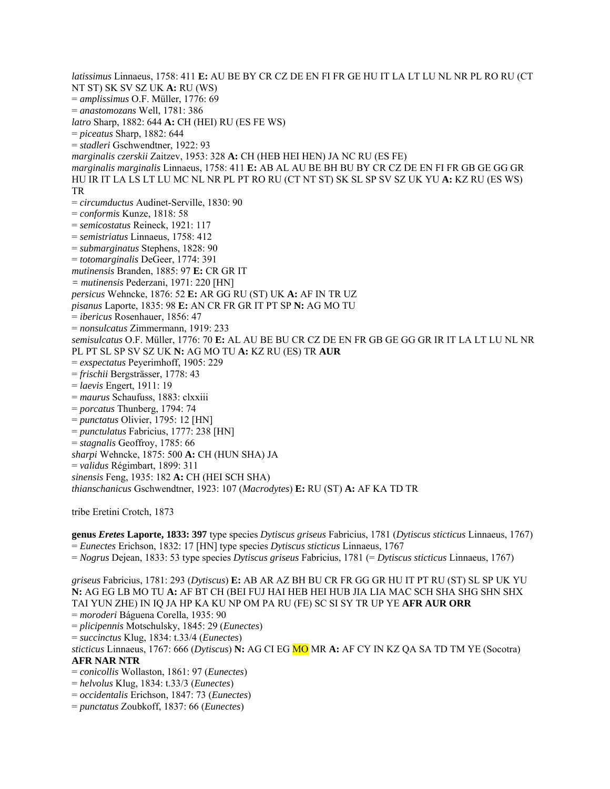*latissimus* Linnaeus, 1758: 411 **E:** AU BE BY CR CZ DE EN FI FR GE HU IT LA LT LU NL NR PL RO RU (CT NT ST) SK SV SZ UK **A:** RU (WS) = *amplissimus* O.F. Müller, 1776: 69 = *anastomozans* Well, 1781: 386 *latro* Sharp, 1882: 644 **A:** CH (HEI) RU (ES FE WS) = *piceatus* Sharp, 1882: 644 = *stadleri* Gschwendtner, 1922: 93 *marginalis czerskii* Zaitzev, 1953: 328 **A:** CH (HEB HEI HEN) JA NC RU (ES FE) *marginalis marginalis* Linnaeus, 1758: 411 **E:** AB AL AU BE BH BU BY CR CZ DE EN FI FR GB GE GG GR HU IR IT LA LS LT LU MC NL NR PL PT RO RU (CT NT ST) SK SL SP SV SZ UK YU **A:** KZ RU (ES WS) TR = *circumductus* Audinet-Serville, 1830: 90 = *conformis* Kunze, 1818: 58 = *semicostatus* Reineck, 1921: 117 = *semistriatus* Linnaeus, 1758: 412 = *submarginatus* Stephens, 1828: 90 = *totomarginalis* DeGeer, 1774: 391 *mutinensis* Branden, 1885: 97 **E:** CR GR IT *= mutinensis* Pederzani, 1971: 220 [HN] *persicus* Wehncke, 1876: 52 **E:** AR GG RU (ST) UK **A:** AF IN TR UZ *pisanus* Laporte, 1835: 98 **E:** AN CR FR GR IT PT SP **N:** AG MO TU = *ibericus* Rosenhauer, 1856: 47 = *nonsulcatus* Zimmermann, 1919: 233 *semisulcatus* O.F. Müller, 1776: 70 **E:** AL AU BE BU CR CZ DE EN FR GB GE GG GR IR IT LA LT LU NL NR PL PT SL SP SV SZ UK **N:** AG MO TU **A:** KZ RU (ES) TR **AUR**  = *exspectatus* Peyerimhoff, 1905: 229 = *frischii* Bergsträsser, 1778: 43 = *laevis* Engert, 1911: 19 = *maurus* Schaufuss, 1883: clxxiii = *porcatus* Thunberg, 1794: 74 = *punctatus* Olivier, 1795: 12 [HN] = *punctulatus* Fabricius, 1777: 238 [HN] = *stagnalis* Geoffroy, 1785: 66 *sharpi* Wehncke, 1875: 500 **A:** CH (HUN SHA) JA = *validus* Régimbart, 1899: 311 *sinensis* Feng, 1935: 182 **A:** CH (HEI SCH SHA) *thianschanicus* Gschwendtner, 1923: 107 (*Macrodytes*) **E:** RU (ST) **A:** AF KA TD TR

tribe Eretini Crotch, 1873

**genus** *Eretes* **Laporte, 1833: 397** type species *Dytiscus griseus* Fabricius, 1781 (*Dytiscus sticticus* Linnaeus, 1767) = *Eunectes* Erichson, 1832: 17 [HN] type species *Dytiscus sticticus* Linnaeus, 1767

= *Nogrus* Dejean, 1833: 53 type species *Dytiscus griseus* Fabricius, 1781 (= *Dytiscus sticticus* Linnaeus, 1767)

*griseus* Fabricius, 1781: 293 (*Dytiscus*) **E:** AB AR AZ BH BU CR FR GG GR HU IT PT RU (ST) SL SP UK YU **N:** AG EG LB MO TU **A:** AF BT CH (BEI FUJ HAI HEB HEI HUB JIA LIA MAC SCH SHA SHG SHN SHX TAI YUN ZHE) IN IQ JA HP KA KU NP OM PA RU (FE) SC SI SY TR UP YE **AFR AUR ORR** = *moroderi* Báguena Corella, 1935: 90

= *plicipennis* Motschulsky, 1845: 29 (*Eunectes*)

= *succinctus* Klug, 1834: t.33/4 (*Eunectes*)

*sticticus* Linnaeus, 1767: 666 (*Dytiscus*) **N:** AG CI EG MO MR **A:** AF CY IN KZ QA SA TD TM YE (Socotra) **AFR NAR NTR**

= *conicollis* Wollaston, 1861: 97 (*Eunectes*)

- = *helvolus* Klug, 1834: t.33/3 (*Eunectes*)
- = *occidentalis* Erichson, 1847: 73 (*Eunectes*)
- = *punctatus* Zoubkoff, 1837: 66 (*Eunectes*)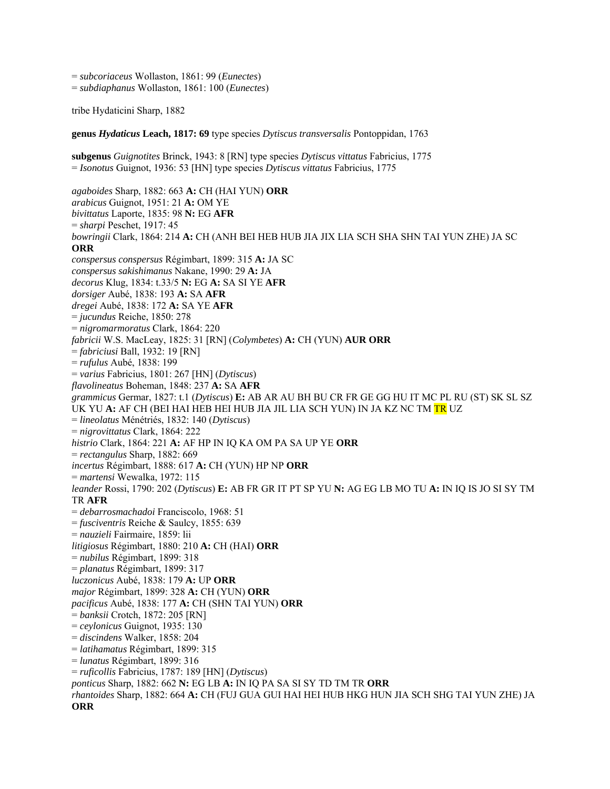= *subcoriaceus* Wollaston, 1861: 99 (*Eunectes*) = *subdiaphanus* Wollaston, 1861: 100 (*Eunectes*)

tribe Hydaticini Sharp, 1882

**genus** *Hydaticus* **Leach, 1817: 69** type species *Dytiscus transversalis* Pontoppidan, 1763

**subgenus** *Guignotites* Brinck, 1943: 8 [RN] type species *Dytiscus vittatus* Fabricius, 1775 = *Isonotus* Guignot, 1936: 53 [HN] type species *Dytiscus vittatus* Fabricius, 1775 *agaboides* Sharp, 1882: 663 **A:** CH (HAI YUN) **ORR**  *arabicus* Guignot, 1951: 21 **A:** OM YE *bivittatus* Laporte, 1835: 98 **N:** EG **AFR**  = *sharpi* Peschet, 1917: 45 *bowringii* Clark, 1864: 214 **A:** CH (ANH BEI HEB HUB JIA JIX LIA SCH SHA SHN TAI YUN ZHE) JA SC **ORR** *conspersus conspersus* Régimbart, 1899: 315 **A:** JA SC *conspersus sakishimanus* Nakane, 1990: 29 **A:** JA *decorus* Klug, 1834: t.33/5 **N:** EG **A:** SA SI YE **AFR** *dorsiger* Aubé, 1838: 193 **A:** SA **AFR** *dregei* Aubé, 1838: 172 **A:** SA YE **AFR** = *jucundus* Reiche, 1850: 278 = *nigromarmoratus* Clark, 1864: 220 *fabricii* W.S. MacLeay, 1825: 31 [RN] (*Colymbetes*) **A:** CH (YUN) **AUR ORR**  = *fabriciusi* Ball, 1932: 19 [RN] = *rufulus* Aubé, 1838: 199 = *varius* Fabricius, 1801: 267 [HN] (*Dytiscus*) *flavolineatus* Boheman, 1848: 237 **A:** SA **AFR** *grammicus* Germar, 1827: t.1 (*Dytiscus*) **E:** AB AR AU BH BU CR FR GE GG HU IT MC PL RU (ST) SK SL SZ UK YU **A:** AF CH (BEI HAI HEB HEI HUB JIA JIL LIA SCH YUN) IN JA KZ NC TM TR UZ = *lineolatus* Ménétriés, 1832: 140 (*Dytiscus*) = *nigrovittatus* Clark, 1864: 222 *histrio* Clark, 1864: 221 **A:** AF HP IN IQ KA OM PA SA UP YE **ORR** = *rectangulus* Sharp, 1882: 669 *incertus* Régimbart, 1888: 617 **A:** CH (YUN) HP NP **ORR** = *martensi* Wewalka, 1972: 115 *leander* Rossi, 1790: 202 (*Dytiscus*) **E:** AB FR GR IT PT SP YU **N:** AG EG LB MO TU **A:** IN IQ IS JO SI SY TM TR **AFR** = *debarrosmachadoi* Franciscolo, 1968: 51 = *fusciventris* Reiche & Saulcy, 1855: 639 = *nauzieli* Fairmaire, 1859: lii *litigiosus* Régimbart, 1880: 210 **A:** CH (HAI) **ORR** = *nubilus* Régimbart, 1899: 318 = *planatus* Régimbart, 1899: 317 *luczonicus* Aubé, 1838: 179 **A:** UP **ORR** *major* Régimbart, 1899: 328 **A:** CH (YUN) **ORR** *pacificus* Aubé, 1838: 177 **A:** CH (SHN TAI YUN) **ORR** = *banksii* Crotch, 1872: 205 [RN] = *ceylonicus* Guignot, 1935: 130 = *discindens* Walker, 1858: 204 = *latihamatus* Régimbart, 1899: 315 = *lunatus* Régimbart, 1899: 316 = *ruficollis* Fabricius, 1787: 189 [HN] (*Dytiscus*) *ponticus* Sharp, 1882: 662 **N:** EG LB **A:** IN IQ PA SA SI SY TD TM TR **ORR** *rhantoides* Sharp, 1882: 664 **A:** CH (FUJ GUA GUI HAI HEI HUB HKG HUN JIA SCH SHG TAI YUN ZHE) JA **ORR**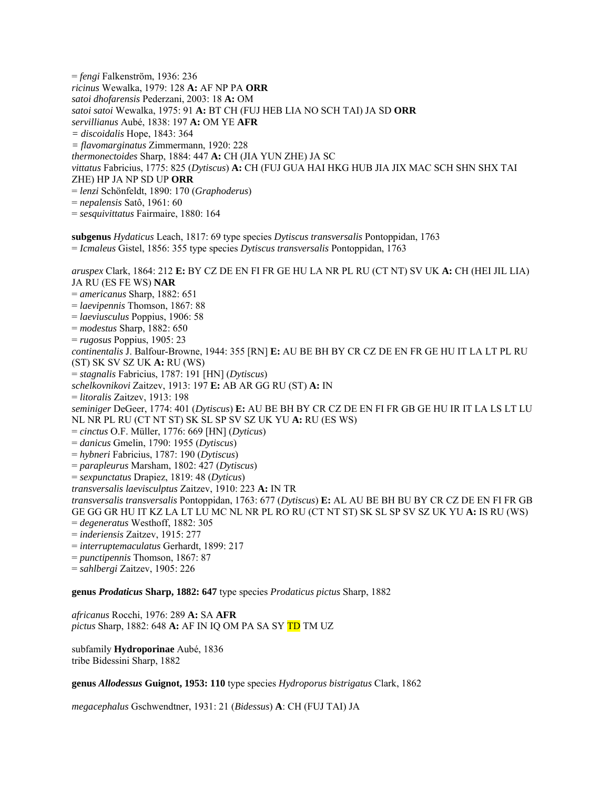= *fengi* Falkenström, 1936: 236 *ricinus* Wewalka, 1979: 128 **A:** AF NP PA **ORR** *satoi dhofarensis* Pederzani, 2003: 18 **A:** OM *satoi satoi* Wewalka, 1975: 91 **A:** BT CH (FUJ HEB LIA NO SCH TAI) JA SD **ORR**  *servillianus* Aubé, 1838: 197 **A:** OM YE **AFR** *= discoidalis* Hope, 1843: 364 *= flavomarginatus* Zimmermann, 1920: 228 *thermonectoides* Sharp, 1884: 447 **A:** CH (JIA YUN ZHE) JA SC *vittatus* Fabricius, 1775: 825 (*Dytiscus*) **A:** CH (FUJ GUA HAI HKG HUB JIA JIX MAC SCH SHN SHX TAI ZHE) HP JA NP SD UP **ORR** = *lenzi* Schönfeldt, 1890: 170 (*Graphoderus*) = *nepalensis* Satô, 1961: 60 = *sesquivittatus* Fairmaire, 1880: 164

**subgenus** *Hydaticus* Leach, 1817: 69 type species *Dytiscus transversalis* Pontoppidan, 1763 = *Icmaleus* Gistel, 1856: 355 type species *Dytiscus transversalis* Pontoppidan, 1763

*aruspex* Clark, 1864: 212 **E:** BY CZ DE EN FI FR GE HU LA NR PL RU (CT NT) SV UK **A:** CH (HEI JIL LIA) JA RU (ES FE WS) **NAR** = *americanus* Sharp, 1882: 651 = *laevipennis* Thomson, 1867: 88 = *laeviusculus* Poppius, 1906: 58 = *modestus* Sharp, 1882: 650 = *rugosus* Poppius, 1905: 23 *continentalis* J. Balfour-Browne, 1944: 355 [RN] **E:** AU BE BH BY CR CZ DE EN FR GE HU IT LA LT PL RU (ST) SK SV SZ UK **A:** RU (WS) = *stagnalis* Fabricius, 1787: 191 [HN] (*Dytiscus*) *schelkovnikovi* Zaitzev, 1913: 197 **E:** AB AR GG RU (ST) **A:** IN = *litoralis* Zaitzev, 1913: 198 *seminiger* DeGeer, 1774: 401 (*Dytiscus*) **E:** AU BE BH BY CR CZ DE EN FI FR GB GE HU IR IT LA LS LT LU NL NR PL RU (CT NT ST) SK SL SP SV SZ UK YU **A:** RU (ES WS) = *cinctus* O.F. Müller, 1776: 669 [HN] (*Dyticus*) = *danicus* Gmelin, 1790: 1955 (*Dytiscus*) = *hybneri* Fabricius, 1787: 190 (*Dytiscus*) = *parapleurus* Marsham, 1802: 427 (*Dytiscus*) = *sexpunctatus* Drapiez, 1819: 48 (*Dyticus*) *transversalis laevisculptus* Zaitzev, 1910: 223 **A:** IN TR *transversalis transversalis* Pontoppidan, 1763: 677 (*Dytiscus*) **E:** AL AU BE BH BU BY CR CZ DE EN FI FR GB GE GG GR HU IT KZ LA LT LU MC NL NR PL RO RU (CT NT ST) SK SL SP SV SZ UK YU **A:** IS RU (WS) = *degeneratus* Westhoff, 1882: 305 = *inderiensis* Zaitzev, 1915: 277 = *interruptemaculatus* Gerhardt, 1899: 217 = *punctipennis* Thomson, 1867: 87 = *sahlbergi* Zaitzev, 1905: 226

**genus** *Prodaticus* **Sharp, 1882: 647** type species *Prodaticus pictus* Sharp, 1882

*africanus* Rocchi, 1976: 289 **A:** SA **AFR** *pictus* Sharp, 1882: 648 **A:** AF IN IQ OM PA SA SY TD TM UZ

subfamily **Hydroporinae** Aubé, 1836 tribe Bidessini Sharp, 1882

**genus** *Allodessus* **Guignot, 1953: 110** type species *Hydroporus bistrigatus* Clark, 1862

*megacephalus* Gschwendtner, 1931: 21 (*Bidessus*) **A**: CH (FUJ TAI) JA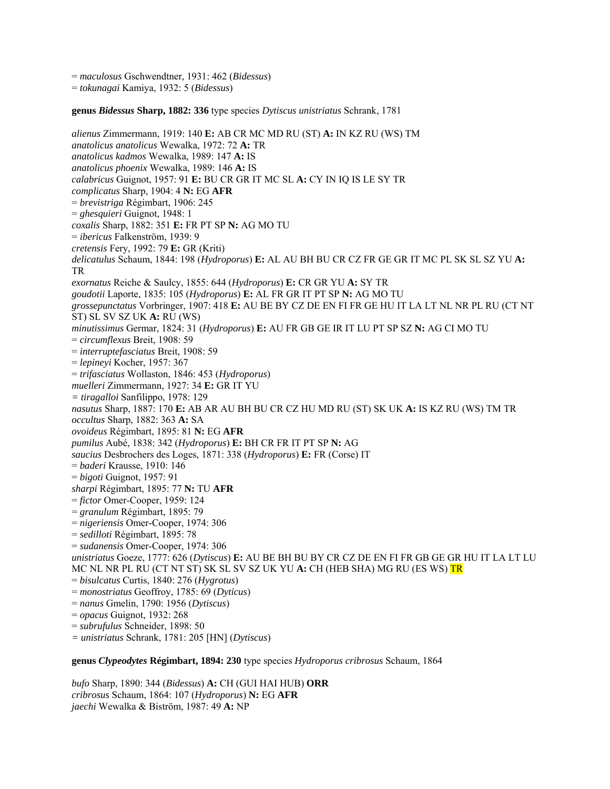= *maculosus* Gschwendtner, 1931: 462 (*Bidessus*)

= *tokunagai* Kamiya, 1932: 5 (*Bidessus*)

#### **genus** *Bidessus* **Sharp, 1882: 336** type species *Dytiscus unistriatus* Schrank, 1781

*alienus* Zimmermann, 1919: 140 **E:** AB CR MC MD RU (ST) **A:** IN KZ RU (WS) TM *anatolicus anatolicus* Wewalka, 1972: 72 **A:** TR *anatolicus kadmos* Wewalka, 1989: 147 **A:** IS *anatolicus phoenix* Wewalka, 1989: 146 **A:** IS *calabricus* Guignot, 1957: 91 **E:** BU CR GR IT MC SL **A:** CY IN IQ IS LE SY TR *complicatus* Sharp, 1904: 4 **N:** EG **AFR** = *brevistriga* Régimbart, 1906: 245 = *ghesquieri* Guignot, 1948: 1 *coxalis* Sharp, 1882: 351 **E:** FR PT SP **N:** AG MO TU = *ibericus* Falkenström, 1939: 9 *cretensis* Fery, 1992: 79 **E:** GR (Kriti) *delicatulus* Schaum, 1844: 198 (*Hydroporus*) **E:** AL AU BH BU CR CZ FR GE GR IT MC PL SK SL SZ YU **A:**  TR *exornatus* Reiche & Saulcy, 1855: 644 (*Hydroporus*) **E:** CR GR YU **A:** SY TR *goudotii* Laporte, 1835: 105 (*Hydroporus*) **E:** AL FR GR IT PT SP **N:** AG MO TU *grossepunctatus* Vorbringer, 1907: 418 **E:** AU BE BY CZ DE EN FI FR GE HU IT LA LT NL NR PL RU (CT NT ST) SL SV SZ UK **A:** RU (WS) *minutissimus* Germar, 1824: 31 (*Hydroporus*) **E:** AU FR GB GE IR IT LU PT SP SZ **N:** AG CI MO TU = *circumflexus* Breit, 1908: 59 = *interruptefasciatus* Breit, 1908: 59 = *lepineyi* Kocher, 1957: 367 = *trifasciatus* Wollaston, 1846: 453 (*Hydroporus*) *muelleri* Zimmermann, 1927: 34 **E:** GR IT YU *= tiragalloi* Sanfilippo, 1978: 129 *nasutus* Sharp, 1887: 170 **E:** AB AR AU BH BU CR CZ HU MD RU (ST) SK UK **A:** IS KZ RU (WS) TM TR *occultus* Sharp, 1882: 363 **A:** SA *ovoideus* Régimbart, 1895: 81 **N:** EG **AFR** *pumilus* Aubé, 1838: 342 (*Hydroporus*) **E:** BH CR FR IT PT SP **N:** AG *saucius* Desbrochers des Loges, 1871: 338 (*Hydroporus*) **E:** FR (Corse) IT = *baderi* Krausse, 1910: 146 = *bigoti* Guignot, 1957: 91 *sharpi* Régimbart, 1895: 77 **N:** TU **AFR** = *fictor* Omer-Cooper, 1959: 124 = *granulum* Régimbart, 1895: 79 = *nigeriensis* Omer-Cooper, 1974: 306 = *sedilloti* Régimbart, 1895: 78 = *sudanensis* Omer-Cooper, 1974: 306 *unistriatus* Goeze, 1777: 626 (*Dytiscus*) **E:** AU BE BH BU BY CR CZ DE EN FI FR GB GE GR HU IT LA LT LU MC NL NR PL RU (CT NT ST) SK SL SV SZ UK YU **A:** CH (HEB SHA) MG RU (ES WS) TR = *bisulcatus* Curtis, 1840: 276 (*Hygrotus*) = *monostriatus* Geoffroy, 1785: 69 (*Dyticus*) = *nanus* Gmelin, 1790: 1956 (*Dytiscus*) = *opacus* Guignot, 1932: 268 = *subrufulus* Schneider, 1898: 50 *= unistriatus* Schrank, 1781: 205 [HN] (*Dytiscus*)

#### **genus** *Clypeodytes* **Régimbart, 1894: 230** type species *Hydroporus cribrosus* Schaum, 1864

*bufo* Sharp, 1890: 344 (*Bidessus*) **A:** CH (GUI HAI HUB) **ORR**  *cribrosus* Schaum, 1864: 107 (*Hydroporus*) **N:** EG **AFR**  *jaechi* Wewalka & Biström, 1987: 49 **A:** NP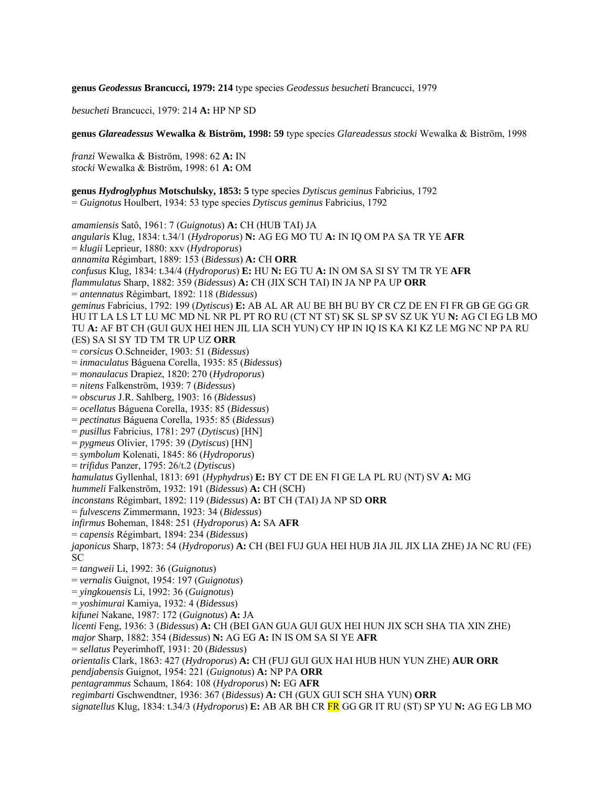**genus** *Geodessus* **Brancucci, 1979: 214** type species *Geodessus besucheti* Brancucci, 1979

*besucheti* Brancucci, 1979: 214 **A:** HP NP SD

**genus** *Glareadessus* **Wewalka & Biström, 1998: 59** type species *Glareadessus stocki* Wewalka & Biström, 1998

*franzi* Wewalka & Biström, 1998: 62 **A:** IN *stocki* Wewalka & Biström, 1998: 61 **A:** OM

**genus** *Hydroglyphus* **Motschulsky, 1853: 5** type species *Dytiscus geminus* Fabricius, 1792 = *Guignotus* Houlbert, 1934: 53 type species *Dytiscus geminus* Fabricius, 1792

*amamiensis* Satô, 1961: 7 (*Guignotus*) **A:** CH (HUB TAI) JA *angularis* Klug, 1834: t.34/1 (*Hydroporus*) **N:** AG EG MO TU **A:** IN IQ OM PA SA TR YE **AFR**  = *klugii* Leprieur, 1880: xxv (*Hydroporus*) *annamita* Régimbart, 1889: 153 (*Bidessus*) **A:** CH **ORR**  *confusus* Klug, 1834: t.34/4 (*Hydroporus*) **E:** HU **N:** EG TU **A:** IN OM SA SI SY TM TR YE **AFR**  *flammulatus* Sharp, 1882: 359 (*Bidessus*) **A:** CH (JIX SCH TAI) IN JA NP PA UP **ORR**  = *antennatus* Régimbart, 1892: 118 (*Bidessus*) *geminus* Fabricius, 1792: 199 (*Dytiscus*) **E:** AB AL AR AU BE BH BU BY CR CZ DE EN FI FR GB GE GG GR HU IT LA LS LT LU MC MD NL NR PL PT RO RU (CT NT ST) SK SL SP SV SZ UK YU **N:** AG CI EG LB MO TU **A:** AF BT CH (GUI GUX HEI HEN JIL LIA SCH YUN) CY HP IN IQ IS KA KI KZ LE MG NC NP PA RU (ES) SA SI SY TD TM TR UP UZ **ORR**  = *corsicus* O.Schneider, 1903: 51 (*Bidessus*) = *inmaculatus* Báguena Corella, 1935: 85 (*Bidessus*) = *monaulacus* Drapiez, 1820: 270 (*Hydroporus*) = *nitens* Falkenström, 1939: 7 (*Bidessus*) = *obscurus* J.R. Sahlberg, 1903: 16 (*Bidessus*) = *ocellatus* Báguena Corella, 1935: 85 (*Bidessus*) = *pectinatus* Báguena Corella, 1935: 85 (*Bidessus*) = *pusillus* Fabricius, 1781: 297 (*Dytiscus*) [HN] = *pygmeus* Olivier, 1795: 39 (*Dytiscus*) [HN] = *symbolum* Kolenati, 1845: 86 (*Hydroporus*) = *trifidus* Panzer, 1795: 26/t.2 (*Dytiscus*) *hamulatus* Gyllenhal, 1813: 691 (*Hyphydrus*) **E:** BY CT DE EN FI GE LA PL RU (NT) SV **A:** MG *hummeli* Falkenström, 1932: 191 (*Bidessus*) **A:** CH (SCH) *inconstans* Régimbart, 1892: 119 (*Bidessus*) **A:** BT CH (TAI) JA NP SD **ORR**  = *fulvescens* Zimmermann, 1923: 34 (*Bidessus*) *infirmus* Boheman, 1848: 251 (*Hydroporus*) **A:** SA **AFR**  = *capensis* Régimbart, 1894: 234 (*Bidessus*) *japonicus* Sharp, 1873: 54 (*Hydroporus*) **A:** CH (BEI FUJ GUA HEI HUB JIA JIL JIX LIA ZHE) JA NC RU (FE) SC = *tangweii* Li, 1992: 36 (*Guignotus*) = *vernalis* Guignot, 1954: 197 (*Guignotus*) = *yingkouensis* Li, 1992: 36 (*Guignotus*) = *yoshimurai* Kamiya, 1932: 4 (*Bidessus*) *kifunei* Nakane, 1987: 172 (*Guignotus*) **A:** JA *licenti* Feng, 1936: 3 (*Bidessus*) **A:** CH (BEI GAN GUA GUI GUX HEI HUN JIX SCH SHA TIA XIN ZHE) *major* Sharp, 1882: 354 (*Bidessus*) **N:** AG EG **A:** IN IS OM SA SI YE **AFR**  = *sellatus* Peyerimhoff, 1931: 20 (*Bidessus*) *orientalis* Clark, 1863: 427 (*Hydroporus*) **A:** CH (FUJ GUI GUX HAI HUB HUN YUN ZHE) **AUR ORR**  *pendjabensis* Guignot, 1954: 221 (*Guignotus*) **A:** NP PA **ORR**  *pentagrammus* Schaum, 1864: 108 (*Hydroporus*) **N:** EG **AFR**  *regimbarti* Gschwendtner, 1936: 367 (*Bidessus*) **A:** CH (GUX GUI SCH SHA YUN) **ORR**  *signatellus* Klug, 1834: t.34/3 (*Hydroporus*) **E:** AB AR BH CR FR GG GR IT RU (ST) SP YU **N:** AG EG LB MO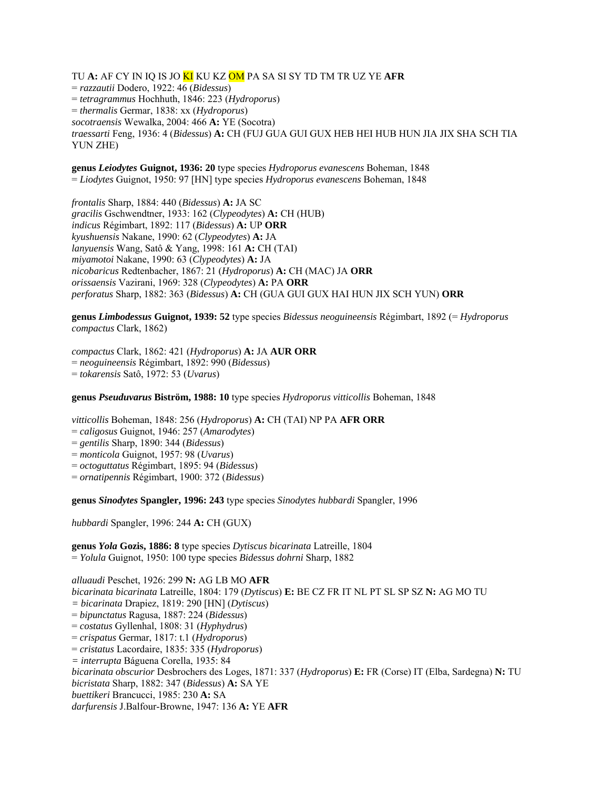TU **A:** AF CY IN IQ IS JO KI KU KZ OM PA SA SI SY TD TM TR UZ YE **AFR**  = *razzautii* Dodero, 1922: 46 (*Bidessus*) = *tetragrammus* Hochhuth, 1846: 223 (*Hydroporus*) = *thermalis* Germar, 1838: xx (*Hydroporus*) *socotraensis* Wewalka, 2004: 466 **A:** YE (Socotra) *traessarti* Feng, 1936: 4 (*Bidessus*) **A:** CH (FUJ GUA GUI GUX HEB HEI HUB HUN JIA JIX SHA SCH TIA YUN ZHE)

**genus** *Leiodytes* **Guignot, 1936: 20** type species *Hydroporus evanescens* Boheman, 1848 = *Liodytes* Guignot, 1950: 97 [HN] type species *Hydroporus evanescens* Boheman, 1848

*frontalis* Sharp, 1884: 440 (*Bidessus*) **A:** JA SC *gracilis* Gschwendtner, 1933: 162 (*Clypeodytes*) **A:** CH (HUB) *indicus* Régimbart, 1892: 117 (*Bidessus*) **A:** UP **ORR**  *kyushuensis* Nakane, 1990: 62 (*Clypeodytes*) **A:** JA *lanyuensis* Wang, Satô & Yang, 1998: 161 **A:** CH (TAI) *miyamotoi* Nakane, 1990: 63 (*Clypeodytes*) **A:** JA *nicobaricus* Redtenbacher, 1867: 21 (*Hydroporus*) **A:** CH (MAC) JA **ORR**  *orissaensis* Vazirani, 1969: 328 (*Clypeodytes*) **A:** PA **ORR**  *perforatus* Sharp, 1882: 363 (*Bidessus*) **A:** CH (GUA GUI GUX HAI HUN JIX SCH YUN) **ORR** 

**genus** *Limbodessus* **Guignot, 1939: 52** type species *Bidessus neoguineensis* Régimbart, 1892 (= *Hydroporus compactus* Clark, 1862)

*compactus* Clark, 1862: 421 (*Hydroporus*) **A:** JA **AUR ORR**  = *neoguineensis* Régimbart, 1892: 990 (*Bidessus*) = *tokarensis* Satô, 1972: 53 (*Uvarus*)

**genus** *Pseuduvarus* **Biström, 1988: 10** type species *Hydroporus vitticollis* Boheman, 1848

*vitticollis* Boheman, 1848: 256 (*Hydroporus*) **A:** CH (TAI) NP PA **AFR ORR** 

= *caligosus* Guignot, 1946: 257 (*Amarodytes*)

= *gentilis* Sharp, 1890: 344 (*Bidessus*)

= *monticola* Guignot, 1957: 98 (*Uvarus*)

= *octoguttatus* Régimbart, 1895: 94 (*Bidessus*)

= *ornatipennis* Régimbart, 1900: 372 (*Bidessus*)

**genus** *Sinodytes* **Spangler, 1996: 243** type species *Sinodytes hubbardi* Spangler, 1996

*hubbardi* Spangler, 1996: 244 **A:** CH (GUX)

**genus** *Yola* **Gozis, 1886: 8** type species *Dytiscus bicarinata* Latreille, 1804 = *Yolula* Guignot, 1950: 100 type species *Bidessus dohrni* Sharp, 1882

*alluaudi* Peschet, 1926: 299 **N:** AG LB MO **AFR**  *bicarinata bicarinata* Latreille, 1804: 179 (*Dytiscus*) **E:** BE CZ FR IT NL PT SL SP SZ **N:** AG MO TU *= bicarinata* Drapiez, 1819: 290 [HN] (*Dytiscus*) = *bipunctatus* Ragusa, 1887: 224 (*Bidessus*) = *costatus* Gyllenhal, 1808: 31 (*Hyphydrus*) = *crispatus* Germar, 1817: t.1 (*Hydroporus*) = *cristatus* Lacordaire, 1835: 335 (*Hydroporus*) *= interrupta* Báguena Corella, 1935: 84 *bicarinata obscurior* Desbrochers des Loges, 1871: 337 (*Hydroporus*) **E:** FR (Corse) IT (Elba, Sardegna) **N:** TU *bicristata* Sharp, 1882: 347 (*Bidessus*) **A:** SA YE *buettikeri* Brancucci, 1985: 230 **A:** SA *darfurensis* J.Balfour-Browne, 1947: 136 **A:** YE **AFR**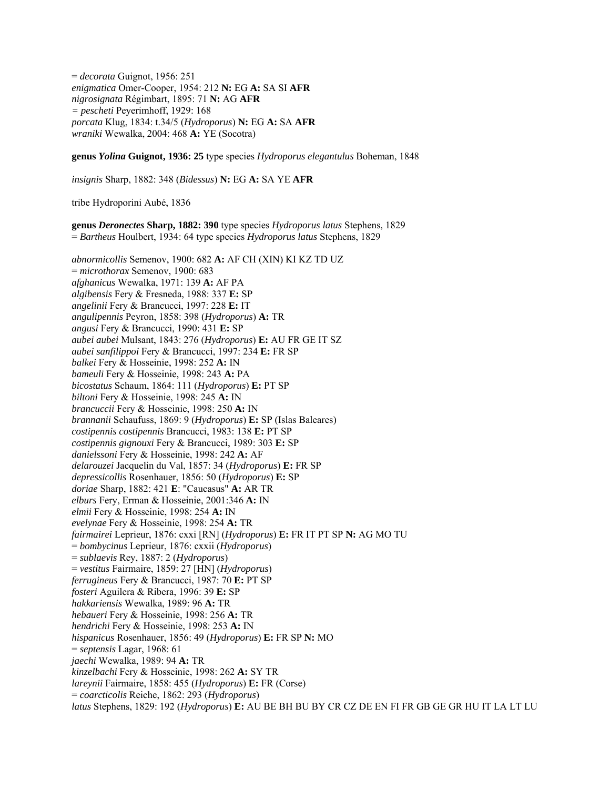= *decorata* Guignot, 1956: 251 *enigmatica* Omer-Cooper, 1954: 212 **N:** EG **A:** SA SI **AFR**  *nigrosignata* Régimbart, 1895: 71 **N:** AG **AFR**  *= pescheti* Peyerimhoff, 1929: 168 *porcata* Klug, 1834: t.34/5 (*Hydroporus*) **N:** EG **A:** SA **AFR**  *wraniki* Wewalka, 2004: 468 **A:** YE (Socotra)

**genus** *Yolina* **Guignot, 1936: 25** type species *Hydroporus elegantulus* Boheman, 1848

*insignis* Sharp, 1882: 348 (*Bidessus*) **N:** EG **A:** SA YE **AFR** 

tribe Hydroporini Aubé, 1836

**genus** *Deronectes* **Sharp, 1882: 390** type species *Hydroporus latus* Stephens, 1829 = *Bartheus* Houlbert, 1934: 64 type species *Hydroporus latus* Stephens, 1829

*abnormicollis* Semenov, 1900: 682 **A:** AF CH (XIN) KI KZ TD UZ = *microthorax* Semenov, 1900: 683 *afghanicus* Wewalka, 1971: 139 **A:** AF PA *algibensis* Fery & Fresneda, 1988: 337 **E:** SP *angelinii* Fery & Brancucci, 1997: 228 **E:** IT *angulipennis* Peyron, 1858: 398 (*Hydroporus*) **A:** TR *angusi* Fery & Brancucci, 1990: 431 **E:** SP *aubei aubei* Mulsant, 1843: 276 (*Hydroporus*) **E:** AU FR GE IT SZ *aubei sanfilippoi* Fery & Brancucci, 1997: 234 **E:** FR SP *balkei* Fery & Hosseinie, 1998: 252 **A:** IN *bameuli* Fery & Hosseinie, 1998: 243 **A:** PA *bicostatus* Schaum, 1864: 111 (*Hydroporus*) **E:** PT SP *biltoni* Fery & Hosseinie, 1998: 245 **A:** IN *brancuccii* Fery & Hosseinie, 1998: 250 **A:** IN *brannanii* Schaufuss, 1869: 9 (*Hydroporus*) **E:** SP (Islas Baleares) *costipennis costipennis* Brancucci, 1983: 138 **E:** PT SP *costipennis gignouxi* Fery & Brancucci, 1989: 303 **E:** SP *danielssoni* Fery & Hosseinie, 1998: 242 **A:** AF *delarouzei* Jacquelin du Val, 1857: 34 (*Hydroporus*) **E:** FR SP *depressicollis* Rosenhauer, 1856: 50 (*Hydroporus*) **E:** SP *doriae* Sharp, 1882: 421 **E**: "Caucasus" **A:** AR TR *elburs* Fery, Erman & Hosseinie, 2001:346 **A:** IN *elmii* Fery & Hosseinie, 1998: 254 **A:** IN *evelynae* Fery & Hosseinie, 1998: 254 **A:** TR *fairmairei* Leprieur, 1876: cxxi [RN] (*Hydroporus*) **E:** FR IT PT SP **N:** AG MO TU = *bombycinus* Leprieur, 1876: cxxii (*Hydroporus*) = *sublaevis* Rey, 1887: 2 (*Hydroporus*) = *vestitus* Fairmaire, 1859: 27 [HN] (*Hydroporus*) *ferrugineus* Fery & Brancucci, 1987: 70 **E:** PT SP *fosteri* Aguilera & Ribera, 1996: 39 **E:** SP *hakkariensis* Wewalka, 1989: 96 **A:** TR *hebaueri* Fery & Hosseinie, 1998: 256 **A:** TR *hendrichi* Fery & Hosseinie, 1998: 253 **A:** IN *hispanicus* Rosenhauer, 1856: 49 (*Hydroporus*) **E:** FR SP **N:** MO = *septensis* Lagar, 1968: 61 *jaechi* Wewalka, 1989: 94 **A:** TR *kinzelbachi* Fery & Hosseinie, 1998: 262 **A:** SY TR *lareynii* Fairmaire, 1858: 455 (*Hydroporus*) **E:** FR (Corse) = *coarcticolis* Reiche, 1862: 293 (*Hydroporus*) *latus* Stephens, 1829: 192 (*Hydroporus*) **E:** AU BE BH BU BY CR CZ DE EN FI FR GB GE GR HU IT LA LT LU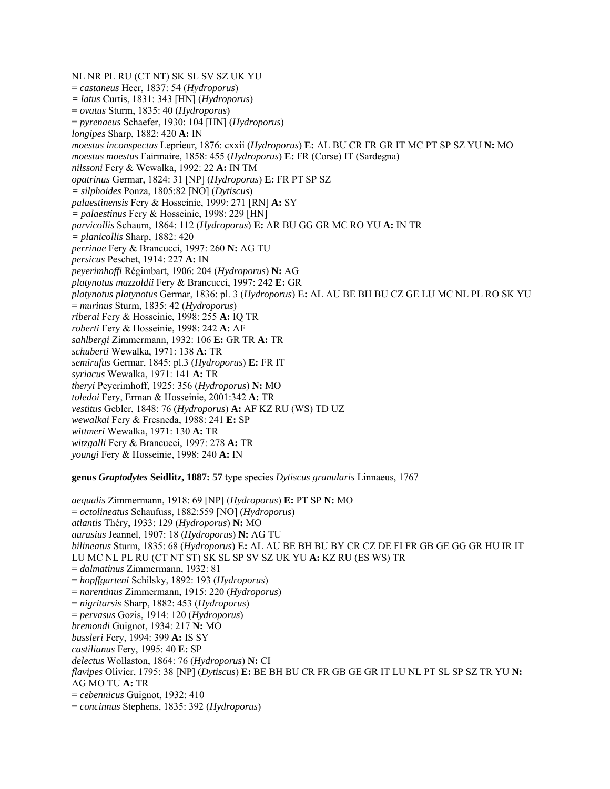NL NR PL RU (CT NT) SK SL SV SZ UK YU = *castaneus* Heer, 1837: 54 (*Hydroporus*) *= latus* Curtis, 1831: 343 [HN] (*Hydroporus*) = *ovatus* Sturm, 1835: 40 (*Hydroporus*) = *pyrenaeus* Schaefer, 1930: 104 [HN] (*Hydroporus*) *longipes* Sharp, 1882: 420 **A:** IN *moestus inconspectus* Leprieur, 1876: cxxii (*Hydroporus*) **E:** AL BU CR FR GR IT MC PT SP SZ YU **N:** MO *moestus moestus* Fairmaire, 1858: 455 (*Hydroporus*) **E:** FR (Corse) IT (Sardegna) *nilssoni* Fery & Wewalka, 1992: 22 **A:** IN TM *opatrinus* Germar, 1824: 31 [NP] (*Hydroporus*) **E:** FR PT SP SZ *= silphoides* Ponza, 1805:82 [NO] (*Dytiscus*) *palaestinensis* Fery & Hosseinie, 1999: 271 [RN] **A:** SY *= palaestinus* Fery & Hosseinie, 1998: 229 [HN] *parvicollis* Schaum, 1864: 112 (*Hydroporus*) **E:** AR BU GG GR MC RO YU **A:** IN TR *= planicollis* Sharp, 1882: 420 *perrinae* Fery & Brancucci, 1997: 260 **N:** AG TU *persicus* Peschet, 1914: 227 **A:** IN *peyerimhoffi* Régimbart, 1906: 204 (*Hydroporus*) **N:** AG *platynotus mazzoldii* Fery & Brancucci, 1997: 242 **E:** GR *platynotus platynotus* Germar, 1836: pl. 3 (*Hydroporus*) **E:** AL AU BE BH BU CZ GE LU MC NL PL RO SK YU = *murinus* Sturm, 1835: 42 (*Hydroporus*) *riberai* Fery & Hosseinie, 1998: 255 **A:** IQ TR *roberti* Fery & Hosseinie, 1998: 242 **A:** AF *sahlbergi* Zimmermann, 1932: 106 **E:** GR TR **A:** TR *schuberti* Wewalka, 1971: 138 **A:** TR *semirufus* Germar, 1845: pl.3 (*Hydroporus*) **E:** FR IT *syriacus* Wewalka, 1971: 141 **A:** TR *theryi* Peyerimhoff, 1925: 356 (*Hydroporus*) **N:** MO *toledoi* Fery, Erman & Hosseinie, 2001:342 **A:** TR *vestitus* Gebler, 1848: 76 (*Hydroporus*) **A:** AF KZ RU (WS) TD UZ *wewalkai* Fery & Fresneda, 1988: 241 **E:** SP *wittmeri* Wewalka, 1971: 130 **A:** TR *witzgalli* Fery & Brancucci, 1997: 278 **A:** TR *youngi* Fery & Hosseinie, 1998: 240 **A:** IN **genus** *Graptodytes* **Seidlitz, 1887: 57** type species *Dytiscus granularis* Linnaeus, 1767

*aequalis* Zimmermann, 1918: 69 [NP] (*Hydroporus*) **E:** PT SP **N:** MO = *octolineatus* Schaufuss, 1882:559 [NO] (*Hydroporus*) *atlantis* Théry, 1933: 129 (*Hydroporus*) **N:** MO *aurasius* Jeannel, 1907: 18 (*Hydroporus*) **N:** AG TU *bilineatus* Sturm, 1835: 68 (*Hydroporus*) **E:** AL AU BE BH BU BY CR CZ DE FI FR GB GE GG GR HU IR IT LU MC NL PL RU (CT NT ST) SK SL SP SV SZ UK YU **A:** KZ RU (ES WS) TR = *dalmatinus* Zimmermann, 1932: 81 = *hopffgarteni* Schilsky, 1892: 193 (*Hydroporus*) = *narentinus* Zimmermann, 1915: 220 (*Hydroporus*) = *nigritarsis* Sharp, 1882: 453 (*Hydroporus*) = *pervasus* Gozis, 1914: 120 (*Hydroporus*) *bremondi* Guignot, 1934: 217 **N:** MO *bussleri* Fery, 1994: 399 **A:** IS SY *castilianus* Fery, 1995: 40 **E:** SP *delectus* Wollaston, 1864: 76 (*Hydroporus*) **N:** CI *flavipes* Olivier, 1795: 38 [NP] (*Dytiscus*) **E:** BE BH BU CR FR GB GE GR IT LU NL PT SL SP SZ TR YU **N:**  AG MO TU **A:** TR = *cebennicus* Guignot, 1932: 410 = *concinnus* Stephens, 1835: 392 (*Hydroporus*)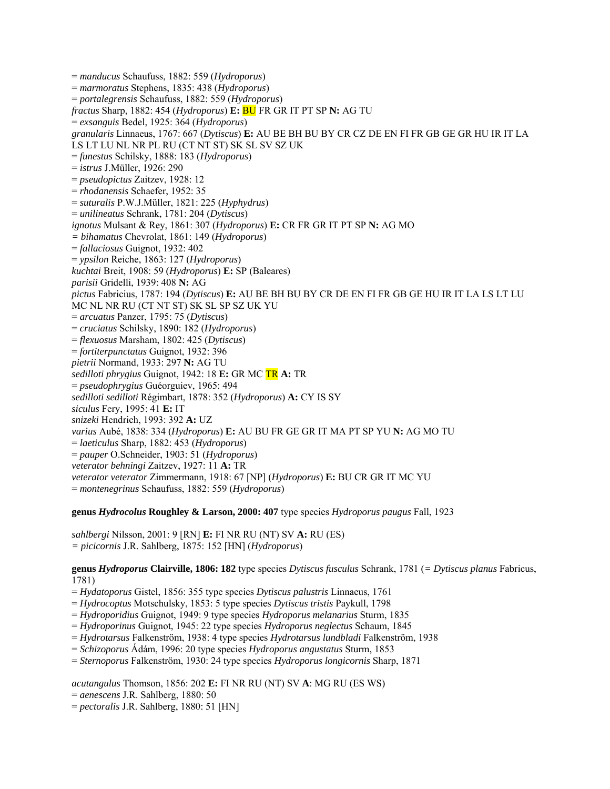= *manducus* Schaufuss, 1882: 559 (*Hydroporus*) = *marmoratus* Stephens, 1835: 438 (*Hydroporus*) = *portalegrensis* Schaufuss, 1882: 559 (*Hydroporus*) *fractus* Sharp, 1882: 454 (*Hydroporus*) **E:** BU FR GR IT PT SP **N:** AG TU = *exsanguis* Bedel, 1925: 364 (*Hydroporus*) *granularis* Linnaeus, 1767: 667 (*Dytiscus*) **E:** AU BE BH BU BY CR CZ DE EN FI FR GB GE GR HU IR IT LA LS LT LU NL NR PL RU (CT NT ST) SK SL SV SZ UK = *funestus* Schilsky, 1888: 183 (*Hydroporus*) = *istrus* J.Müller, 1926: 290 = *pseudopictus* Zaitzev, 1928: 12 = *rhodanensis* Schaefer, 1952: 35 = *suturalis* P.W.J.Müller, 1821: 225 (*Hyphydrus*) = *unilineatus* Schrank, 1781: 204 (*Dytiscus*) *ignotus* Mulsant & Rey, 1861: 307 (*Hydroporus*) **E:** CR FR GR IT PT SP **N:** AG MO *= bihamatus* Chevrolat, 1861: 149 (*Hydroporus*) = *fallaciosus* Guignot, 1932: 402 = *ypsilon* Reiche, 1863: 127 (*Hydroporus*) *kuchtai* Breit, 1908: 59 (*Hydroporus*) **E:** SP (Baleares) *parisii* Gridelli, 1939: 408 **N:** AG *pictus* Fabricius, 1787: 194 (*Dytiscus*) **E:** AU BE BH BU BY CR DE EN FI FR GB GE HU IR IT LA LS LT LU MC NL NR RU (CT NT ST) SK SL SP SZ UK YU = *arcuatus* Panzer, 1795: 75 (*Dytiscus*) = *cruciatus* Schilsky, 1890: 182 (*Hydroporus*) = *flexuosus* Marsham, 1802: 425 (*Dytiscus*) = *fortiterpunctatus* Guignot, 1932: 396 *pietrii* Normand, 1933: 297 **N:** AG TU *sedilloti phrygius* Guignot, 1942: 18 **E:** GR MC TR **A:** TR = *pseudophrygius* Guéorguiev, 1965: 494 *sedilloti sedilloti* Régimbart, 1878: 352 (*Hydroporus*) **A:** CY IS SY *siculus* Fery, 1995: 41 **E:** IT *snizeki* Hendrich, 1993: 392 **A:** UZ *varius* Aubé, 1838: 334 (*Hydroporus*) **E:** AU BU FR GE GR IT MA PT SP YU **N:** AG MO TU = *laeticulus* Sharp, 1882: 453 (*Hydroporus*) = *pauper* O.Schneider, 1903: 51 (*Hydroporus*) *veterator behningi* Zaitzev, 1927: 11 **A:** TR *veterator veterator* Zimmermann, 1918: 67 [NP] (*Hydroporus*) **E:** BU CR GR IT MC YU = *montenegrinus* Schaufuss, 1882: 559 (*Hydroporus*)

**genus** *Hydrocolus* **Roughley & Larson, 2000: 407** type species *Hydroporus paugus* Fall, 1923

*sahlbergi* Nilsson, 2001: 9 [RN] **E:** FI NR RU (NT) SV **A:** RU (ES) *= picicornis* J.R. Sahlberg, 1875: 152 [HN] (*Hydroporus*)

**genus** *Hydroporus* **Clairville, 1806: 182** type species *Dytiscus fusculus* Schrank, 1781 (*= Dytiscus planus* Fabricus, 1781)

= *Hydatoporus* Gistel, 1856: 355 type species *Dytiscus palustris* Linnaeus, 1761

= *Hydrocoptus* Motschulsky, 1853: 5 type species *Dytiscus tristis* Paykull, 1798

= *Hydroporidius* Guignot, 1949: 9 type species *Hydroporus melanarius* Sturm, 1835

= *Hydroporinus* Guignot, 1945: 22 type species *Hydroporus neglectus* Schaum, 1845

= *Hydrotarsus* Falkenström, 1938: 4 type species *Hydrotarsus lundbladi* Falkenström, 1938

= *Schizoporus* Ádám, 1996: 20 type species *Hydroporus angustatus* Sturm, 1853

= *Sternoporus* Falkenström, 1930: 24 type species *Hydroporus longicornis* Sharp, 1871

*acutangulus* Thomson, 1856: 202 **E:** FI NR RU (NT) SV **A**: MG RU (ES WS)

- = *aenescens* J.R. Sahlberg, 1880: 50
- = *pectoralis* J.R. Sahlberg, 1880: 51 [HN]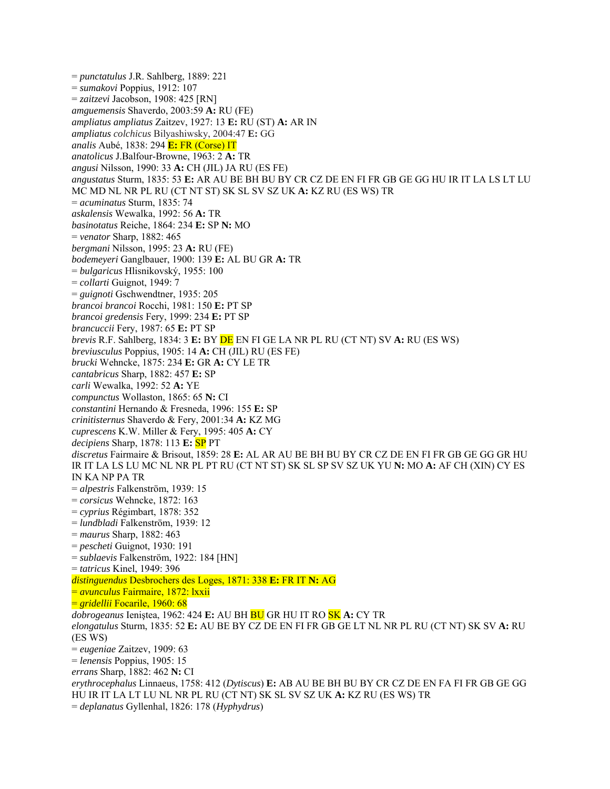= *punctatulus* J.R. Sahlberg, 1889: 221 = *sumakovi* Poppius, 1912: 107 = *zaitzevi* Jacobson, 1908: 425 [RN] *amguemensis* Shaverdo, 2003:59 **A:** RU (FE) *ampliatus ampliatus* Zaitzev, 1927: 13 **E:** RU (ST) **A:** AR IN *ampliatus colchicus* Bilyashiwsky, 2004:47 **E:** GG *analis* Aubé, 1838: 294 **E:** FR (Corse) IT *anatolicus* J.Balfour-Browne, 1963: 2 **A:** TR *angusi* Nilsson, 1990: 33 **A:** CH (JIL) JA RU (ES FE) *angustatus* Sturm, 1835: 53 **E:** AR AU BE BH BU BY CR CZ DE EN FI FR GB GE GG HU IR IT LA LS LT LU MC MD NL NR PL RU (CT NT ST) SK SL SV SZ UK **A:** KZ RU (ES WS) TR = *acuminatus* Sturm, 1835: 74 *askalensis* Wewalka, 1992: 56 **A:** TR *basinotatus* Reiche, 1864: 234 **E:** SP **N:** MO = *venator* Sharp, 1882: 465 *bergmani* Nilsson, 1995: 23 **A:** RU (FE) *bodemeyeri* Ganglbauer, 1900: 139 **E:** AL BU GR **A:** TR = *bulgaricus* Hlisnikovský, 1955: 100 = *collarti* Guignot, 1949: 7 = *guignoti* Gschwendtner, 1935: 205 *brancoi brancoi* Rocchi, 1981: 150 **E:** PT SP *brancoi gredensis* Fery, 1999: 234 **E:** PT SP *brancuccii* Fery, 1987: 65 **E:** PT SP *brevis* R.F. Sahlberg, 1834: 3 **E:** BY DE EN FI GE LA NR PL RU (CT NT) SV **A:** RU (ES WS) *breviusculus* Poppius, 1905: 14 **A:** CH (JIL) RU (ES FE) *brucki* Wehncke, 1875: 234 **E:** GR **A:** CY LE TR *cantabricus* Sharp, 1882: 457 **E:** SP *carli* Wewalka, 1992: 52 **A:** YE *compunctus* Wollaston, 1865: 65 **N:** CI *constantini* Hernando & Fresneda, 1996: 155 **E:** SP *crinitisternus* Shaverdo & Fery, 2001:34 **A:** KZ MG *cuprescens* K.W. Miller & Fery, 1995: 405 **A:** CY *decipiens* Sharp, 1878: 113 **E:** SP PT *discretus* Fairmaire & Brisout, 1859: 28 **E:** AL AR AU BE BH BU BY CR CZ DE EN FI FR GB GE GG GR HU IR IT LA LS LU MC NL NR PL PT RU (CT NT ST) SK SL SP SV SZ UK YU **N:** MO **A:** AF CH (XIN) CY ES IN KA NP PA TR = *alpestris* Falkenström, 1939: 15 = *corsicus* Wehncke, 1872: 163 = *cyprius* Régimbart, 1878: 352 = *lundbladi* Falkenström, 1939: 12 = *maurus* Sharp, 1882: 463 = *pescheti* Guignot, 1930: 191 = *sublaevis* Falkenström, 1922: 184 [HN] = *tatricus* Kinel, 1949: 396 *distinguendus* Desbrochers des Loges, 1871: 338 **E:** FR IT **N:** AG = *avunculus* Fairmaire, 1872: lxxii = *gridellii* Focarile, 1960: 68 *dobrogeanus* Ieniştea, 1962: 424 **E:** AU BH BU GR HU IT RO SK **A:** CY TR *elongatulus* Sturm, 1835: 52 **E:** AU BE BY CZ DE EN FI FR GB GE LT NL NR PL RU (CT NT) SK SV **A:** RU (ES WS) = *eugeniae* Zaitzev, 1909: 63 = *lenensis* Poppius, 1905: 15 *errans* Sharp, 1882: 462 **N:** CI *erythrocephalus* Linnaeus, 1758: 412 (*Dytiscus*) **E:** AB AU BE BH BU BY CR CZ DE EN FA FI FR GB GE GG HU IR IT LA LT LU NL NR PL RU (CT NT) SK SL SV SZ UK **A:** KZ RU (ES WS) TR = *deplanatus* Gyllenhal, 1826: 178 (*Hyphydrus*)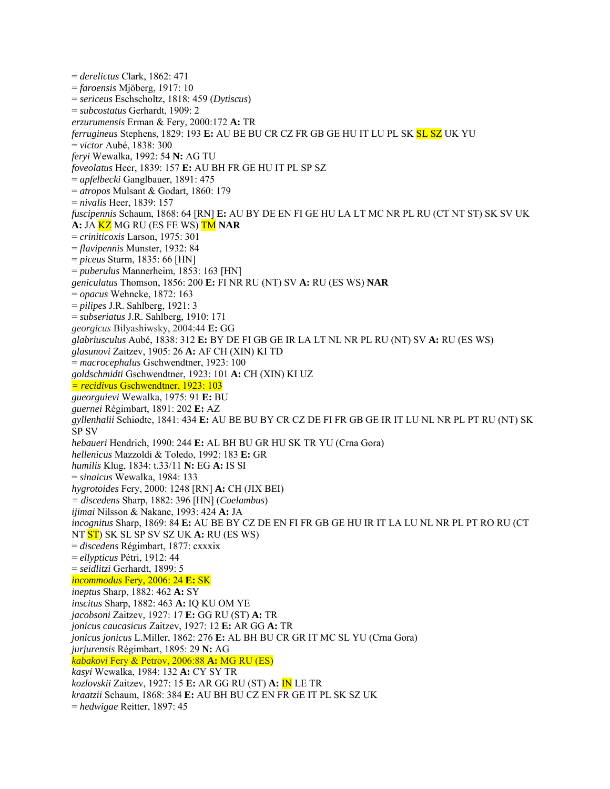= *derelictus* Clark, 1862: 471 = *faroensis* Mjöberg, 1917: 10 = *sericeus* Eschscholtz, 1818: 459 (*Dytiscus*) = *subcostatus* Gerhardt, 1909: 2 *erzurumensis* Erman & Fery, 2000:172 **A:** TR *ferrugineus* Stephens, 1829: 193 **E:** AU BE BU CR CZ FR GB GE HU IT LU PL SK SL SZ UK YU = *victor* Aubé, 1838: 300 *feryi* Wewalka, 1992: 54 **N:** AG TU *foveolatus* Heer, 1839: 157 **E:** AU BH FR GE HU IT PL SP SZ = *apfelbecki* Ganglbauer, 1891: 475 = *atropos* Mulsant & Godart, 1860: 179 = *nivalis* Heer, 1839: 157 *fuscipennis* Schaum, 1868: 64 [RN] **E:** AU BY DE EN FI GE HU LA LT MC NR PL RU (CT NT ST) SK SV UK **A:** JA KZ MG RU (ES FE WS) TM **NAR**  = *criniticoxis* Larson, 1975: 301 = *flavipennis* Munster, 1932: 84 = *piceus* Sturm, 1835: 66 [HN] = *puberulus* Mannerheim, 1853: 163 [HN] *geniculatus* Thomson, 1856: 200 **E:** FI NR RU (NT) SV **A:** RU (ES WS) **NAR**  = *opacus* Wehncke, 1872: 163 = *pilipes* J.R. Sahlberg, 1921: 3 = *subseriatus* J.R. Sahlberg, 1910: 171 *georgicus* Bilyashiwsky, 2004:44 **E:** GG *glabriusculus* Aubé, 1838: 312 **E:** BY DE FI GB GE IR LA LT NL NR PL RU (NT) SV **A:** RU (ES WS) *glasunovi* Zaitzev, 1905: 26 **A:** AF CH (XIN) KI TD = *macrocephalus* Gschwendtner, 1923: 100 *goldschmidti* Gschwendtner, 1923: 101 **A:** CH (XIN) KI UZ *= recidivus* Gschwendtner, 1923: 103 *gueorguievi* Wewalka, 1975: 91 **E:** BU *guernei* Régimbart, 1891: 202 **E:** AZ *gyllenhalii* Schiødte, 1841: 434 **E:** AU BE BU BY CR CZ DE FI FR GB GE IR IT LU NL NR PL PT RU (NT) SK SP SV *hebaueri* Hendrich, 1990: 244 **E:** AL BH BU GR HU SK TR YU (Crna Gora) *hellenicus* Mazzoldi & Toledo, 1992: 183 **E:** GR *humilis* Klug, 1834: t.33/11 **N:** EG **A:** IS SI = *sinaicus* Wewalka, 1984: 133 *hygrotoides* Fery, 2000: 1248 [RN] **A:** CH (JIX BEI) *= discedens* Sharp, 1882: 396 [HN] (*Coelambus*) *ijimai* Nilsson & Nakane, 1993: 424 **A:** JA *incognitus* Sharp, 1869: 84 **E:** AU BE BY CZ DE EN FI FR GB GE HU IR IT LA LU NL NR PL PT RO RU (CT NT ST) SK SL SP SV SZ UK **A:** RU (ES WS) = *discedens* Régimbart, 1877: cxxxix = *ellypticus* Pétri, 1912: 44 = *seidlitzi* Gerhardt, 1899: 5 *incommodus* Fery, 2006: 24 **E:** SK *ineptus* Sharp, 1882: 462 **A:** SY *inscitus* Sharp, 1882: 463 **A:** IQ KU OM YE *jacobsoni* Zaitzev, 1927: 17 **E:** GG RU (ST) **A:** TR *jonicus caucasicus* Zaitzev, 1927: 12 **E:** AR GG **A:** TR *jonicus jonicus* L.Miller, 1862: 276 **E:** AL BH BU CR GR IT MC SL YU (Crna Gora) *jurjurensis* Régimbart, 1895: 29 **N:** AG *kabakovi* Fery & Petrov, 2006:88 **A:** MG RU (ES) *kasyi* Wewalka, 1984: 132 **A:** CY SY TR *kozlovskii* Zaitzev, 1927: 15 **E:** AR GG RU (ST) **A:** IN LE TR *kraatzii* Schaum, 1868: 384 **E:** AU BH BU CZ EN FR GE IT PL SK SZ UK = *hedwigae* Reitter, 1897: 45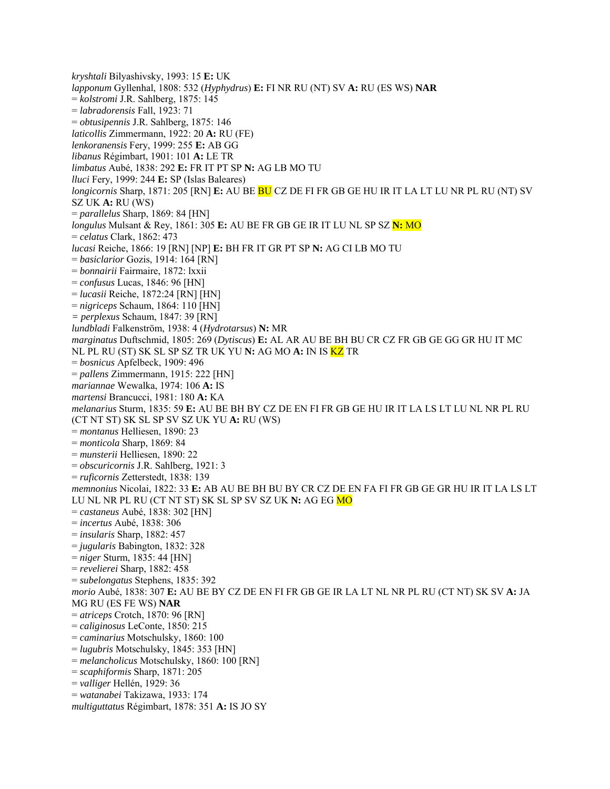*kryshtali* Bilyashivsky, 1993: 15 **E:** UK *lapponum* Gyllenhal, 1808: 532 (*Hyphydrus*) **E:** FI NR RU (NT) SV **A:** RU (ES WS) **NAR**  = *kolstromi* J.R. Sahlberg, 1875: 145 = *labradorensis* Fall, 1923: 71 = *obtusipennis* J.R. Sahlberg, 1875: 146 *laticollis* Zimmermann, 1922: 20 **A:** RU (FE) *lenkoranensis* Fery, 1999: 255 **E:** AB GG *libanus* Régimbart, 1901: 101 **A:** LE TR *limbatus* Aubé, 1838: 292 **E:** FR IT PT SP **N:** AG LB MO TU *lluci* Fery, 1999: 244 **E:** SP (Islas Baleares) *longicornis* Sharp, 1871: 205 [RN] **E:** AU BE BU CZ DE FI FR GB GE HU IR IT LA LT LU NR PL RU (NT) SV SZ UK **A:** RU (WS) = *parallelus* Sharp, 1869: 84 [HN] *longulus* Mulsant & Rey, 1861: 305 **E:** AU BE FR GB GE IR IT LU NL SP SZ **N:** MO = *celatus* Clark, 1862: 473 *lucasi* Reiche, 1866: 19 [RN] [NP] **E:** BH FR IT GR PT SP **N:** AG CI LB MO TU = *basiclarior* Gozis, 1914: 164 [RN] = *bonnairii* Fairmaire, 1872: lxxii = *confusus* Lucas, 1846: 96 [HN] = *lucasii* Reiche, 1872:24 [RN] [HN] = *nigriceps* Schaum, 1864: 110 [HN] *= perplexus* Schaum, 1847: 39 [RN] *lundbladi* Falkenström, 1938: 4 (*Hydrotarsus*) **N:** MR *marginatus* Duftschmid, 1805: 269 (*Dytiscus*) **E:** AL AR AU BE BH BU CR CZ FR GB GE GG GR HU IT MC NL PL RU (ST) SK SL SP SZ TR UK YU **N:** AG MO **A:** IN IS KZ TR = *bosnicus* Apfelbeck, 1909: 496 = *pallens* Zimmermann, 1915: 222 [HN] *mariannae* Wewalka, 1974: 106 **A:** IS *martensi* Brancucci, 1981: 180 **A:** KA *melanarius* Sturm, 1835: 59 **E:** AU BE BH BY CZ DE EN FI FR GB GE HU IR IT LA LS LT LU NL NR PL RU (CT NT ST) SK SL SP SV SZ UK YU **A:** RU (WS) = *montanus* Helliesen, 1890: 23 = *monticola* Sharp, 1869: 84 = *munsterii* Helliesen, 1890: 22 = *obscuricornis* J.R. Sahlberg, 1921: 3 = *ruficornis* Zetterstedt, 1838: 139 *memnonius* Nicolai, 1822: 33 **E:** AB AU BE BH BU BY CR CZ DE EN FA FI FR GB GE GR HU IR IT LA LS LT LU NL NR PL RU (CT NT ST) SK SL SP SV SZ UK **N:** AG EG MO = *castaneus* Aubé, 1838: 302 [HN] = *incertus* Aubé, 1838: 306 = *insularis* Sharp, 1882: 457 = *jugularis* Babington, 1832: 328 = *niger* Sturm, 1835: 44 [HN] = *revelierei* Sharp, 1882: 458 = *subelongatus* Stephens, 1835: 392 *morio* Aubé, 1838: 307 **E:** AU BE BY CZ DE EN FI FR GB GE IR LA LT NL NR PL RU (CT NT) SK SV **A:** JA MG RU (ES FE WS) **NAR**  = *atriceps* Crotch, 1870: 96 [RN] = *caliginosus* LeConte, 1850: 215 = *caminarius* Motschulsky, 1860: 100 = *lugubris* Motschulsky, 1845: 353 [HN] = *melancholicus* Motschulsky, 1860: 100 [RN] = *scaphiformis* Sharp, 1871: 205 = *valliger* Hellén, 1929: 36 = *watanabei* Takizawa, 1933: 174 *multiguttatus* Régimbart, 1878: 351 **A:** IS JO SY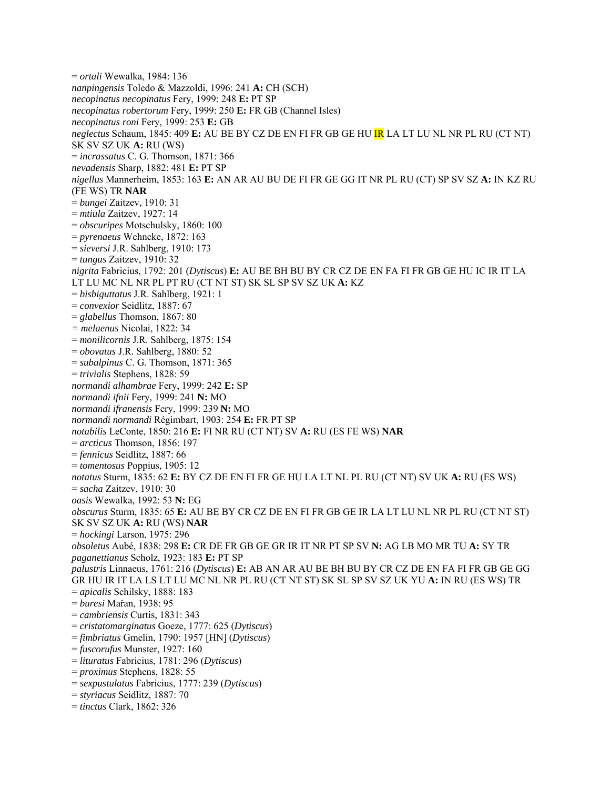= *ortali* Wewalka, 1984: 136 *nanpingensis* Toledo & Mazzoldi, 1996: 241 **A:** CH (SCH) *necopinatus necopinatus* Fery, 1999: 248 **E:** PT SP *necopinatus robertorum* Fery, 1999: 250 **E:** FR GB (Channel Isles) *necopinatus roni* Fery, 1999: 253 **E:** GB *neglectus* Schaum, 1845: 409 **E:** AU BE BY CZ DE EN FI FR GB GE HU IR LA LT LU NL NR PL RU (CT NT) SK SV SZ UK **A:** RU (WS) = *incrassatus* C. G. Thomson, 1871: 366 *nevadensis* Sharp, 1882: 481 **E:** PT SP *nigellus* Mannerheim, 1853: 163 **E:** AN AR AU BU DE FI FR GE GG IT NR PL RU (CT) SP SV SZ **A:** IN KZ RU (FE WS) TR **NAR**  = *bungei* Zaitzev, 1910: 31 = *mtiula* Zaitzev, 1927: 14 = *obscuripes* Motschulsky, 1860: 100 = *pyrenaeus* Wehncke, 1872: 163 = *sieversi* J.R. Sahlberg, 1910: 173 = *tungus* Zaitzev, 1910: 32 *nigrita* Fabricius, 1792: 201 (*Dytiscus*) **E:** AU BE BH BU BY CR CZ DE EN FA FI FR GB GE HU IC IR IT LA LT LU MC NL NR PL PT RU (CT NT ST) SK SL SP SV SZ UK **A:** KZ = *bisbiguttatus* J.R. Sahlberg, 1921: 1 = *convexior* Seidlitz, 1887: 67 = *glabellus* Thomson, 1867: 80 *= melaenus* Nicolai, 1822: 34 = *monilicornis* J.R. Sahlberg, 1875: 154 = *obovatus* J.R. Sahlberg, 1880: 52 = *subalpinus* C. G. Thomson, 1871: 365 = *trivialis* Stephens, 1828: 59 *normandi alhambrae* Fery, 1999: 242 **E:** SP *normandi ifnii* Fery, 1999: 241 **N:** MO *normandi ifranensis* Fery, 1999: 239 **N:** MO *normandi normandi* Régimbart, 1903: 254 **E:** FR PT SP *notabilis* LeConte, 1850: 216 **E:** FI NR RU (CT NT) SV **A:** RU (ES FE WS) **NAR**  = *arcticus* Thomson, 1856: 197 = *fennicus* Seidlitz, 1887: 66 = *tomentosus* Poppius, 1905: 12 *notatus* Sturm, 1835: 62 **E:** BY CZ DE EN FI FR GE HU LA LT NL PL RU (CT NT) SV UK **A:** RU (ES WS) = *sacha* Zaitzev, 1910: 30 *oasis* Wewalka, 1992: 53 **N:** EG *obscurus* Sturm, 1835: 65 **E:** AU BE BY CR CZ DE EN FI FR GB GE IR LA LT LU NL NR PL RU (CT NT ST) SK SV SZ UK **A:** RU (WS) **NAR**  = *hockingi* Larson, 1975: 296 *obsoletus* Aubé, 1838: 298 **E:** CR DE FR GB GE GR IR IT NR PT SP SV **N:** AG LB MO MR TU **A:** SY TR *paganettianus* Scholz, 1923: 183 **E:** PT SP *palustris* Linnaeus, 1761: 216 (*Dytiscus*) **E:** AB AN AR AU BE BH BU BY CR CZ DE EN FA FI FR GB GE GG GR HU IR IT LA LS LT LU MC NL NR PL RU (CT NT ST) SK SL SP SV SZ UK YU **A:** IN RU (ES WS) TR = *apicalis* Schilsky, 1888: 183 = *buresi* Mařan, 1938: 95 = *cambriensis* Curtis, 1831: 343 = *cristatomarginatus* Goeze, 1777: 625 (*Dytiscus*) = *fimbriatus* Gmelin, 1790: 1957 [HN] (*Dytiscus*) = *fuscorufus* Munster, 1927: 160 = *lituratus* Fabricius, 1781: 296 (*Dytiscus*) = *proximus* Stephens, 1828: 55 = *sexpustulatus* Fabricius, 1777: 239 (*Dytiscus*) = *styriacus* Seidlitz, 1887: 70 = *tinctus* Clark, 1862: 326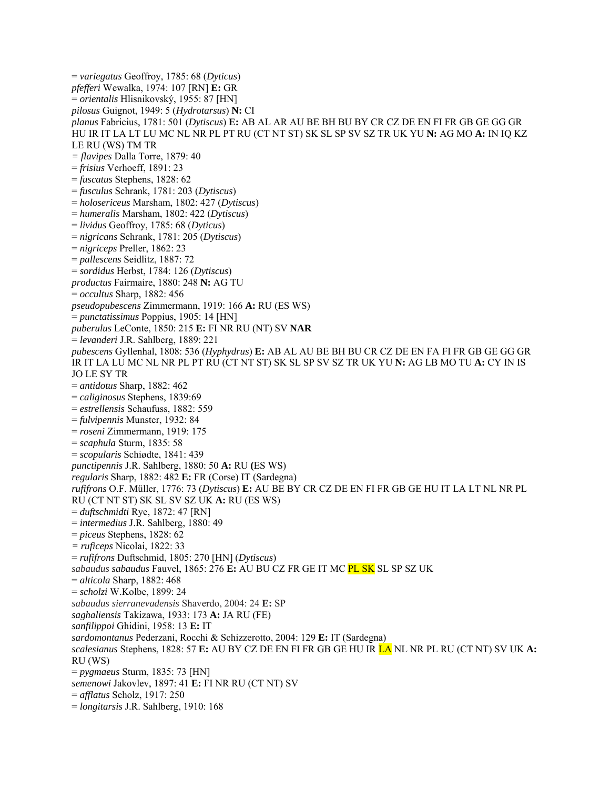= *variegatus* Geoffroy, 1785: 68 (*Dyticus*) *pfefferi* Wewalka, 1974: 107 [RN] **E:** GR = *orientalis* Hlisnikovský, 1955: 87 [HN] *pilosus* Guignot, 1949: 5 (*Hydrotarsus*) **N:** CI *planus* Fabricius, 1781: 501 (*Dytiscus*) **E:** AB AL AR AU BE BH BU BY CR CZ DE EN FI FR GB GE GG GR HU IR IT LA LT LU MC NL NR PL PT RU (CT NT ST) SK SL SP SV SZ TR UK YU **N:** AG MO **A:** IN IQ KZ LE RU (WS) TM TR *= flavipes* Dalla Torre, 1879: 40 = *frisius* Verhoeff, 1891: 23 = *fuscatus* Stephens, 1828: 62 = *fusculus* Schrank, 1781: 203 (*Dytiscus*) = *holosericeus* Marsham, 1802: 427 (*Dytiscus*) = *humeralis* Marsham, 1802: 422 (*Dytiscus*) = *lividus* Geoffroy, 1785: 68 (*Dyticus*) = *nigricans* Schrank, 1781: 205 (*Dytiscus*) = *nigriceps* Preller, 1862: 23 = *pallescens* Seidlitz, 1887: 72 = *sordidus* Herbst, 1784: 126 (*Dytiscus*) *productus* Fairmaire, 1880: 248 **N:** AG TU = *occultus* Sharp, 1882: 456 *pseudopubescens* Zimmermann, 1919: 166 **A:** RU (ES WS) = *punctatissimus* Poppius, 1905: 14 [HN] *puberulus* LeConte, 1850: 215 **E:** FI NR RU (NT) SV **NAR**  = *levanderi* J.R. Sahlberg, 1889: 221 *pubescens* Gyllenhal, 1808: 536 (*Hyphydrus*) **E:** AB AL AU BE BH BU CR CZ DE EN FA FI FR GB GE GG GR IR IT LA LU MC NL NR PL PT RU (CT NT ST) SK SL SP SV SZ TR UK YU **N:** AG LB MO TU **A:** CY IN IS JO LE SY TR = *antidotus* Sharp, 1882: 462 = *caliginosus* Stephens, 1839:69 = *estrellensis* Schaufuss, 1882: 559 = *fulvipennis* Munster, 1932: 84 = *roseni* Zimmermann, 1919: 175 = *scaphula* Sturm, 1835: 58 = *scopularis* Schiødte, 1841: 439 *punctipennis* J.R. Sahlberg, 1880: 50 **A:** RU **(**ES WS) *regularis* Sharp, 1882: 482 **E:** FR (Corse) IT (Sardegna) *rufifrons* O.F. Müller, 1776: 73 (*Dytiscus*) **E:** AU BE BY CR CZ DE EN FI FR GB GE HU IT LA LT NL NR PL RU (CT NT ST) SK SL SV SZ UK **A:** RU (ES WS) = *duftschmidti* Rye, 1872: 47 [RN] = *intermedius* J.R. Sahlberg, 1880: 49 = *piceus* Stephens, 1828: 62 *= ruficeps* Nicolai, 1822: 33 = *rufifrons* Duftschmid, 1805: 270 [HN] (*Dytiscus*) *sabaudus sabaudus* Fauvel, 1865: 276 **E:** AU BU CZ FR GE IT MC PL SK SL SP SZ UK = *alticola* Sharp, 1882: 468 = *scholzi* W.Kolbe, 1899: 24 *sabaudus sierranevadensis* Shaverdo, 2004: 24 **E:** SP *saghaliensis* Takizawa, 1933: 173 **A:** JA RU (FE) *sanfilippoi* Ghidini, 1958: 13 **E:** IT *sardomontanus* Pederzani, Rocchi & Schizzerotto, 2004: 129 **E:** IT (Sardegna) *scalesianus* Stephens, 1828: 57 **E:** AU BY CZ DE EN FI FR GB GE HU IR LA NL NR PL RU (CT NT) SV UK **A:** RU (WS) = *pygmaeus* Sturm, 1835: 73 [HN] *semenowi* Jakovlev, 1897: 41 **E:** FI NR RU (CT NT) SV = *afflatus* Scholz, 1917: 250 = *longitarsis* J.R. Sahlberg, 1910: 168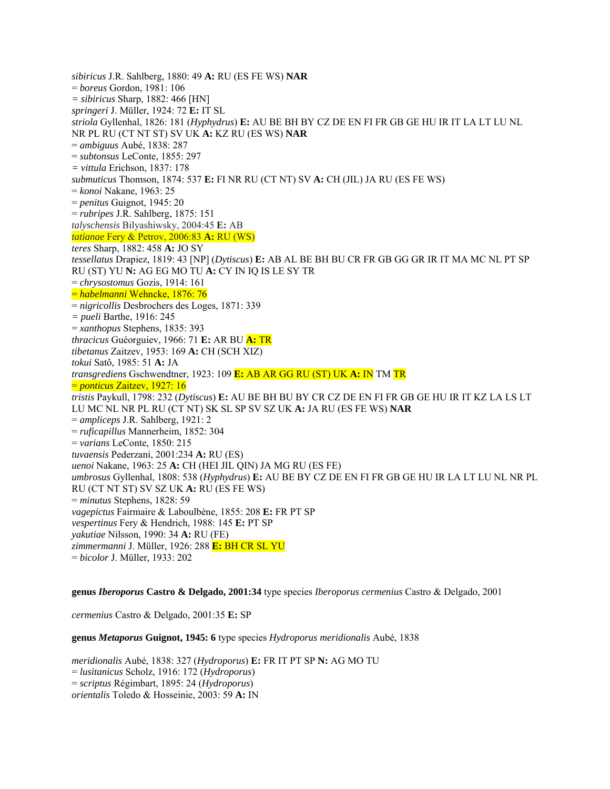*sibiricus* J.R. Sahlberg, 1880: 49 **A:** RU (ES FE WS) **NAR**  = *boreus* Gordon, 1981: 106 *= sibiricus* Sharp, 1882: 466 [HN] *springeri* J. Müller, 1924: 72 **E:** IT SL *striola* Gyllenhal, 1826: 181 (*Hyphydrus*) **E:** AU BE BH BY CZ DE EN FI FR GB GE HU IR IT LA LT LU NL NR PL RU (CT NT ST) SV UK **A:** KZ RU (ES WS) **NAR**  = *ambiguus* Aubé, 1838: 287 = *subtonsus* LeConte, 1855: 297 *= vittula* Erichson, 1837: 178 *submuticus* Thomson, 1874: 537 **E:** FI NR RU (CT NT) SV **A:** CH (JIL) JA RU (ES FE WS) = *konoi* Nakane, 1963: 25 = *penitus* Guignot, 1945: 20 = *rubripes* J.R. Sahlberg, 1875: 151 *talyschensis* Bilyashiwsky, 2004:45 **E:** AB *tatianae* Fery & Petrov, 2006:83 **A:** RU (WS) *teres* Sharp, 1882: 458 **A:** JO SY *tessellatus* Drapiez, 1819: 43 [NP] (*Dytiscus*) **E:** AB AL BE BH BU CR FR GB GG GR IR IT MA MC NL PT SP RU (ST) YU **N:** AG EG MO TU **A:** CY IN IQ IS LE SY TR = *chrysostomus* Gozis, 1914: 161 = *habelmanni* Wehncke, 1876: 76 = *nigricollis* Desbrochers des Loges, 1871: 339 *= pueli* Barthe, 1916: 245 = *xanthopus* Stephens, 1835: 393 *thracicus* Guéorguiev, 1966: 71 **E:** AR BU **A:** TR *tibetanus* Zaitzev, 1953: 169 **A:** CH (SCH XIZ) *tokui* Satô, 1985: 51 **A:** JA *transgrediens* Gschwendtner, 1923: 109 **E:** AB AR GG RU (ST) UK **A:** IN TM TR = *ponticus* Zaitzev, 1927: 16 *tristis* Paykull, 1798: 232 (*Dytiscus*) **E:** AU BE BH BU BY CR CZ DE EN FI FR GB GE HU IR IT KZ LA LS LT LU MC NL NR PL RU (CT NT) SK SL SP SV SZ UK **A:** JA RU (ES FE WS) **NAR**  = *ampliceps* J.R. Sahlberg, 1921: 2 = *ruficapillus* Mannerheim, 1852: 304 = *varians* LeConte, 1850: 215 *tuvaensis* Pederzani, 2001:234 **A:** RU (ES) *uenoi* Nakane, 1963: 25 **A:** CH (HEI JIL QIN) JA MG RU (ES FE) *umbrosus* Gyllenhal, 1808: 538 (*Hyphydrus*) **E:** AU BE BY CZ DE EN FI FR GB GE HU IR LA LT LU NL NR PL RU (CT NT ST) SV SZ UK **A:** RU (ES FE WS) = *minutus* Stephens, 1828: 59 *vagepictus* Fairmaire & Laboulbène, 1855: 208 **E:** FR PT SP *vespertinus* Fery & Hendrich, 1988: 145 **E:** PT SP *yakutiae* Nilsson, 1990: 34 **A:** RU (FE) *zimmermanni* J. Müller, 1926: 288 **E:** BH CR SL YU = *bicolor* J. Müller, 1933: 202

**genus** *Iberoporus* **Castro & Delgado, 2001:34** type species *Iberoporus cermenius* Castro & Delgado, 2001

*cermenius* Castro & Delgado, 2001:35 **E:** SP

**genus** *Metaporus* **Guignot, 1945: 6** type species *Hydroporus meridionalis* Aubé, 1838

*meridionalis* Aubé, 1838: 327 (*Hydroporus*) **E:** FR IT PT SP **N:** AG MO TU = *lusitanicus* Scholz, 1916: 172 (*Hydroporus*) = *scriptus* Régimbart, 1895: 24 (*Hydroporus*) *orientalis* Toledo & Hosseinie, 2003: 59 **A:** IN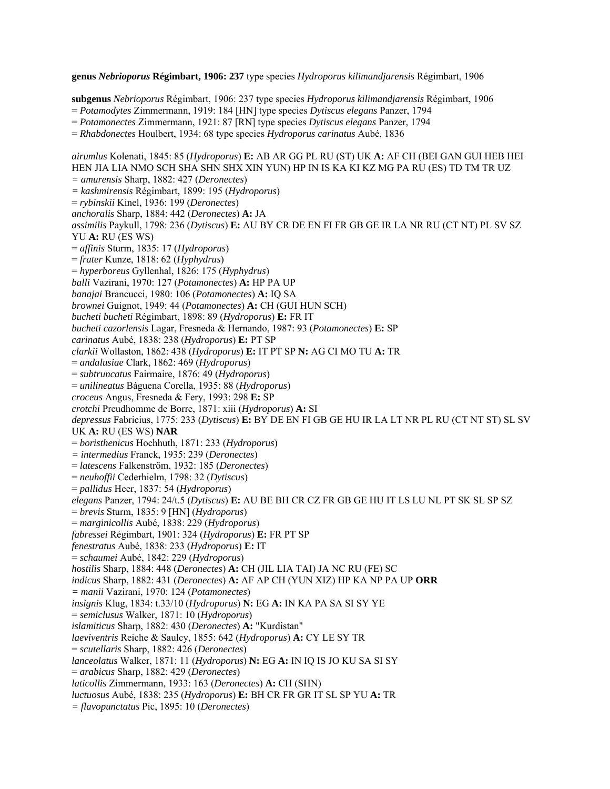**genus** *Nebrioporus* **Régimbart, 1906: 237** type species *Hydroporus kilimandjarensis* Régimbart, 1906

**subgenus** *Nebrioporus* Régimbart, 1906: 237 type species *Hydroporus kilimandjarensis* Régimbart, 1906

= *Potamodytes* Zimmermann, 1919: 184 [HN] type species *Dytiscus elegans* Panzer, 1794

= *Potamonectes* Zimmermann, 1921: 87 [RN] type species *Dytiscus elegans* Panzer, 1794

= *Rhabdonectes* Houlbert, 1934: 68 type species *Hydroporus carinatus* Aubé, 1836

*airumlus* Kolenati, 1845: 85 (*Hydroporus*) **E:** AB AR GG PL RU (ST) UK **A:** AF CH (BEI GAN GUI HEB HEI HEN JIA LIA NMO SCH SHA SHN SHX XIN YUN) HP IN IS KA KI KZ MG PA RU (ES) TD TM TR UZ *= amurensis* Sharp, 1882: 427 (*Deronectes*) *= kashmirensis* Régimbart, 1899: 195 (*Hydroporus*) = *rybinskii* Kinel, 1936: 199 (*Deronectes*) *anchoralis* Sharp, 1884: 442 (*Deronectes*) **A:** JA *assimilis* Paykull, 1798: 236 (*Dytiscus*) **E:** AU BY CR DE EN FI FR GB GE IR LA NR RU (CT NT) PL SV SZ YU **A:** RU (ES WS) = *affinis* Sturm, 1835: 17 (*Hydroporus*) = *frater* Kunze, 1818: 62 (*Hyphydrus*) = *hyperboreus* Gyllenhal, 1826: 175 (*Hyphydrus*) *balli* Vazirani, 1970: 127 (*Potamonectes*) **A:** HP PA UP *banajai* Brancucci, 1980: 106 (*Potamonectes*) **A:** IQ SA *brownei* Guignot, 1949: 44 (*Potamonectes*) **A:** CH (GUI HUN SCH) *bucheti bucheti* Régimbart, 1898: 89 (*Hydroporus*) **E:** FR IT *bucheti cazorlensis* Lagar, Fresneda & Hernando, 1987: 93 (*Potamonectes*) **E:** SP *carinatus* Aubé, 1838: 238 (*Hydroporus*) **E:** PT SP *clarkii* Wollaston, 1862: 438 (*Hydroporus*) **E:** IT PT SP **N:** AG CI MO TU **A:** TR = *andalusiae* Clark, 1862: 469 (*Hydroporus*) = *subtruncatus* Fairmaire, 1876: 49 (*Hydroporus*) = *unilineatus* Báguena Corella, 1935: 88 (*Hydroporus*) *croceus* Angus, Fresneda & Fery, 1993: 298 **E:** SP *crotchi* Preudhomme de Borre, 1871: xiii (*Hydroporus*) **A:** SI *depressus* Fabricius, 1775: 233 (*Dytiscus*) **E:** BY DE EN FI GB GE HU IR LA LT NR PL RU (CT NT ST) SL SV UK **A:** RU (ES WS) **NAR**  = *boristhenicus* Hochhuth, 1871: 233 (*Hydroporus*) *= intermedius* Franck, 1935: 239 (*Deronectes*) = *latescens* Falkenström, 1932: 185 (*Deronectes*) = *neuhoffii* Cederhielm, 1798: 32 (*Dytiscus*) = *pallidus* Heer, 1837: 54 (*Hydroporus*) *elegans* Panzer, 1794: 24/t.5 (*Dytiscus*) **E:** AU BE BH CR CZ FR GB GE HU IT LS LU NL PT SK SL SP SZ = *brevis* Sturm, 1835: 9 [HN] (*Hydroporus*) = *marginicollis* Aubé, 1838: 229 (*Hydroporus*) *fabressei* Régimbart, 1901: 324 (*Hydroporus*) **E:** FR PT SP *fenestratus* Aubé, 1838: 233 (*Hydroporus*) **E:** IT = *schaumei* Aubé, 1842: 229 (*Hydroporus*) *hostilis* Sharp, 1884: 448 (*Deronectes*) **A:** CH (JIL LIA TAI) JA NC RU (FE) SC *indicus* Sharp, 1882: 431 (*Deronectes*) **A:** AF AP CH (YUN XIZ) HP KA NP PA UP **ORR**  *= manii* Vazirani, 1970: 124 (*Potamonectes*) *insignis* Klug, 1834: t.33/10 (*Hydroporus*) **N:** EG **A:** IN KA PA SA SI SY YE = *semiclusus* Walker, 1871: 10 (*Hydroporus*) *islamiticus* Sharp, 1882: 430 (*Deronectes*) **A:** "Kurdistan" *laeviventris* Reiche & Saulcy, 1855: 642 (*Hydroporus*) **A:** CY LE SY TR = *scutellaris* Sharp, 1882: 426 (*Deronectes*) *lanceolatus* Walker, 1871: 11 (*Hydroporus*) **N:** EG **A:** IN IQ IS JO KU SA SI SY = *arabicus* Sharp, 1882: 429 (*Deronectes*) *laticollis* Zimmermann, 1933: 163 (*Deronectes*) **A:** CH (SHN) *luctuosus* Aubé, 1838: 235 (*Hydroporus*) **E:** BH CR FR GR IT SL SP YU **A:** TR *= flavopunctatus* Pic, 1895: 10 (*Deronectes*)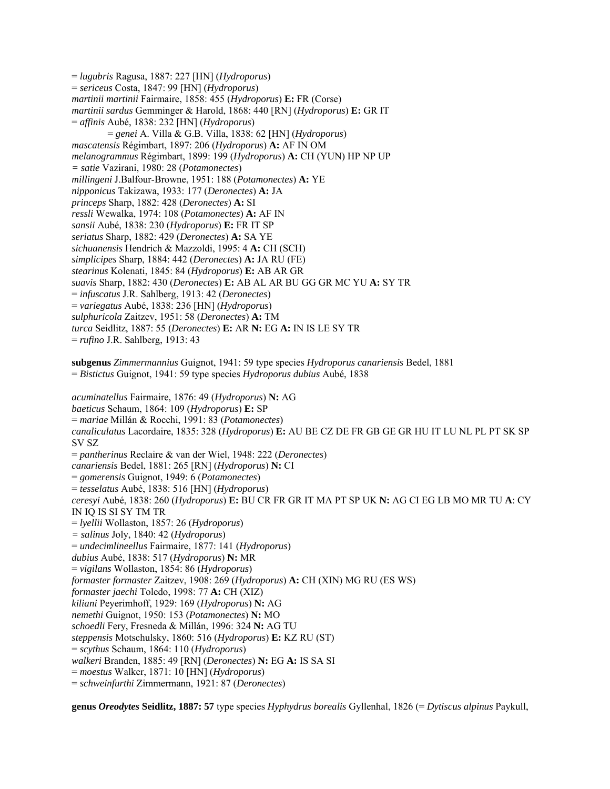= *lugubris* Ragusa, 1887: 227 [HN] (*Hydroporus*) = *sericeus* Costa, 1847: 99 [HN] (*Hydroporus*) *martinii martinii* Fairmaire, 1858: 455 (*Hydroporus*) **E:** FR (Corse) *martinii sardus* Gemminger & Harold, 1868: 440 [RN] (*Hydroporus*) **E:** GR IT = *affinis* Aubé, 1838: 232 [HN] (*Hydroporus*) = *genei* A. Villa & G.B. Villa, 1838: 62 [HN] (*Hydroporus*) *mascatensis* Régimbart, 1897: 206 (*Hydroporus*) **A:** AF IN OM *melanogrammus* Régimbart, 1899: 199 (*Hydroporus*) **A:** CH (YUN) HP NP UP *= satie* Vazirani, 1980: 28 (*Potamonectes*) *millingeni* J.Balfour-Browne, 1951: 188 (*Potamonectes*) **A:** YE *nipponicus* Takizawa, 1933: 177 (*Deronectes*) **A:** JA *princeps* Sharp, 1882: 428 (*Deronectes*) **A:** SI *ressli* Wewalka, 1974: 108 (*Potamonectes*) **A:** AF IN *sansii* Aubé, 1838: 230 (*Hydroporus*) **E:** FR IT SP *seriatus* Sharp, 1882: 429 (*Deronectes*) **A:** SA YE *sichuanensis* Hendrich & Mazzoldi, 1995: 4 **A:** CH (SCH) *simplicipes* Sharp, 1884: 442 (*Deronectes*) **A:** JA RU (FE) *stearinus* Kolenati, 1845: 84 (*Hydroporus*) **E:** AB AR GR *suavis* Sharp, 1882: 430 (*Deronectes*) **E:** AB AL AR BU GG GR MC YU **A:** SY TR = *infuscatus* J.R. Sahlberg, 1913: 42 (*Deronectes*) = *variegatus* Aubé, 1838: 236 [HN] (*Hydroporus*) *sulphuricola* Zaitzev, 1951: 58 (*Deronectes*) **A:** TM *turca* Seidlitz, 1887: 55 (*Deronectes*) **E:** AR **N:** EG **A:** IN IS LE SY TR = *rufino* J.R. Sahlberg, 1913: 43 **subgenus** *Zimmermannius* Guignot, 1941: 59 type species *Hydroporus canariensis* Bedel, 1881 = *Bistictus* Guignot, 1941: 59 type species *Hydroporus dubius* Aubé, 1838 *acuminatellus* Fairmaire, 1876: 49 (*Hydroporus*) **N:** AG *baeticus* Schaum, 1864: 109 (*Hydroporus*) **E:** SP = *mariae* Millán & Rocchi, 1991: 83 (*Potamonectes*) *canaliculatus* Lacordaire, 1835: 328 (*Hydroporus*) **E:** AU BE CZ DE FR GB GE GR HU IT LU NL PL PT SK SP SV SZ = *pantherinus* Reclaire & van der Wiel, 1948: 222 (*Deronectes*) *canariensis* Bedel, 1881: 265 [RN] (*Hydroporus*) **N:** CI = *gomerensis* Guignot, 1949: 6 (*Potamonectes*) = *tesselatus* Aubé, 1838: 516 [HN] (*Hydroporus*) *ceresyi* Aubé, 1838: 260 (*Hydroporus*) **E:** BU CR FR GR IT MA PT SP UK **N:** AG CI EG LB MO MR TU **A**: CY IN IQ IS SI SY TM TR = *lyellii* Wollaston, 1857: 26 (*Hydroporus*) *= salinus* Joly, 1840: 42 (*Hydroporus*) = *undecimlineellus* Fairmaire, 1877: 141 (*Hydroporus*) *dubius* Aubé, 1838: 517 (*Hydroporus*) **N:** MR = *vigilans* Wollaston, 1854: 86 (*Hydroporus*) *formaster formaster* Zaitzev, 1908: 269 (*Hydroporus*) **A:** CH (XIN) MG RU (ES WS) *formaster jaechi* Toledo, 1998: 77 **A:** CH (XIZ) *kiliani* Peyerimhoff, 1929: 169 (*Hydroporus*) **N:** AG *nemethi* Guignot, 1950: 153 (*Potamonectes*) **N:** MO *schoedli* Fery, Fresneda & Millán, 1996: 324 **N:** AG TU *steppensis* Motschulsky, 1860: 516 (*Hydroporus*) **E:** KZ RU (ST) = *scythus* Schaum, 1864: 110 (*Hydroporus*)

*walkeri* Branden, 1885: 49 [RN] (*Deronectes*) **N:** EG **A:** IS SA SI

- = *moestus* Walker, 1871: 10 [HN] (*Hydroporus*)
- = *schweinfurthi* Zimmermann, 1921: 87 (*Deronectes*)

**genus** *Oreodytes* **Seidlitz, 1887: 57** type species *Hyphydrus borealis* Gyllenhal, 1826 (= *Dytiscus alpinus* Paykull,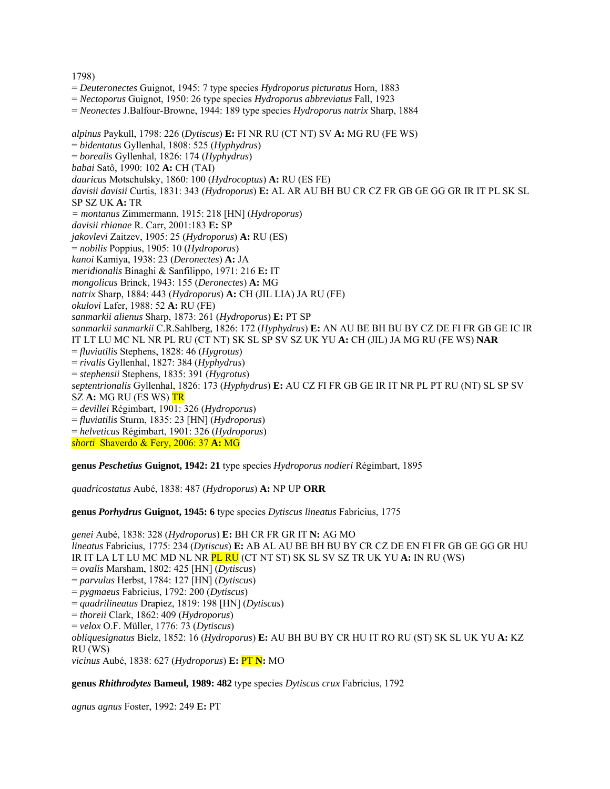#### 1798)

- = *Deuteronectes* Guignot, 1945: 7 type species *Hydroporus picturatus* Horn, 1883
- = *Nectoporus* Guignot, 1950: 26 type species *Hydroporus abbreviatus* Fall, 1923
- = *Neonectes* J.Balfour-Browne, 1944: 189 type species *Hydroporus natrix* Sharp, 1884

*alpinus* Paykull, 1798: 226 (*Dytiscus*) **E:** FI NR RU (CT NT) SV **A:** MG RU (FE WS) = *bidentatus* Gyllenhal, 1808: 525 (*Hyphydrus*) = *borealis* Gyllenhal, 1826: 174 (*Hyphydrus*) *babai* Satô, 1990: 102 **A:** CH (TAI) *dauricus* Motschulsky, 1860: 100 (*Hydrocoptus*) **A:** RU (ES FE) *davisii davisii* Curtis, 1831: 343 (*Hydroporus*) **E:** AL AR AU BH BU CR CZ FR GB GE GG GR IR IT PL SK SL SP SZ UK **A:** TR *= montanus* Zimmermann, 1915: 218 [HN] (*Hydroporus*) *davisii rhianae* R. Carr, 2001:183 **E:** SP *jakovlevi* Zaitzev, 1905: 25 (*Hydroporus*) **A:** RU (ES) = *nobilis* Poppius, 1905: 10 (*Hydroporus*) *kanoi* Kamiya, 1938: 23 (*Deronectes*) **A:** JA *meridionalis* Binaghi & Sanfilippo, 1971: 216 **E:** IT *mongolicus* Brinck, 1943: 155 (*Deronectes*) **A:** MG *natrix* Sharp, 1884: 443 (*Hydroporus*) **A:** CH (JIL LIA) JA RU (FE) *okulovi* Lafer, 1988: 52 **A:** RU (FE) *sanmarkii alienus* Sharp, 1873: 261 (*Hydroporus*) **E:** PT SP *sanmarkii sanmarkii* C.R.Sahlberg, 1826: 172 (*Hyphydrus*) **E:** AN AU BE BH BU BY CZ DE FI FR GB GE IC IR IT LT LU MC NL NR PL RU (CT NT) SK SL SP SV SZ UK YU **A:** CH (JIL) JA MG RU (FE WS) **NAR**  = *fluviatilis* Stephens, 1828: 46 (*Hygrotus*) = *rivalis* Gyllenhal, 1827: 384 (*Hyphydrus*) = *stephensii* Stephens, 1835: 391 (*Hygrotus*) *septentrionalis* Gyllenhal, 1826: 173 (*Hyphydrus*) **E:** AU CZ FI FR GB GE IR IT NR PL PT RU (NT) SL SP SV SZ **A:** MG RU (ES WS) TR = *devillei* Régimbart, 1901: 326 (*Hydroporus*) = *fluviatilis* Sturm, 1835: 23 [HN] (*Hydroporus*) = *helveticus* Régimbart, 1901: 326 (*Hydroporus*) *shorti* Shaverdo & Fery, 2006: 37 **A:** MG

**genus** *Peschetius* **Guignot, 1942: 21** type species *Hydroporus nodieri* Régimbart, 1895

*quadricostatus* Aubé, 1838: 487 (*Hydroporus*) **A:** NP UP **ORR** 

**genus** *Porhydrus* **Guignot, 1945: 6** type species *Dytiscus lineatus* Fabricius, 1775

*genei* Aubé, 1838: 328 (*Hydroporus*) **E:** BH CR FR GR IT **N:** AG MO *lineatus* Fabricius, 1775: 234 (*Dytiscus*) **E:** AB AL AU BE BH BU BY CR CZ DE EN FI FR GB GE GG GR HU IR IT LA LT LU MC MD NL NR PL RU (CT NT ST) SK SL SV SZ TR UK YU **A:** IN RU (WS) = *ovalis* Marsham, 1802: 425 [HN] (*Dytiscus*) = *parvulus* Herbst, 1784: 127 [HN] (*Dytiscus*) = *pygmaeus* Fabricius, 1792: 200 (*Dytiscus*) = *quadrilineatus* Drapiez, 1819: 198 [HN] (*Dytiscus*) = *thoreii* Clark, 1862: 409 (*Hydroporus*) = *velox* O.F. Müller, 1776: 73 (*Dytiscus*) *obliquesignatus* Bielz, 1852: 16 (*Hydroporus*) **E:** AU BH BU BY CR HU IT RO RU (ST) SK SL UK YU **A:** KZ RU (WS) *vicinus* Aubé, 1838: 627 (*Hydroporus*) **E:** PT **N:** MO

**genus** *Rhithrodytes* **Bameul, 1989: 482** type species *Dytiscus crux* Fabricius, 1792

*agnus agnus* Foster, 1992: 249 **E:** PT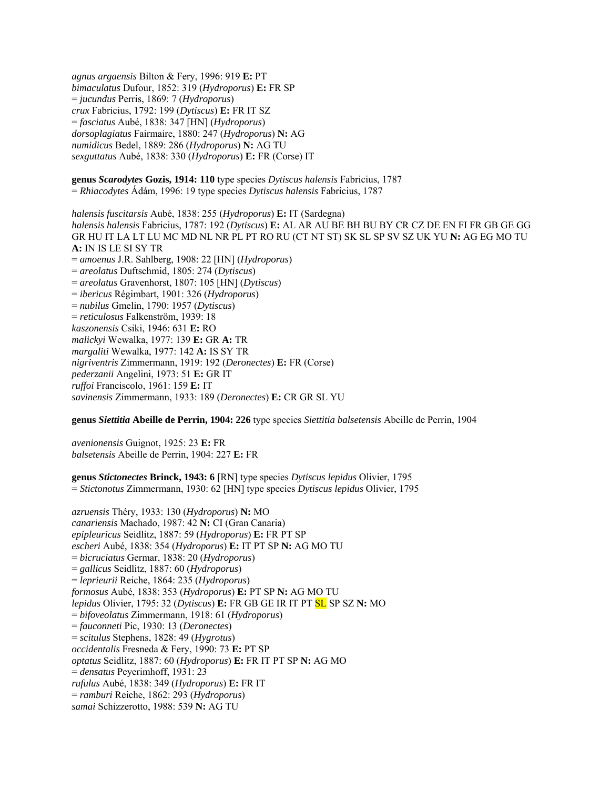*agnus argaensis* Bilton & Fery, 1996: 919 **E:** PT *bimaculatus* Dufour, 1852: 319 (*Hydroporus*) **E:** FR SP = *jucundus* Perris, 1869: 7 (*Hydroporus*) *crux* Fabricius, 1792: 199 (*Dytiscus*) **E:** FR IT SZ = *fasciatus* Aubé, 1838: 347 [HN] (*Hydroporus*) *dorsoplagiatus* Fairmaire, 1880: 247 (*Hydroporus*) **N:** AG *numidicus* Bedel, 1889: 286 (*Hydroporus*) **N:** AG TU *sexguttatus* Aubé, 1838: 330 (*Hydroporus*) **E:** FR (Corse) IT

**genus** *Scarodytes* **Gozis, 1914: 110** type species *Dytiscus halensis* Fabricius, 1787 = *Rhiacodytes* Ádám, 1996: 19 type species *Dytiscus halensis* Fabricius, 1787

*halensis fuscitarsis* Aubé, 1838: 255 (*Hydroporus*) **E:** IT (Sardegna) *halensis halensis* Fabricius, 1787: 192 (*Dytiscus*) **E:** AL AR AU BE BH BU BY CR CZ DE EN FI FR GB GE GG GR HU IT LA LT LU MC MD NL NR PL PT RO RU (CT NT ST) SK SL SP SV SZ UK YU **N:** AG EG MO TU **A:** IN IS LE SI SY TR = *amoenus* J.R. Sahlberg, 1908: 22 [HN] (*Hydroporus*) = *areolatus* Duftschmid, 1805: 274 (*Dytiscus*) = *areolatus* Gravenhorst, 1807: 105 [HN] (*Dytiscus*) = *ibericus* Régimbart, 1901: 326 (*Hydroporus*) = *nubilus* Gmelin, 1790: 1957 (*Dytiscus*) = *reticulosus* Falkenström, 1939: 18 *kaszonensis* Csiki, 1946: 631 **E:** RO *malickyi* Wewalka, 1977: 139 **E:** GR **A:** TR *margaliti* Wewalka, 1977: 142 **A:** IS SY TR *nigriventris* Zimmermann, 1919: 192 (*Deronectes*) **E:** FR (Corse) *pederzanii* Angelini, 1973: 51 **E:** GR IT *ruffoi* Franciscolo, 1961: 159 **E:** IT *savinensis* Zimmermann, 1933: 189 (*Deronectes*) **E:** CR GR SL YU

**genus** *Siettitia* **Abeille de Perrin, 1904: 226** type species *Siettitia balsetensis* Abeille de Perrin, 1904

*avenionensis* Guignot, 1925: 23 **E:** FR *balsetensis* Abeille de Perrin, 1904: 227 **E:** FR

**genus** *Stictonectes* **Brinck, 1943: 6** [RN] type species *Dytiscus lepidus* Olivier, 1795 = *Stictonotus* Zimmermann, 1930: 62 [HN] type species *Dytiscus lepidus* Olivier, 1795

*azruensis* Théry, 1933: 130 (*Hydroporus*) **N:** MO *canariensis* Machado, 1987: 42 **N:** CI (Gran Canaria) *epipleuricus* Seidlitz, 1887: 59 (*Hydroporus*) **E:** FR PT SP *escheri* Aubé, 1838: 354 (*Hydroporus*) **E:** IT PT SP **N:** AG MO TU = *bicruciatus* Germar, 1838: 20 (*Hydroporus*) = *gallicus* Seidlitz, 1887: 60 (*Hydroporus*) = *leprieurii* Reiche, 1864: 235 (*Hydroporus*) *formosus* Aubé, 1838: 353 (*Hydroporus*) **E:** PT SP **N:** AG MO TU *lepidus* Olivier, 1795: 32 (*Dytiscus*) **E:** FR GB GE IR IT PT SL SP SZ **N:** MO = *bifoveolatus* Zimmermann, 1918: 61 (*Hydroporus*) = *fauconneti* Pic, 1930: 13 (*Deronectes*) = *scitulus* Stephens, 1828: 49 (*Hygrotus*) *occidentalis* Fresneda & Fery, 1990: 73 **E:** PT SP *optatus* Seidlitz, 1887: 60 (*Hydroporus*) **E:** FR IT PT SP **N:** AG MO = *densatus* Peyerimhoff, 1931: 23 *rufulus* Aubé, 1838: 349 (*Hydroporus*) **E:** FR IT = *ramburi* Reiche, 1862: 293 (*Hydroporus*) *samai* Schizzerotto, 1988: 539 **N:** AG TU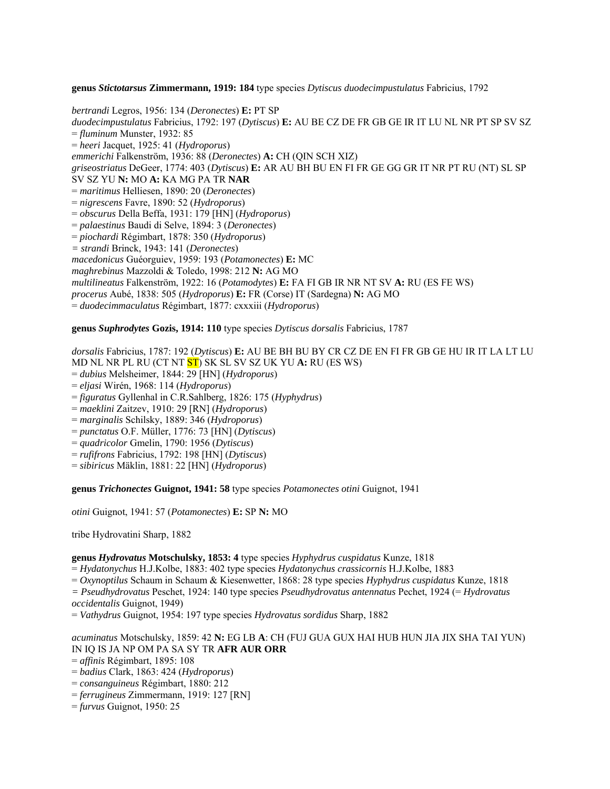**genus** *Stictotarsus* **Zimmermann, 1919: 184** type species *Dytiscus duodecimpustulatus* Fabricius, 1792

*bertrandi* Legros, 1956: 134 (*Deronectes*) **E:** PT SP *duodecimpustulatus* Fabricius, 1792: 197 (*Dytiscus*) **E:** AU BE CZ DE FR GB GE IR IT LU NL NR PT SP SV SZ = *fluminum* Munster, 1932: 85 = *heeri* Jacquet, 1925: 41 (*Hydroporus*) *emmerichi* Falkenström, 1936: 88 (*Deronectes*) **A:** CH (QIN SCH XIZ) *griseostriatus* DeGeer, 1774: 403 (*Dytiscus*) **E:** AR AU BH BU EN FI FR GE GG GR IT NR PT RU (NT) SL SP SV SZ YU **N:** MO **A:** KA MG PA TR **NAR** = *maritimus* Helliesen, 1890: 20 (*Deronectes*) = *nigrescens* Favre, 1890: 52 (*Hydroporus*) = *obscurus* Della Beffa, 1931: 179 [HN] (*Hydroporus*) = *palaestinus* Baudi di Selve, 1894: 3 (*Deronectes*) = *piochardi* Régimbart, 1878: 350 (*Hydroporus*) *= strandi* Brinck, 1943: 141 (*Deronectes*) *macedonicus* Guéorguiev, 1959: 193 (*Potamonectes*) **E:** MC *maghrebinus* Mazzoldi & Toledo, 1998: 212 **N:** AG MO *multilineatus* Falkenström, 1922: 16 (*Potamodytes*) **E:** FA FI GB IR NR NT SV **A:** RU (ES FE WS) *procerus* Aubé, 1838: 505 (*Hydroporus*) **E:** FR (Corse) IT (Sardegna) **N:** AG MO = *duodecimmaculatus* Régimbart, 1877: cxxxiii (*Hydroporus*)

#### **genus** *Suphrodytes* **Gozis, 1914: 110** type species *Dytiscus dorsalis* Fabricius, 1787

*dorsalis* Fabricius, 1787: 192 (*Dytiscus*) **E:** AU BE BH BU BY CR CZ DE EN FI FR GB GE HU IR IT LA LT LU MD NL NR PL RU (CT NT ST) SK SL SV SZ UK YU **A:** RU (ES WS) = *dubius* Melsheimer, 1844: 29 [HN] (*Hydroporus*)

- = *eljasi* Wirén, 1968: 114 (*Hydroporus*)
- = *figuratus* Gyllenhal in C.R.Sahlberg, 1826: 175 (*Hyphydrus*)
- = *maeklini* Zaitzev, 1910: 29 [RN] (*Hydroporus*)
- = *marginalis* Schilsky, 1889: 346 (*Hydroporus*)
- = *punctatus* O.F. Müller, 1776: 73 [HN] (*Dytiscus*)
- = *quadricolor* Gmelin, 1790: 1956 (*Dytiscus*)
- = *rufifrons* Fabricius, 1792: 198 [HN] (*Dytiscus*)
- = *sibiricus* Mäklin, 1881: 22 [HN] (*Hydroporus*)

**genus** *Trichonectes* **Guignot, 1941: 58** type species *Potamonectes otini* Guignot, 1941

*otini* Guignot, 1941: 57 (*Potamonectes*) **E:** SP **N:** MO

tribe Hydrovatini Sharp, 1882

## **genus** *Hydrovatus* **Motschulsky, 1853: 4** type species *Hyphydrus cuspidatus* Kunze, 1818

= *Hydatonychus* H.J.Kolbe, 1883: 402 type species *Hydatonychus crassicornis* H.J.Kolbe, 1883

= *Oxynoptilus* Schaum in Schaum & Kiesenwetter, 1868: 28 type species *Hyphydrus cuspidatus* Kunze, 1818

*= Pseudhydrovatus* Peschet, 1924: 140 type species *Pseudhydrovatus antennatus* Pechet, 1924 (= *Hydrovatus occidentalis* Guignot, 1949)

= *Vathydrus* Guignot, 1954: 197 type species *Hydrovatus sordidus* Sharp, 1882

#### *acuminatus* Motschulsky, 1859: 42 **N:** EG LB **A**: CH (FUJ GUA GUX HAI HUB HUN JIA JIX SHA TAI YUN) IN IQ IS JA NP OM PA SA SY TR **AFR AUR ORR**

- = *affinis* Régimbart, 1895: 108
- = *badius* Clark, 1863: 424 (*Hydroporus*)
- = *consanguineus* Régimbart, 1880: 212
- = *ferrugineus* Zimmermann, 1919: 127 [RN]
- = *furvus* Guignot, 1950: 25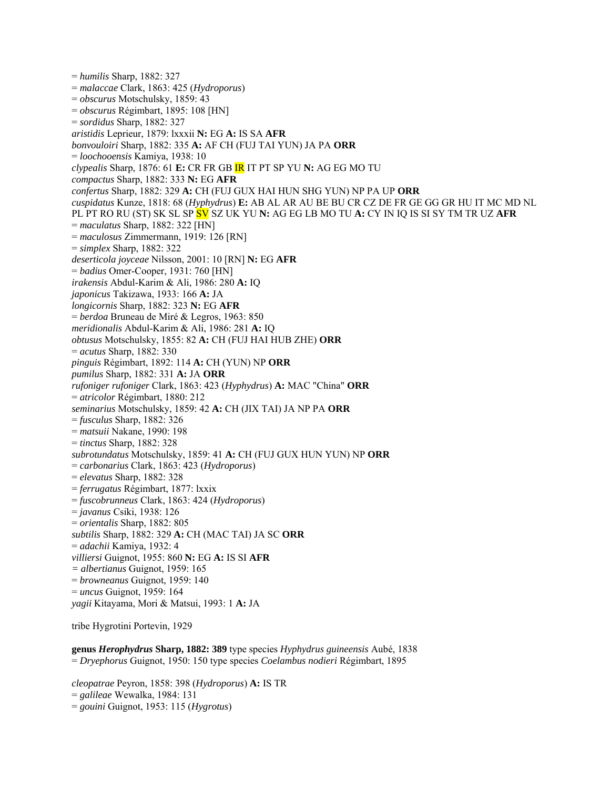= *humilis* Sharp, 1882: 327 = *malaccae* Clark, 1863: 425 (*Hydroporus*) = *obscurus* Motschulsky, 1859: 43 = *obscurus* Régimbart, 1895: 108 [HN] = *sordidus* Sharp, 1882: 327 *aristidis* Leprieur, 1879: lxxxii **N:** EG **A:** IS SA **AFR**  *bonvouloiri* Sharp, 1882: 335 **A:** AF CH (FUJ TAI YUN) JA PA **ORR**  = *loochooensis* Kamiya, 1938: 10 *clypealis* Sharp, 1876: 61 **E:** CR FR GB IR IT PT SP YU **N:** AG EG MO TU *compactus* Sharp, 1882: 333 **N:** EG **AFR**  *confertus* Sharp, 1882: 329 **A:** CH (FUJ GUX HAI HUN SHG YUN) NP PA UP **ORR**  *cuspidatus* Kunze, 1818: 68 (*Hyphydrus*) **E:** AB AL AR AU BE BU CR CZ DE FR GE GG GR HU IT MC MD NL PL PT RO RU (ST) SK SL SP SV SZ UK YU **N:** AG EG LB MO TU **A:** CY IN IQ IS SI SY TM TR UZ **AFR**  = *maculatus* Sharp, 1882: 322 [HN] = *maculosus* Zimmermann, 1919: 126 [RN] = *simplex* Sharp, 1882: 322 *deserticola joyceae* Nilsson, 2001: 10 [RN] **N:** EG **AFR**  = *badius* Omer-Cooper, 1931: 760 [HN] *irakensis* Abdul-Karim & Ali, 1986: 280 **A:** IQ *japonicus* Takizawa, 1933: 166 **A:** JA *longicornis* Sharp, 1882: 323 **N:** EG **AFR**  = *berdoa* Bruneau de Miré & Legros, 1963: 850 *meridionalis* Abdul-Karim & Ali, 1986: 281 **A:** IQ *obtusus* Motschulsky, 1855: 82 **A:** CH (FUJ HAI HUB ZHE) **ORR**  = *acutus* Sharp, 1882: 330 *pinguis* Régimbart, 1892: 114 **A:** CH (YUN) NP **ORR**  *pumilus* Sharp, 1882: 331 **A:** JA **ORR**  *rufoniger rufoniger* Clark, 1863: 423 (*Hyphydrus*) **A:** MAC "China" **ORR**  = *atricolor* Régimbart, 1880: 212 *seminarius* Motschulsky, 1859: 42 **A:** CH (JIX TAI) JA NP PA **ORR**  = *fusculus* Sharp, 1882: 326 = *matsuii* Nakane, 1990: 198 = *tinctus* Sharp, 1882: 328 *subrotundatus* Motschulsky, 1859: 41 **A:** CH (FUJ GUX HUN YUN) NP **ORR**  = *carbonarius* Clark, 1863: 423 (*Hydroporus*) = *elevatus* Sharp, 1882: 328 = *ferrugatus* Régimbart, 1877: lxxix = *fuscobrunneus* Clark, 1863: 424 (*Hydroporus*) = *javanus* Csiki, 1938: 126 = *orientalis* Sharp, 1882: 805 *subtilis* Sharp, 1882: 329 **A:** CH (MAC TAI) JA SC **ORR**  = *adachii* Kamiya, 1932: 4 *villiersi* Guignot, 1955: 860 **N:** EG **A:** IS SI **AFR**  *= albertianus* Guignot, 1959: 165 = *browneanus* Guignot, 1959: 140 = *uncus* Guignot, 1959: 164 *yagii* Kitayama, Mori & Matsui, 1993: 1 **A:** JA

tribe Hygrotini Portevin, 1929

**genus** *Herophydrus* **Sharp, 1882: 389** type species *Hyphydrus guineensis* Aubé, 1838 = *Dryephorus* Guignot, 1950: 150 type species *Coelambus nodieri* Régimbart, 1895

*cleopatrae* Peyron, 1858: 398 (*Hydroporus*) **A:** IS TR = *galileae* Wewalka, 1984: 131 = *gouini* Guignot, 1953: 115 (*Hygrotus*)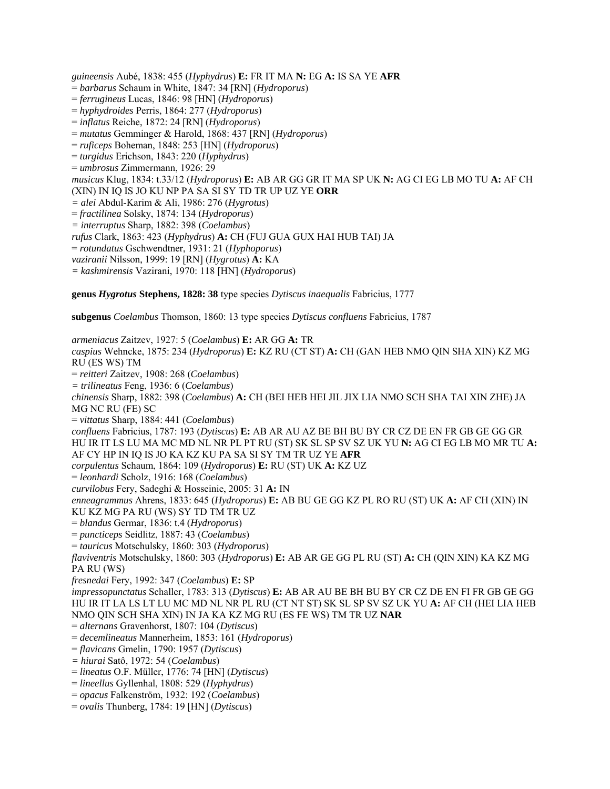*guineensis* Aubé, 1838: 455 (*Hyphydrus*) **E:** FR IT MA **N:** EG **A:** IS SA YE **AFR** 

- = *barbarus* Schaum in White, 1847: 34 [RN] (*Hydroporus*)
- = *ferrugineus* Lucas, 1846: 98 [HN] (*Hydroporus*)
- = *hyphydroides* Perris, 1864: 277 (*Hydroporus*)
- = *inflatus* Reiche, 1872: 24 [RN] (*Hydroporus*)
- = *mutatus* Gemminger & Harold, 1868: 437 [RN] (*Hydroporus*)
- = *ruficeps* Boheman, 1848: 253 [HN] (*Hydroporus*)
- = *turgidus* Erichson, 1843: 220 (*Hyphydrus*)
- = *umbrosus* Zimmermann, 1926: 29

*musicus* Klug, 1834: t.33/12 (*Hydroporus*) **E:** AB AR GG GR IT MA SP UK **N:** AG CI EG LB MO TU **A:** AF CH

- (XIN) IN IQ IS JO KU NP PA SA SI SY TD TR UP UZ YE **ORR**
- *= alei* Abdul-Karim & Ali, 1986: 276 (*Hygrotus*)
- = *fractilinea* Solsky, 1874: 134 (*Hydroporus*)
- *= interruptus* Sharp, 1882: 398 (*Coelambus*)

*rufus* Clark, 1863: 423 (*Hyphydrus*) **A:** CH (FUJ GUA GUX HAI HUB TAI) JA

- = *rotundatus* Gschwendtner, 1931: 21 (*Hyphoporus*)
- *vaziranii* Nilsson, 1999: 19 [RN] (*Hygrotus*) **A:** KA
- *= kashmirensis* Vazirani, 1970: 118 [HN] (*Hydroporus*)

**genus** *Hygrotus* **Stephens, 1828: 38** type species *Dytiscus inaequalis* Fabricius, 1777

**subgenus** *Coelambus* Thomson, 1860: 13 type species *Dytiscus confluens* Fabricius, 1787

*armeniacus* Zaitzev, 1927: 5 (*Coelambus*) **E:** AR GG **A:** TR *caspius* Wehncke, 1875: 234 (*Hydroporus*) **E:** KZ RU (CT ST) **A:** CH (GAN HEB NMO QIN SHA XIN) KZ MG RU (ES WS) TM = *reitteri* Zaitzev, 1908: 268 (*Coelambus*) *= trilineatus* Feng, 1936: 6 (*Coelambus*) *chinensis* Sharp, 1882: 398 (*Coelambus*) **A:** CH (BEI HEB HEI JIL JIX LIA NMO SCH SHA TAI XIN ZHE) JA MG NC RU (FE) SC = *vittatus* Sharp, 1884: 441 (*Coelambus*) *confluens* Fabricius, 1787: 193 (*Dytiscus*) **E:** AB AR AU AZ BE BH BU BY CR CZ DE EN FR GB GE GG GR HU IR IT LS LU MA MC MD NL NR PL PT RU (ST) SK SL SP SV SZ UK YU **N:** AG CI EG LB MO MR TU **A:**  AF CY HP IN IQ IS JO KA KZ KU PA SA SI SY TM TR UZ YE **AFR** *corpulentus* Schaum, 1864: 109 (*Hydroporus*) **E:** RU (ST) UK **A:** KZ UZ = *leonhardi* Scholz, 1916: 168 (*Coelambus*) *curvilobus* Fery, Sadeghi & Hosseinie, 2005: 31 **A:** IN *enneagrammus* Ahrens, 1833: 645 (*Hydroporus*) **E:** AB BU GE GG KZ PL RO RU (ST) UK **A:** AF CH (XIN) IN KU KZ MG PA RU (WS) SY TD TM TR UZ = *blandus* Germar, 1836: t.4 (*Hydroporus*) = *puncticeps* Seidlitz, 1887: 43 (*Coelambus*) = *tauricus* Motschulsky, 1860: 303 (*Hydroporus*) *flaviventris* Motschulsky, 1860: 303 (*Hydroporus*) **E:** AB AR GE GG PL RU (ST) **A:** CH (QIN XIN) KA KZ MG PA RU (WS) *fresnedai* Fery, 1992: 347 (*Coelambus*) **E:** SP *impressopunctatus* Schaller, 1783: 313 (*Dytiscus*) **E:** AB AR AU BE BH BU BY CR CZ DE EN FI FR GB GE GG HU IR IT LA LS LT LU MC MD NL NR PL RU (CT NT ST) SK SL SP SV SZ UK YU **A:** AF CH (HEI LIA HEB NMO QIN SCH SHA XIN) IN JA KA KZ MG RU (ES FE WS) TM TR UZ **NAR**  = *alternans* Gravenhorst, 1807: 104 (*Dytiscus*) = *decemlineatus* Mannerheim, 1853: 161 (*Hydroporus*) = *flavicans* Gmelin, 1790: 1957 (*Dytiscus*) *= hiurai* Satô, 1972: 54 (*Coelambus*) = *lineatus* O.F. Müller, 1776: 74 [HN] (*Dytiscus*) = *lineellus* Gyllenhal, 1808: 529 (*Hyphydrus*) = *opacus* Falkenström, 1932: 192 (*Coelambus*) = *ovalis* Thunberg, 1784: 19 [HN] (*Dytiscus*)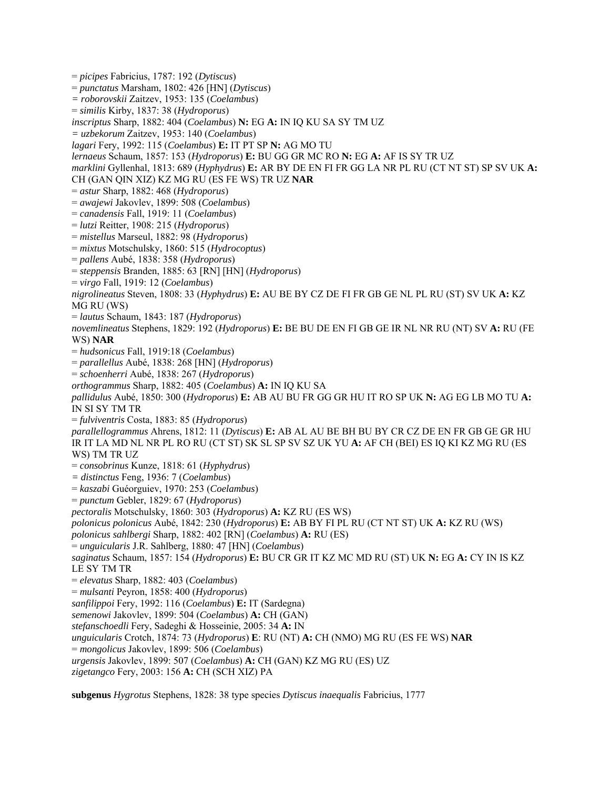= *picipes* Fabricius, 1787: 192 (*Dytiscus*)

= *punctatus* Marsham, 1802: 426 [HN] (*Dytiscus*)

*= roborovskii* Zaitzev, 1953: 135 (*Coelambus*)

= *similis* Kirby, 1837: 38 (*Hydroporus*)

*inscriptus* Sharp, 1882: 404 (*Coelambus*) **N:** EG **A:** IN IQ KU SA SY TM UZ

*= uzbekorum* Zaitzev, 1953: 140 (*Coelambus*)

*lagari* Fery, 1992: 115 (*Coelambus*) **E:** IT PT SP **N:** AG MO TU

*lernaeus* Schaum, 1857: 153 (*Hydroporus*) **E:** BU GG GR MC RO **N:** EG **A:** AF IS SY TR UZ

*marklini* Gyllenhal, 1813: 689 (*Hyphydrus*) **E:** AR BY DE EN FI FR GG LA NR PL RU (CT NT ST) SP SV UK **A:** 

CH (GAN QIN XIZ) KZ MG RU (ES FE WS) TR UZ **NAR** 

= *astur* Sharp, 1882: 468 (*Hydroporus*)

= *awajewi* Jakovlev, 1899: 508 (*Coelambus*)

= *canadensis* Fall, 1919: 11 (*Coelambus*)

= *lutzi* Reitter, 1908: 215 (*Hydroporus*)

= *mistellus* Marseul, 1882: 98 (*Hydroporus*)

= *mixtus* Motschulsky, 1860: 515 (*Hydrocoptus*)

= *pallens* Aubé, 1838: 358 (*Hydroporus*)

= *steppensis* Branden, 1885: 63 [RN] [HN] (*Hydroporus*)

= *virgo* Fall, 1919: 12 (*Coelambus*)

*nigrolineatus* Steven, 1808: 33 (*Hyphydrus*) **E:** AU BE BY CZ DE FI FR GB GE NL PL RU (ST) SV UK **A:** KZ MG RU (WS)

= *lautus* Schaum, 1843: 187 (*Hydroporus*)

*novemlineatus* Stephens, 1829: 192 (*Hydroporus*) **E:** BE BU DE EN FI GB GE IR NL NR RU (NT) SV **A:** RU (FE WS) **NAR** 

= *hudsonicus* Fall, 1919:18 (*Coelambus*)

= *parallellus* Aubé, 1838: 268 [HN] (*Hydroporus*)

= *schoenherri* Aubé, 1838: 267 (*Hydroporus*)

*orthogrammus* Sharp, 1882: 405 (*Coelambus*) **A:** IN IQ KU SA

*pallidulus* Aubé, 1850: 300 (*Hydroporus*) **E:** AB AU BU FR GG GR HU IT RO SP UK **N:** AG EG LB MO TU **A:**  IN SI SY TM TR

= *fulviventris* Costa, 1883: 85 (*Hydroporus*)

*parallellogrammus* Ahrens, 1812: 11 (*Dytiscus*) **E:** AB AL AU BE BH BU BY CR CZ DE EN FR GB GE GR HU IR IT LA MD NL NR PL RO RU (CT ST) SK SL SP SV SZ UK YU **A:** AF CH (BEI) ES IQ KI KZ MG RU (ES WS) TM TR UZ

= *consobrinus* Kunze, 1818: 61 (*Hyphydrus*)

*= distinctus* Feng, 1936: 7 (*Coelambus*)

= *kaszabi* Guéorguiev, 1970: 253 (*Coelambus*)

= *punctum* Gebler, 1829: 67 (*Hydroporus*)

*pectoralis* Motschulsky, 1860: 303 (*Hydroporus*) **A:** KZ RU (ES WS)

*polonicus polonicus* Aubé, 1842: 230 (*Hydroporus*) **E:** AB BY FI PL RU (CT NT ST) UK **A:** KZ RU (WS)

*polonicus sahlbergi* Sharp, 1882: 402 [RN] (*Coelambus*) **A:** RU (ES)

= *unguicularis* J.R. Sahlberg, 1880: 47 [HN] (*Coelambus*)

*saginatus* Schaum, 1857: 154 (*Hydroporus*) **E:** BU CR GR IT KZ MC MD RU (ST) UK **N:** EG **A:** CY IN IS KZ LE SY TM TR

= *elevatus* Sharp, 1882: 403 (*Coelambus*)

= *mulsanti* Peyron, 1858: 400 (*Hydroporus*)

*sanfilippoi* Fery, 1992: 116 (*Coelambus*) **E:** IT (Sardegna)

*semenowi* Jakovlev, 1899: 504 (*Coelambus*) **A:** CH (GAN)

*stefanschoedli* Fery, Sadeghi & Hosseinie, 2005: 34 **A:** IN

*unguicularis* Crotch, 1874: 73 (*Hydroporus*) **E**: RU (NT) **A:** CH (NMO) MG RU (ES FE WS) **NAR** 

= *mongolicus* Jakovlev, 1899: 506 (*Coelambus*)

*urgensis* Jakovlev, 1899: 507 (*Coelambus*) **A:** CH (GAN) KZ MG RU (ES) UZ

*zigetangco* Fery, 2003: 156 **A:** CH (SCH XIZ) PA

**subgenus** *Hygrotus* Stephens, 1828: 38 type species *Dytiscus inaequalis* Fabricius, 1777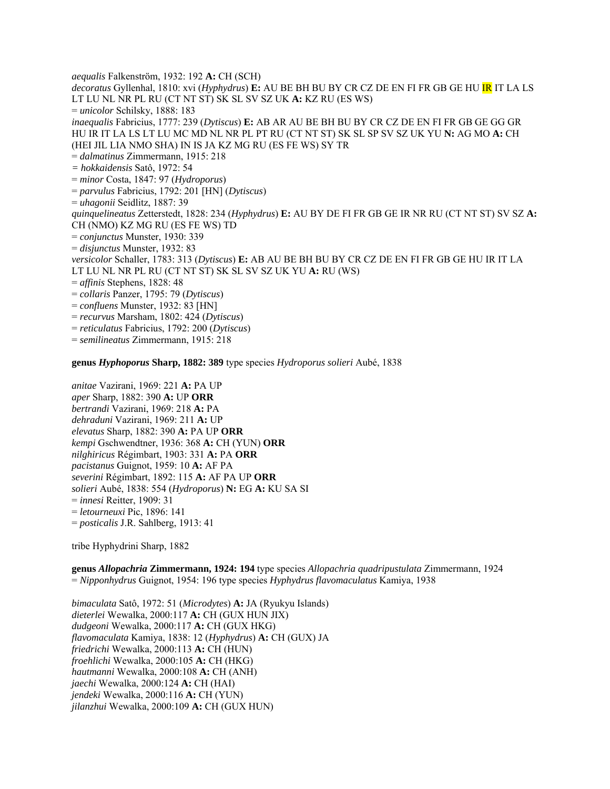*aequalis* Falkenström, 1932: 192 **A:** CH (SCH) *decoratus* Gyllenhal, 1810: xvi (*Hyphydrus*) **E:** AU BE BH BU BY CR CZ DE EN FI FR GB GE HU IR IT LA LS LT LU NL NR PL RU (CT NT ST) SK SL SV SZ UK **A:** KZ RU (ES WS) = *unicolor* Schilsky, 1888: 183 *inaequalis* Fabricius, 1777: 239 (*Dytiscus*) **E:** AB AR AU BE BH BU BY CR CZ DE EN FI FR GB GE GG GR HU IR IT LA LS LT LU MC MD NL NR PL PT RU (CT NT ST) SK SL SP SV SZ UK YU **N:** AG MO **A:** CH (HEI JIL LIA NMO SHA) IN IS JA KZ MG RU (ES FE WS) SY TR = *dalmatinus* Zimmermann, 1915: 218 *= hokkaidensis* Satô, 1972: 54 = *minor* Costa, 1847: 97 (*Hydroporus*) = *parvulus* Fabricius, 1792: 201 [HN] (*Dytiscus*) = *uhagonii* Seidlitz, 1887: 39 *quinquelineatus* Zetterstedt, 1828: 234 (*Hyphydrus*) **E:** AU BY DE FI FR GB GE IR NR RU (CT NT ST) SV SZ **A:**  CH (NMO) KZ MG RU (ES FE WS) TD = *conjunctus* Munster, 1930: 339 = *disjunctus* Munster, 1932: 83 *versicolor* Schaller, 1783: 313 (*Dytiscus*) **E:** AB AU BE BH BU BY CR CZ DE EN FI FR GB GE HU IR IT LA LT LU NL NR PL RU (CT NT ST) SK SL SV SZ UK YU **A:** RU (WS) = *affinis* Stephens, 1828: 48 = *collaris* Panzer, 1795: 79 (*Dytiscus*) = *confluens* Munster, 1932: 83 [HN] = *recurvus* Marsham, 1802: 424 (*Dytiscus*) = *reticulatus* Fabricius, 1792: 200 (*Dytiscus*) = *semilineatus* Zimmermann, 1915: 218

**genus** *Hyphoporus* **Sharp, 1882: 389** type species *Hydroporus solieri* Aubé, 1838

*anitae* Vazirani, 1969: 221 **A:** PA UP *aper* Sharp, 1882: 390 **A:** UP **ORR**  *bertrandi* Vazirani, 1969: 218 **A:** PA *dehraduni* Vazirani, 1969: 211 **A:** UP *elevatus* Sharp, 1882: 390 **A:** PA UP **ORR**  *kempi* Gschwendtner, 1936: 368 **A:** CH (YUN) **ORR**  *nilghiricus* Régimbart, 1903: 331 **A:** PA **ORR**  *pacistanus* Guignot, 1959: 10 **A:** AF PA *severini* Régimbart, 1892: 115 **A:** AF PA UP **ORR**  *solieri* Aubé, 1838: 554 (*Hydroporus*) **N:** EG **A:** KU SA SI = *innesi* Reitter, 1909: 31 = *letourneuxi* Pic, 1896: 141 = *posticalis* J.R. Sahlberg, 1913: 41

tribe Hyphydrini Sharp, 1882

**genus** *Allopachria* **Zimmermann, 1924: 194** type species *Allopachria quadripustulata* Zimmermann, 1924 = *Nipponhydrus* Guignot, 1954: 196 type species *Hyphydrus flavomaculatus* Kamiya, 1938

*bimaculata* Satô, 1972: 51 (*Microdytes*) **A:** JA (Ryukyu Islands) *dieterlei* Wewalka, 2000:117 **A:** CH (GUX HUN JIX) *dudgeoni* Wewalka, 2000:117 **A:** CH (GUX HKG) *flavomaculata* Kamiya, 1838: 12 (*Hyphydrus*) **A:** CH (GUX) JA *friedrichi* Wewalka, 2000:113 **A:** CH (HUN) *froehlichi* Wewalka, 2000:105 **A:** CH (HKG) *hautmanni* Wewalka, 2000:108 **A:** CH (ANH) *jaechi* Wewalka, 2000:124 **A:** CH (HAI) *jendeki* Wewalka, 2000:116 **A:** CH (YUN) *jilanzhui* Wewalka, 2000:109 **A:** CH (GUX HUN)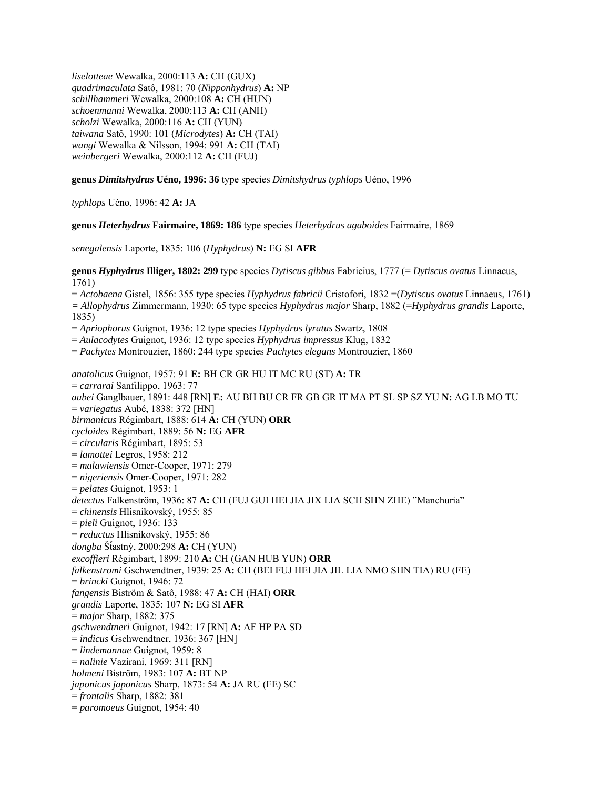*liselotteae* Wewalka, 2000:113 **A:** CH (GUX) *quadrimaculata* Satô, 1981: 70 (*Nipponhydrus*) **A:** NP *schillhammeri* Wewalka, 2000:108 **A:** CH (HUN) *schoenmanni* Wewalka, 2000:113 **A:** CH (ANH) *scholzi* Wewalka, 2000:116 **A:** CH (YUN) *taiwana* Satô, 1990: 101 (*Microdytes*) **A:** CH (TAI) *wangi* Wewalka & Nilsson, 1994: 991 **A:** CH (TAI) *weinbergeri* Wewalka, 2000:112 **A:** CH (FUJ)

**genus** *Dimitshydrus* **Uéno, 1996: 36** type species *Dimitshydrus typhlops* Uéno, 1996

*typhlops* Uéno, 1996: 42 **A:** JA

**genus** *Heterhydrus* **Fairmaire, 1869: 186** type species *Heterhydrus agaboides* Fairmaire, 1869

*senegalensis* Laporte, 1835: 106 (*Hyphydrus*) **N:** EG SI **AFR**

**genus** *Hyphydrus* **Illiger, 1802: 299** type species *Dytiscus gibbus* Fabricius, 1777 (= *Dytiscus ovatus* Linnaeus, 1761)

= *Actobaena* Gistel, 1856: 355 type species *Hyphydrus fabricii* Cristofori, 1832 =(*Dytiscus ovatus* Linnaeus, 1761) *= Allophydrus* Zimmermann, 1930: 65 type species *Hyphydrus major* Sharp, 1882 (=*Hyphydrus grandis* Laporte, 1835)

= *Apriophorus* Guignot, 1936: 12 type species *Hyphydrus lyratus* Swartz, 1808

= *Aulacodytes* Guignot, 1936: 12 type species *Hyphydrus impressus* Klug, 1832

= *Pachytes* Montrouzier, 1860: 244 type species *Pachytes elegans* Montrouzier, 1860

*anatolicus* Guignot, 1957: 91 **E:** BH CR GR HU IT MC RU (ST) **A:** TR = *carrarai* Sanfilippo, 1963: 77 *aubei* Ganglbauer, 1891: 448 [RN] **E:** AU BH BU CR FR GB GR IT MA PT SL SP SZ YU **N:** AG LB MO TU = *variegatus* Aubé, 1838: 372 [HN] *birmanicus* Régimbart, 1888: 614 **A:** CH (YUN) **ORR** *cycloides* Régimbart, 1889: 56 **N:** EG **AFR** = *circularis* Régimbart, 1895: 53 = *lamottei* Legros, 1958: 212 = *malawiensis* Omer-Cooper, 1971: 279 = *nigeriensis* Omer-Cooper, 1971: 282 = *pelates* Guignot, 1953: 1 *detectus* Falkenström, 1936: 87 **A:** CH (FUJ GUI HEI JIA JIX LIA SCH SHN ZHE) "Manchuria" = *chinensis* Hlisnikovský, 1955: 85 = *pieli* Guignot, 1936: 133 = *reductus* Hlisnikovský, 1955: 86 *dongba* ŠÄastný, 2000:298 **A:** CH (YUN) *excoffieri* Régimbart, 1899: 210 **A:** CH (GAN HUB YUN) **ORR** *falkenstromi* Gschwendtner, 1939: 25 **A:** CH (BEI FUJ HEI JIA JIL LIA NMO SHN TIA) RU (FE) = *brincki* Guignot, 1946: 72 *fangensis* Biström & Satô, 1988: 47 **A:** CH (HAI) **ORR** *grandis* Laporte, 1835: 107 **N:** EG SI **AFR** = *major* Sharp, 1882: 375 *gschwendtneri* Guignot, 1942: 17 [RN] **A:** AF HP PA SD = *indicus* Gschwendtner, 1936: 367 [HN] = *lindemannae* Guignot, 1959: 8 = *nalinie* Vazirani, 1969: 311 [RN] *holmeni* Biström, 1983: 107 **A:** BT NP *japonicus japonicus* Sharp, 1873: 54 **A:** JA RU (FE) SC = *frontalis* Sharp, 1882: 381 = *paromoeus* Guignot, 1954: 40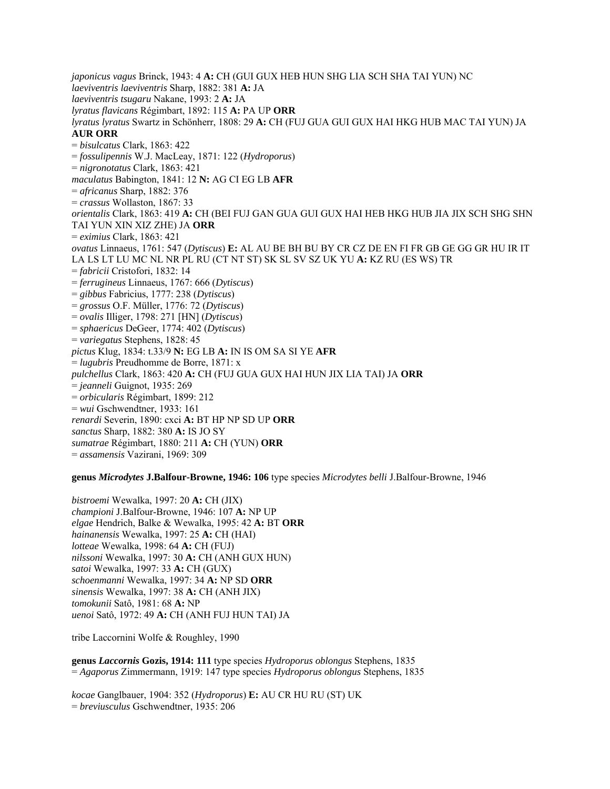*japonicus vagus* Brinck, 1943: 4 **A:** CH (GUI GUX HEB HUN SHG LIA SCH SHA TAI YUN) NC *laeviventris laeviventris* Sharp, 1882: 381 **A:** JA *laeviventris tsugaru* Nakane, 1993: 2 **A:** JA *lyratus flavicans* Régimbart, 1892: 115 **A:** PA UP **ORR** *lyratus lyratus* Swartz in Schönherr, 1808: 29 **A:** CH (FUJ GUA GUI GUX HAI HKG HUB MAC TAI YUN) JA **AUR ORR** = *bisulcatus* Clark, 1863: 422 = *fossulipennis* W.J. MacLeay, 1871: 122 (*Hydroporus*) = *nigronotatus* Clark, 1863: 421 *maculatus* Babington, 1841: 12 **N:** AG CI EG LB **AFR** = *africanus* Sharp, 1882: 376 = *crassus* Wollaston, 1867: 33 *orientalis* Clark, 1863: 419 **A:** CH (BEI FUJ GAN GUA GUI GUX HAI HEB HKG HUB JIA JIX SCH SHG SHN TAI YUN XIN XIZ ZHE) JA **ORR** = *eximius* Clark, 1863: 421 *ovatus* Linnaeus, 1761: 547 (*Dytiscus*) **E:** AL AU BE BH BU BY CR CZ DE EN FI FR GB GE GG GR HU IR IT LA LS LT LU MC NL NR PL RU (CT NT ST) SK SL SV SZ UK YU **A:** KZ RU (ES WS) TR = *fabricii* Cristofori, 1832: 14 = *ferrugineus* Linnaeus, 1767: 666 (*Dytiscus*) = *gibbus* Fabricius, 1777: 238 (*Dytiscus*) = *grossus* O.F. Müller, 1776: 72 (*Dytiscus*) = *ovalis* Illiger, 1798: 271 [HN] (*Dytiscus*) = *sphaericus* DeGeer, 1774: 402 (*Dytiscus*) = *variegatus* Stephens, 1828: 45 *pictus* Klug, 1834: t.33/9 **N:** EG LB **A:** IN IS OM SA SI YE **AFR** = *lugubris* Preudhomme de Borre, 1871: x *pulchellus* Clark, 1863: 420 **A:** CH (FUJ GUA GUX HAI HUN JIX LIA TAI) JA **ORR** = *jeanneli* Guignot, 1935: 269 = *orbicularis* Régimbart, 1899: 212 = *wui* Gschwendtner, 1933: 161 *renardi* Severin, 1890: cxci **A:** BT HP NP SD UP **ORR** *sanctus* Sharp, 1882: 380 **A:** IS JO SY *sumatrae* Régimbart, 1880: 211 **A:** CH (YUN) **ORR** = *assamensis* Vazirani, 1969: 309

#### **genus** *Microdytes* **J.Balfour-Browne, 1946: 106** type species *Microdytes belli* J.Balfour-Browne, 1946

*bistroemi* Wewalka, 1997: 20 **A:** CH (JIX) *championi* J.Balfour-Browne, 1946: 107 **A:** NP UP *elgae* Hendrich, Balke & Wewalka, 1995: 42 **A:** BT **ORR** *hainanensis* Wewalka, 1997: 25 **A:** CH (HAI) *lotteae* Wewalka, 1998: 64 **A:** CH (FUJ) *nilssoni* Wewalka, 1997: 30 **A:** CH (ANH GUX HUN) *satoi* Wewalka, 1997: 33 **A:** CH (GUX) *schoenmanni* Wewalka, 1997: 34 **A:** NP SD **ORR** *sinensis* Wewalka, 1997: 38 **A:** CH (ANH JIX) *tomokunii* Satô, 1981: 68 **A:** NP *uenoi* Satô, 1972: 49 **A:** CH (ANH FUJ HUN TAI) JA

tribe Laccornini Wolfe & Roughley, 1990

**genus** *Laccornis* **Gozis, 1914: 111** type species *Hydroporus oblongus* Stephens, 1835 = *Agaporus* Zimmermann, 1919: 147 type species *Hydroporus oblongus* Stephens, 1835

*kocae* Ganglbauer, 1904: 352 (*Hydroporus*) **E:** AU CR HU RU (ST) UK = *breviusculus* Gschwendtner, 1935: 206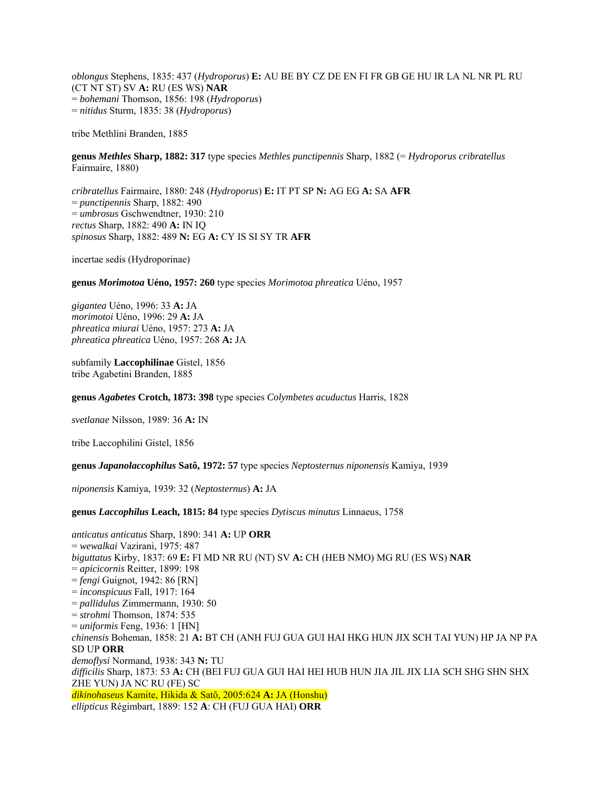*oblongus* Stephens, 1835: 437 (*Hydroporus*) **E:** AU BE BY CZ DE EN FI FR GB GE HU IR LA NL NR PL RU (CT NT ST) SV **A:** RU (ES WS) **NAR**  = *bohemani* Thomson, 1856: 198 (*Hydroporus*) = *nitidus* Sturm, 1835: 38 (*Hydroporus*)

tribe Methlini Branden, 1885

**genus** *Methles* **Sharp, 1882: 317** type species *Methles punctipennis* Sharp, 1882 (= *Hydroporus cribratellus* Fairmaire, 1880)

*cribratellus* Fairmaire, 1880: 248 (*Hydroporus*) **E:** IT PT SP **N:** AG EG **A:** SA **AFR**  = *punctipennis* Sharp, 1882: 490 = *umbrosus* Gschwendtner, 1930: 210 *rectus* Sharp, 1882: 490 **A:** IN IQ *spinosus* Sharp, 1882: 489 **N:** EG **A:** CY IS SI SY TR **AFR**

incertae sedis (Hydroporinae)

**genus** *Morimotoa* **Uéno, 1957: 260** type species *Morimotoa phreatica* Uéno, 1957

*gigantea* Uéno, 1996: 33 **A:** JA *morimotoi* Uéno, 1996: 29 **A:** JA *phreatica miurai* Uéno, 1957: 273 **A:** JA *phreatica phreatica* Uéno, 1957: 268 **A:** JA

subfamily **Laccophilinae** Gistel, 1856 tribe Agabetini Branden, 1885

**genus** *Agabetes* **Crotch, 1873: 398** type species *Colymbetes acuductus* Harris, 1828

*svetlanae* Nilsson, 1989: 36 **A:** IN

tribe Laccophilini Gistel, 1856

**genus** *Japanolaccophilus* **Satô, 1972: 57** type species *Neptosternus niponensis* Kamiya, 1939

*niponensis* Kamiya, 1939: 32 (*Neptosternus*) **A:** JA

**genus** *Laccophilus* **Leach, 1815: 84** type species *Dytiscus minutus* Linnaeus, 1758

*anticatus anticatus* Sharp, 1890: 341 **A:** UP **ORR**  = *wewalkai* Vazirani, 1975: 487 *biguttatus* Kirby, 1837: 69 **E:** FI MD NR RU (NT) SV **A:** CH (HEB NMO) MG RU (ES WS) **NAR**  = *apicicornis* Reitter, 1899: 198 = *fengi* Guignot, 1942: 86 [RN] = *inconspicuus* Fall, 1917: 164 = *pallidulus* Zimmermann, 1930: 50 = *strohmi* Thomson, 1874: 535 = *uniformis* Feng, 1936: 1 [HN] *chinensis* Boheman, 1858: 21 **A:** BT CH (ANH FUJ GUA GUI HAI HKG HUN JIX SCH TAI YUN) HP JA NP PA SD UP **ORR**  *demoflysi* Normand, 1938: 343 **N:** TU *difficilis* Sharp, 1873: 53 **A:** CH (BEI FUJ GUA GUI HAI HEI HUB HUN JIA JIL JIX LIA SCH SHG SHN SHX ZHE YUN) JA NC RU (FE) SC *dikinohaseus* Kamite, Hikida & Satô, 2005:624 **A:** JA (Honshu) *ellipticus* Régimbart, 1889: 152 **A**: CH (FUJ GUA HAI) **ORR**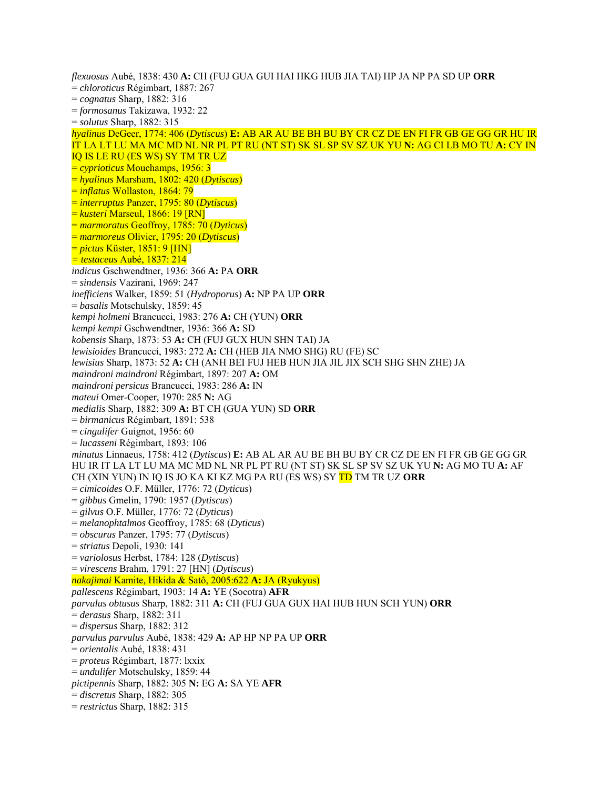*flexuosus* Aubé, 1838: 430 **A:** CH (FUJ GUA GUI HAI HKG HUB JIA TAI) HP JA NP PA SD UP **ORR**  = *chloroticus* Régimbart, 1887: 267 = *cognatus* Sharp, 1882: 316 = *formosanus* Takizawa, 1932: 22 = *solutus* Sharp, 1882: 315 *hyalinus* DeGeer, 1774: 406 (*Dytiscus*) **E:** AB AR AU BE BH BU BY CR CZ DE EN FI FR GB GE GG GR HU IR IT LA LT LU MA MC MD NL NR PL PT RU (NT ST) SK SL SP SV SZ UK YU **N:** AG CI LB MO TU **A:** CY IN IQ IS LE RU (ES WS) SY TM TR UZ = *cyprioticus* Mouchamps, 1956: 3 = *hyalinus* Marsham, 1802: 420 (*Dytiscus*) = *inflatus* Wollaston, 1864: 79 = *interruptus* Panzer, 1795: 80 (*Dytiscus*) = *kusteri* Marseul, 1866: 19 [RN] = *marmoratus* Geoffroy, 1785: 70 (*Dyticus*) = *marmoreus* Olivier, 1795: 20 (*Dytiscus*) = *pictus* Küster, 1851: 9 [HN] *= testaceus* Aubé, 1837: 214 *indicus* Gschwendtner, 1936: 366 **A:** PA **ORR**  = *sindensis* Vazirani, 1969: 247 *inefficiens* Walker, 1859: 51 (*Hydroporus*) **A:** NP PA UP **ORR**  = *basalis* Motschulsky, 1859: 45 *kempi holmeni* Brancucci, 1983: 276 **A:** CH (YUN) **ORR**  *kempi kempi* Gschwendtner, 1936: 366 **A:** SD *kobensis* Sharp, 1873: 53 **A:** CH (FUJ GUX HUN SHN TAI) JA *lewisioides* Brancucci, 1983: 272 **A:** CH (HEB JIA NMO SHG) RU (FE) SC *lewisius* Sharp, 1873: 52 **A:** CH (ANH BEI FUJ HEB HUN JIA JIL JIX SCH SHG SHN ZHE) JA *maindroni maindroni* Régimbart, 1897: 207 **A:** OM *maindroni persicus* Brancucci, 1983: 286 **A:** IN *mateui* Omer-Cooper, 1970: 285 **N:** AG *medialis* Sharp, 1882: 309 **A:** BT CH (GUA YUN) SD **ORR**  = *birmanicus* Régimbart, 1891: 538 = *cingulifer* Guignot, 1956: 60 = *lucasseni* Régimbart, 1893: 106 *minutus* Linnaeus, 1758: 412 (*Dytiscus*) **E:** AB AL AR AU BE BH BU BY CR CZ DE EN FI FR GB GE GG GR HU IR IT LA LT LU MA MC MD NL NR PL PT RU (NT ST) SK SL SP SV SZ UK YU **N:** AG MO TU **A:** AF CH (XIN YUN) IN IQ IS JO KA KI KZ MG PA RU (ES WS) SY TD TM TR UZ **ORR**  = *cimicoides* O.F. Müller, 1776: 72 (*Dyticus*) = *gibbus* Gmelin, 1790: 1957 (*Dytiscus*) = *gilvus* O.F. Müller, 1776: 72 (*Dyticus*) = *melanophtalmos* Geoffroy, 1785: 68 (*Dyticus*) = *obscurus* Panzer, 1795: 77 (*Dytiscus*) = *striatus* Depoli, 1930: 141 = *variolosus* Herbst, 1784: 128 (*Dytiscus*) = *virescens* Brahm, 1791: 27 [HN] (*Dytiscus*) *nakajimai* Kamite, Hikida & Satô, 2005:622 **A:** JA (Ryukyus) *pallescens* Régimbart, 1903: 14 **A:** YE (Socotra) **AFR** *parvulus obtusus* Sharp, 1882: 311 **A:** CH (FUJ GUA GUX HAI HUB HUN SCH YUN) **ORR** = *derasus* Sharp, 1882: 311 = *dispersus* Sharp, 1882: 312 *parvulus parvulus* Aubé, 1838: 429 **A:** AP HP NP PA UP **ORR** = *orientalis* Aubé, 1838: 431 = *proteus* Régimbart, 1877: lxxix = *undulifer* Motschulsky, 1859: 44 *pictipennis* Sharp, 1882: 305 **N:** EG **A:** SA YE **AFR** = *discretus* Sharp, 1882: 305 = *restrictus* Sharp, 1882: 315